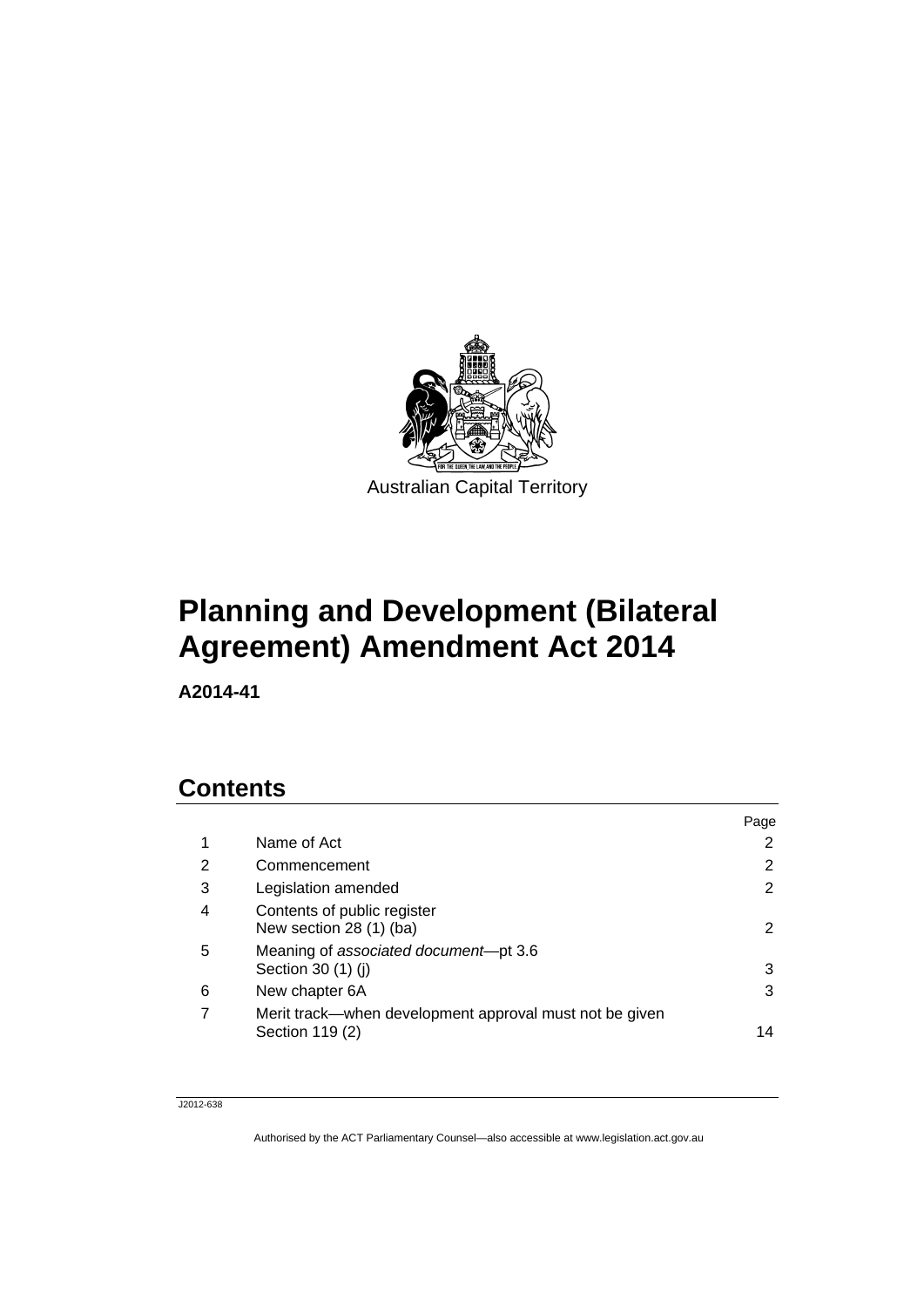

# **Planning and Development (Bilateral Agreement) Amendment Act 2014**

**A2014-41** 

# **Contents**

|   |                                                                            | Page                 |
|---|----------------------------------------------------------------------------|----------------------|
| 1 | Name of Act                                                                | 2                    |
| 2 | Commencement                                                               | 2                    |
| 3 | Legislation amended                                                        | 2                    |
| 4 | Contents of public register<br>New section 28 (1) (ba)                     | $\mathbf{2}^{\circ}$ |
| 5 | Meaning of associated document-pt 3.6<br>Section 30 (1) (j)                | 3                    |
| 6 | New chapter 6A                                                             | 3                    |
| 7 | Merit track—when development approval must not be given<br>Section 119 (2) | 14                   |

#### J2012-638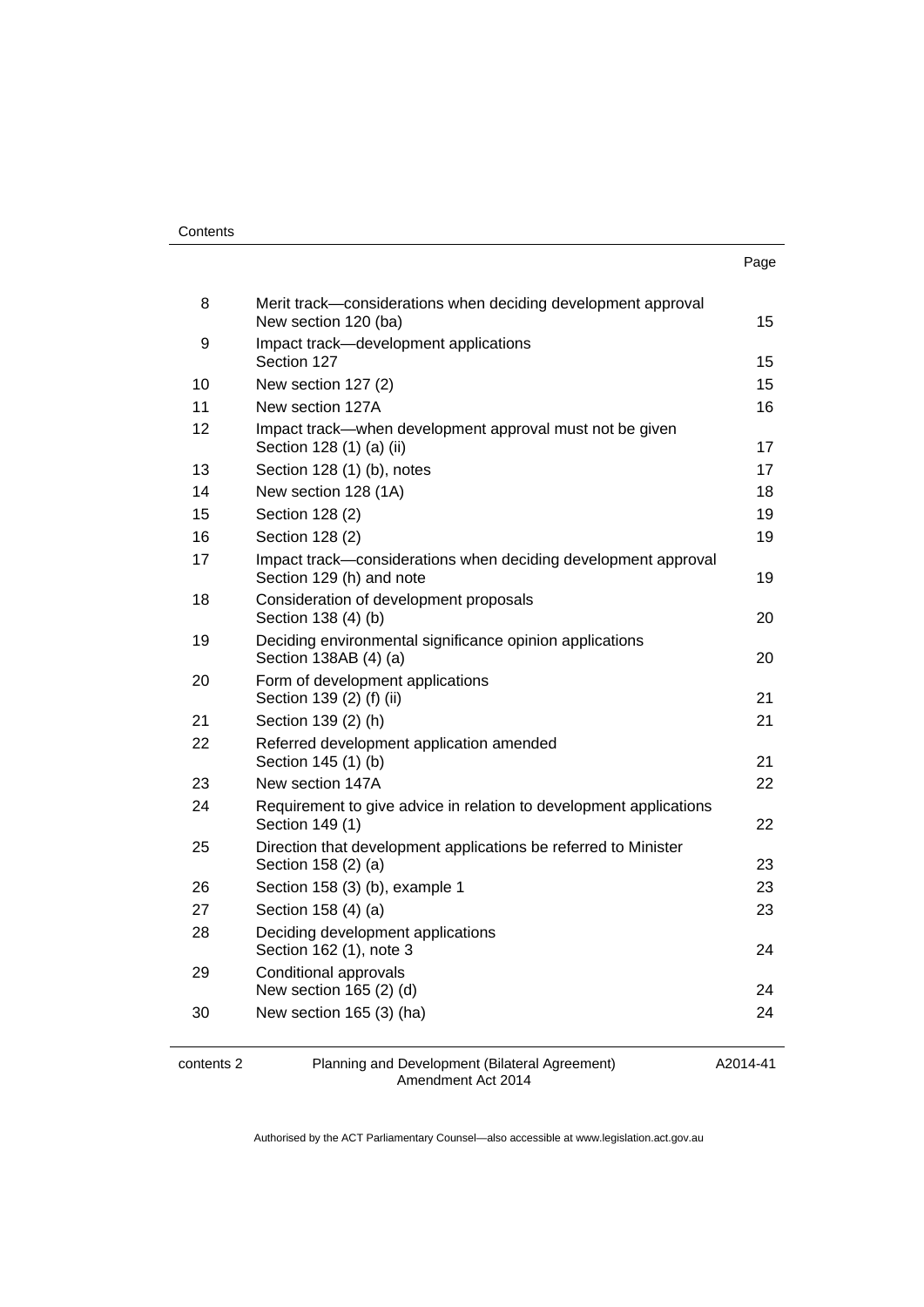| . .<br>× | I<br>۰.<br>× |
|----------|--------------|

| 8  | Merit track-considerations when deciding development approval<br>New section 120 (ba)      | 15 |
|----|--------------------------------------------------------------------------------------------|----|
| 9  | Impact track-development applications<br>Section 127                                       | 15 |
| 10 | New section 127 (2)                                                                        | 15 |
| 11 | New section 127A                                                                           | 16 |
| 12 | Impact track—when development approval must not be given<br>Section 128 (1) (a) (ii)       | 17 |
| 13 | Section 128 (1) (b), notes                                                                 | 17 |
| 14 | New section 128 (1A)                                                                       | 18 |
| 15 | Section 128 (2)                                                                            | 19 |
| 16 | Section 128 (2)                                                                            | 19 |
| 17 | Impact track-considerations when deciding development approval<br>Section 129 (h) and note | 19 |
| 18 | Consideration of development proposals<br>Section 138 (4) (b)                              | 20 |
| 19 | Deciding environmental significance opinion applications<br>Section 138AB (4) (a)          | 20 |
| 20 | Form of development applications<br>Section 139 (2) (f) (ii)                               | 21 |
| 21 | Section 139 (2) (h)                                                                        | 21 |
| 22 | Referred development application amended<br>Section 145 (1) (b)                            | 21 |
| 23 | New section 147A                                                                           | 22 |
| 24 | Requirement to give advice in relation to development applications<br>Section 149 (1)      | 22 |
| 25 | Direction that development applications be referred to Minister<br>Section 158 (2) (a)     | 23 |
| 26 | Section 158 (3) (b), example 1                                                             | 23 |
| 27 | Section 158 (4) (a)                                                                        | 23 |
| 28 | Deciding development applications<br>Section 162 (1), note 3                               | 24 |
| 29 | Conditional approvals<br>New section 165 (2) (d)                                           | 24 |
| 30 | New section 165 (3) (ha)                                                                   | 24 |

contents 2 Planning and Development (Bilateral Agreement) Amendment Act 2014

A2014-41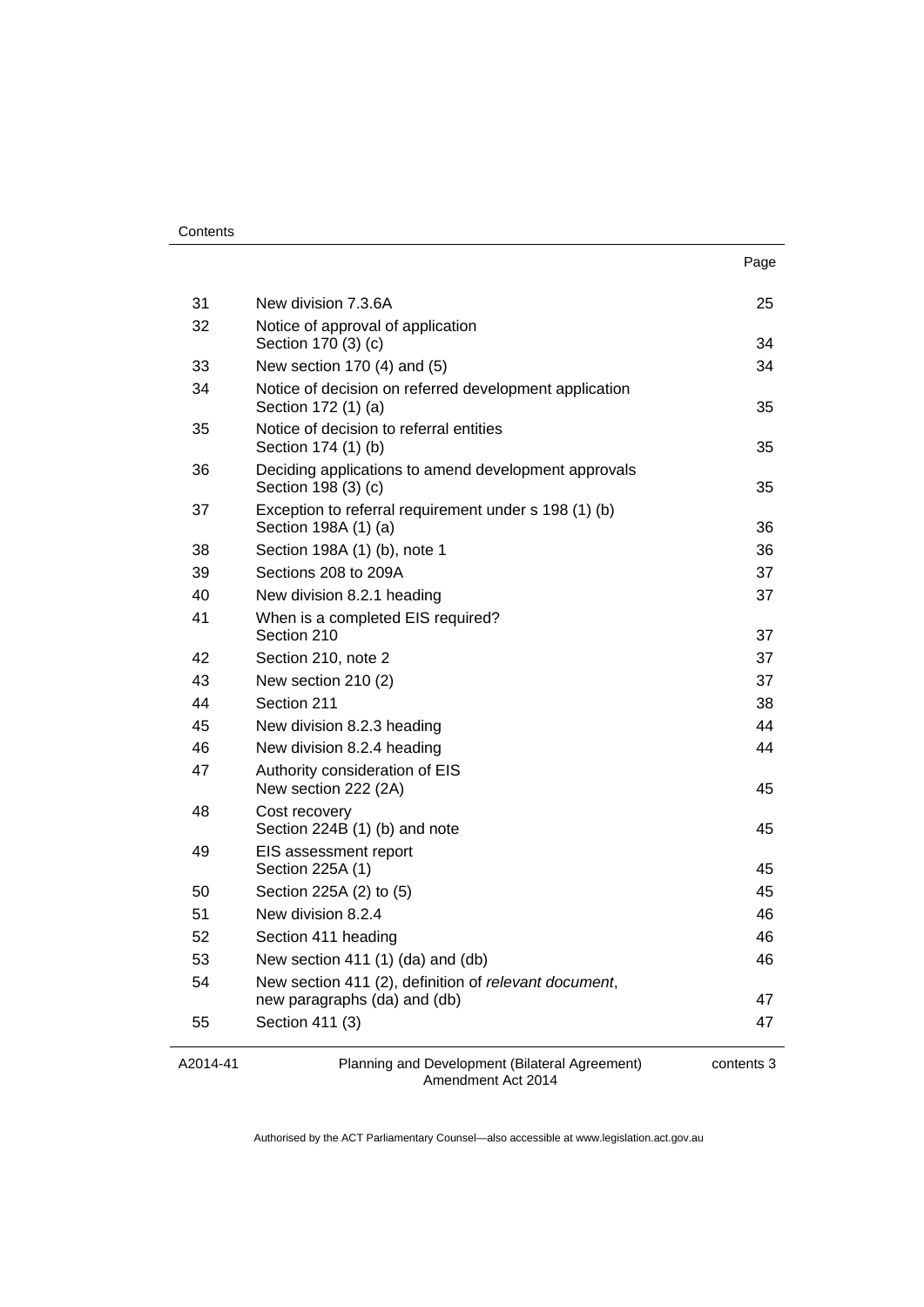|    |                                                                                       | Page |
|----|---------------------------------------------------------------------------------------|------|
| 31 | New division 7.3.6A                                                                   | 25   |
| 32 | Notice of approval of application                                                     |      |
|    | Section 170 (3) (c)                                                                   | 34   |
| 33 | New section 170 (4) and (5)                                                           | 34   |
| 34 | Notice of decision on referred development application<br>Section 172 (1) (a)         | 35   |
| 35 | Notice of decision to referral entities<br>Section 174 (1) (b)                        | 35   |
| 36 | Deciding applications to amend development approvals<br>Section 198 (3) (c)           | 35   |
| 37 | Exception to referral requirement under s 198 (1) (b)<br>Section 198A (1) (a)         | 36   |
| 38 | Section 198A (1) (b), note 1                                                          | 36   |
| 39 | Sections 208 to 209A                                                                  | 37   |
| 40 | New division 8.2.1 heading                                                            | 37   |
| 41 | When is a completed EIS required?<br>Section 210                                      | 37   |
| 42 | Section 210, note 2                                                                   | 37   |
| 43 | New section 210 (2)                                                                   | 37   |
| 44 | Section 211                                                                           | 38   |
| 45 | New division 8.2.3 heading                                                            | 44   |
| 46 | New division 8.2.4 heading                                                            | 44   |
| 47 | Authority consideration of EIS<br>New section 222 (2A)                                | 45   |
| 48 | Cost recovery<br>Section 224B (1) (b) and note                                        | 45   |
| 49 | EIS assessment report<br>Section 225A (1)                                             | 45   |
| 50 | Section 225A (2) to (5)                                                               | 45   |
| 51 | New division 8.2.4                                                                    | 46   |
| 52 | Section 411 heading                                                                   | 46   |
| 53 | New section 411 (1) (da) and (db)                                                     | 46   |
| 54 | New section 411 (2), definition of relevant document,<br>new paragraphs (da) and (db) | 47   |
| 55 | Section 411 (3)                                                                       | 47   |
|    |                                                                                       |      |

A2014-41

Planning and Development (Bilateral Agreement) Amendment Act 2014

contents 3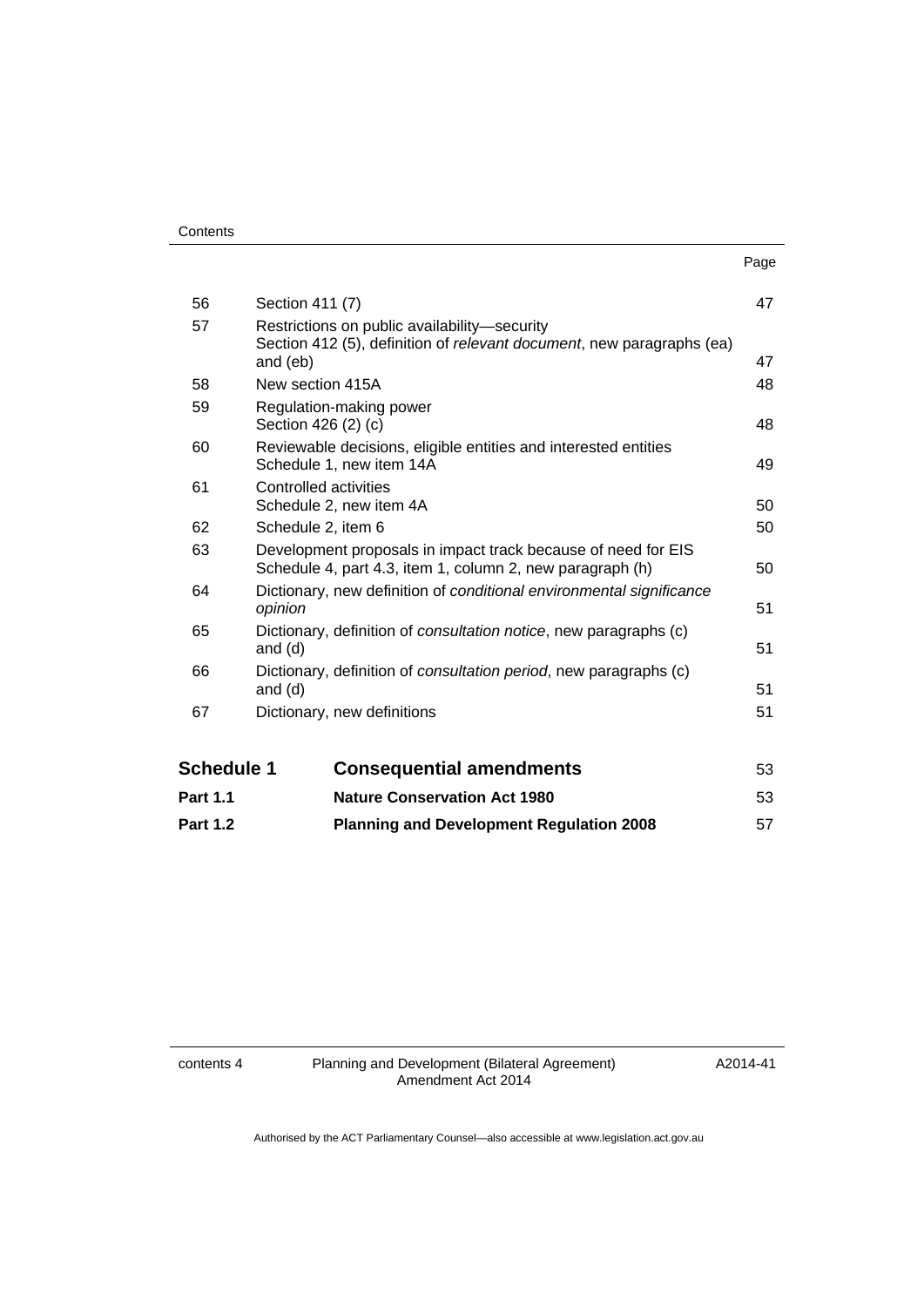|                   |                                                                                                                                   | Page |
|-------------------|-----------------------------------------------------------------------------------------------------------------------------------|------|
| 56                | Section 411 (7)                                                                                                                   | 47   |
| 57                | Restrictions on public availability-security<br>Section 412 (5), definition of relevant document, new paragraphs (ea)<br>and (eb) | 47   |
| 58                | New section 415A                                                                                                                  | 48   |
| 59                | Regulation-making power<br>Section 426 (2) (c)                                                                                    | 48   |
| 60                | Reviewable decisions, eligible entities and interested entities<br>Schedule 1, new item 14A                                       | 49   |
| 61                | Controlled activities<br>Schedule 2, new item 4A                                                                                  | 50   |
| 62                | Schedule 2, item 6                                                                                                                | 50   |
| 63                | Development proposals in impact track because of need for EIS<br>Schedule 4, part 4.3, item 1, column 2, new paragraph (h)        | 50   |
| 64                | Dictionary, new definition of conditional environmental significance<br>opinion                                                   | 51   |
| 65                | Dictionary, definition of <i>consultation notice</i> , new paragraphs (c)<br>and $(d)$                                            | 51   |
| 66                | Dictionary, definition of consultation period, new paragraphs (c)<br>and $(d)$                                                    | 51   |
| 67                | Dictionary, new definitions                                                                                                       | 51   |
| <b>Schedule 1</b> | <b>Consequential amendments</b>                                                                                                   | 53   |
| <b>Part 1.1</b>   | <b>Nature Conservation Act 1980</b>                                                                                               | 53   |

**Part 1.2 [Planning and Development Regulation 2008](#page-60-0)** 57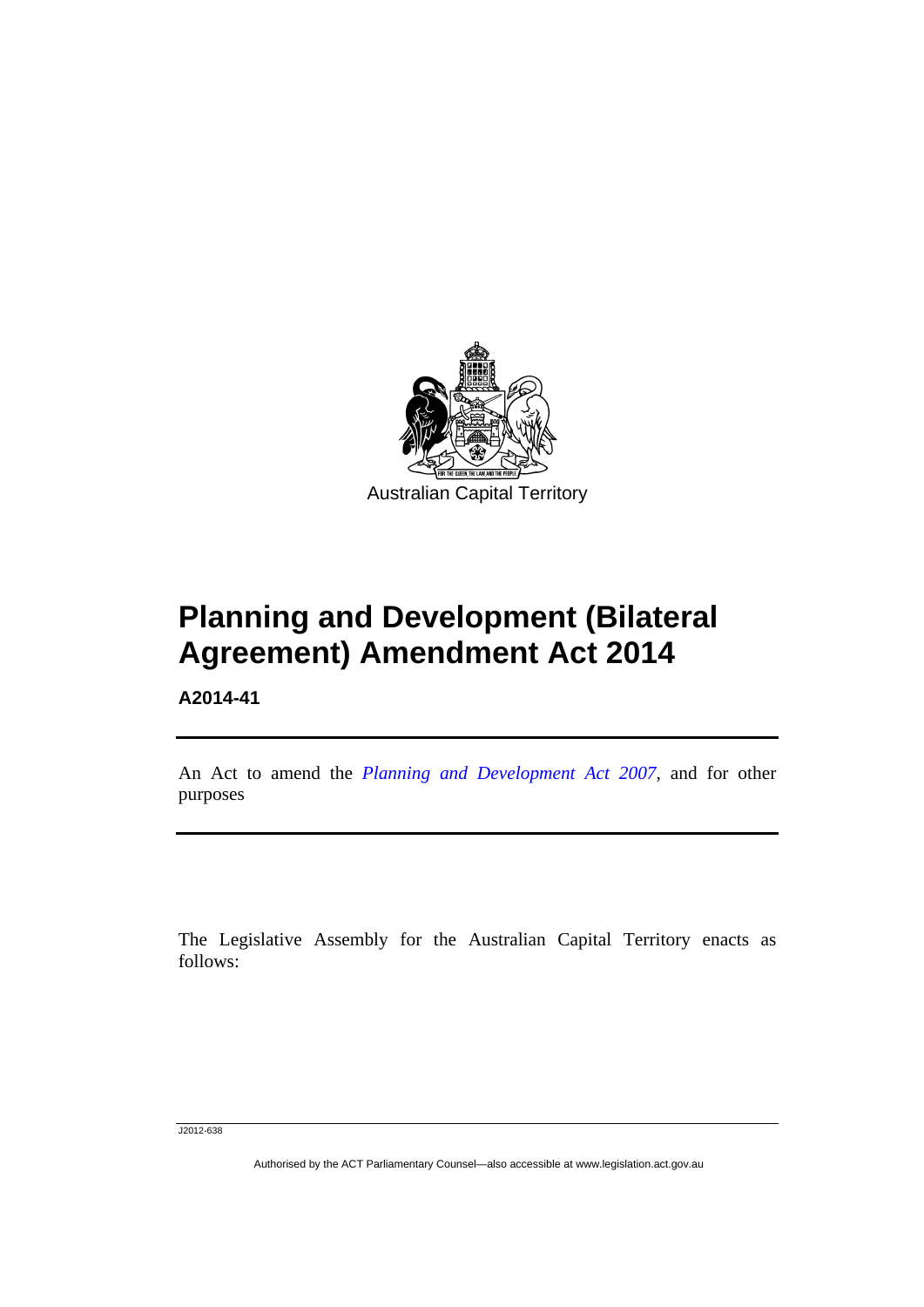

# **Planning and Development (Bilateral Agreement) Amendment Act 2014**

**A2014-41** 

l

An Act to amend the *[Planning and Development Act 2007](http://www.legislation.act.gov.au/a/2007-24)*, and for other purposes

The Legislative Assembly for the Australian Capital Territory enacts as follows:

J2012-638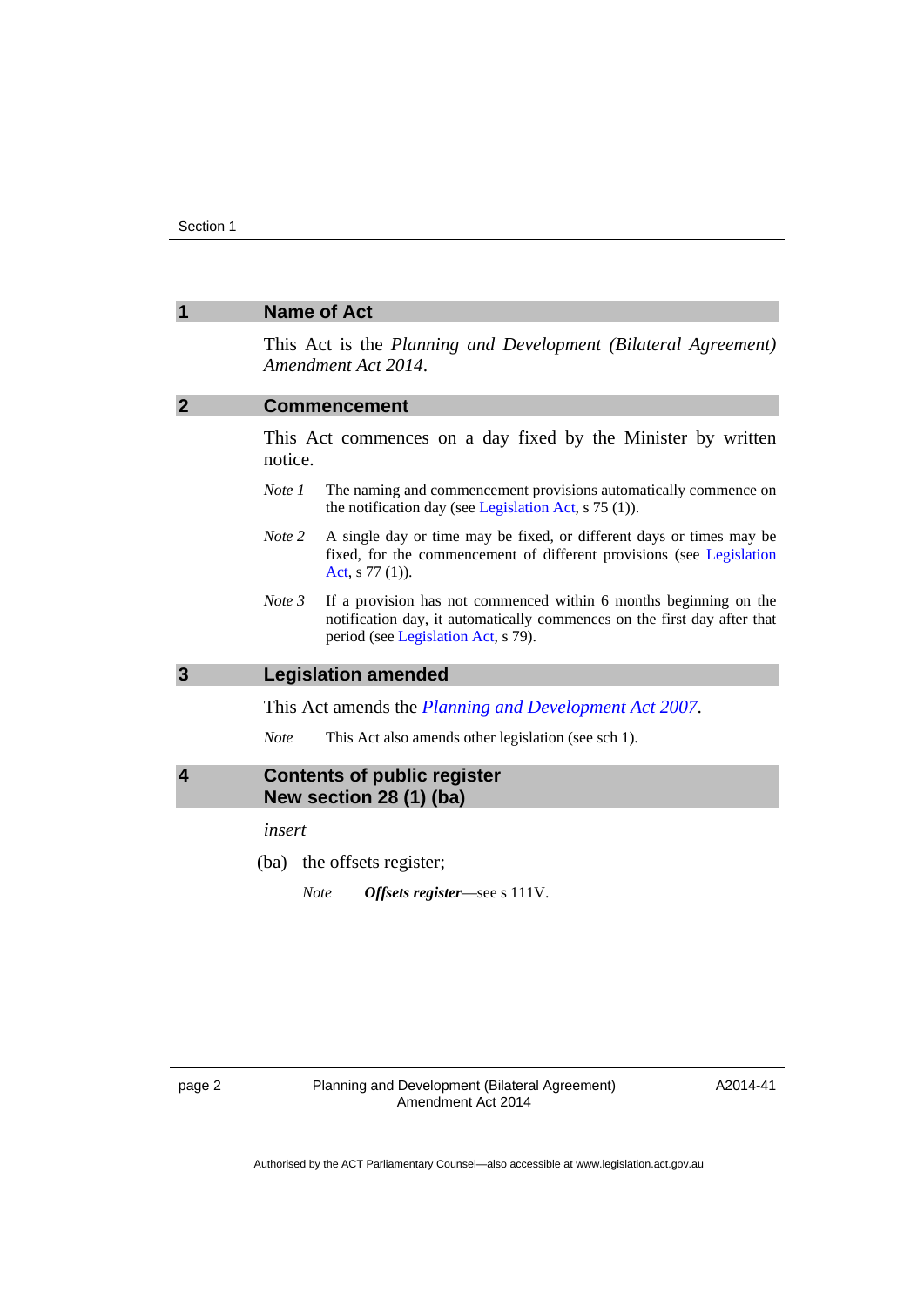<span id="page-5-3"></span><span id="page-5-2"></span><span id="page-5-1"></span><span id="page-5-0"></span>

|              | <b>Name of Act</b>                                            |                                                                                                                                                                                      |
|--------------|---------------------------------------------------------------|--------------------------------------------------------------------------------------------------------------------------------------------------------------------------------------|
|              |                                                               | This Act is the Planning and Development (Bilateral Agreement)<br>Amendment Act 2014.                                                                                                |
| 2            |                                                               | <b>Commencement</b>                                                                                                                                                                  |
|              | notice.                                                       | This Act commences on a day fixed by the Minister by written                                                                                                                         |
|              | Note 1                                                        | The naming and commencement provisions automatically commence on<br>the notification day (see Legislation Act, $s$ 75 (1)).                                                          |
|              | Note 2                                                        | A single day or time may be fixed, or different days or times may be<br>fixed, for the commencement of different provisions (see Legislation<br>Act, $s$ 77 (1)).                    |
|              | Note 3                                                        | If a provision has not commenced within 6 months beginning on the<br>notification day, it automatically commences on the first day after that<br>period (see Legislation Act, s 79). |
| $\mathbf{3}$ |                                                               | <b>Legislation amended</b>                                                                                                                                                           |
|              |                                                               | This Act amends the <i>Planning and Development Act 2007</i> .                                                                                                                       |
|              | <b>Note</b>                                                   | This Act also amends other legislation (see sch 1).                                                                                                                                  |
| 4            | <b>Contents of public register</b><br>New section 28 (1) (ba) |                                                                                                                                                                                      |
|              | insert                                                        |                                                                                                                                                                                      |
|              |                                                               | (ba) the offsets register;                                                                                                                                                           |
|              | <b>Note</b>                                                   | Offsets register—see s 111V.                                                                                                                                                         |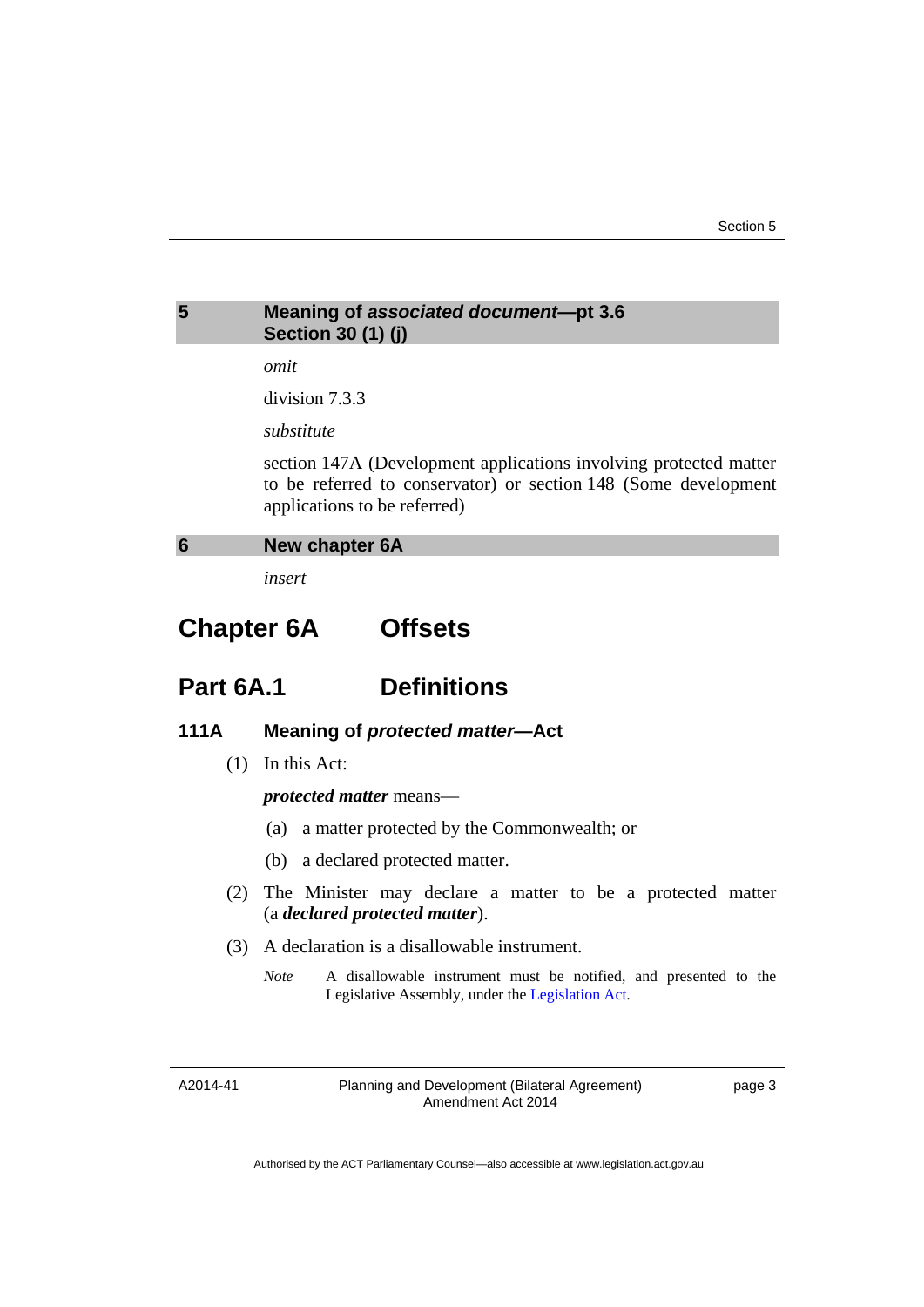# <span id="page-6-0"></span>**5 Meaning of** *associated document—***pt 3.6 Section 30 (1) (j)**  *omit*  division 7.3.3 *substitute*  section 147A (Development applications involving protected matter to be referred to conservator) or section 148 (Some development applications to be referred) **6 New chapter 6A**

*insert* 

# <span id="page-6-1"></span>**Chapter 6A Offsets**

# **Part 6A.1 Definitions**

# **111A Meaning of** *protected matter***—Act**

(1) In this Act:

*protected matter* means—

- (a) a matter protected by the Commonwealth; or
- (b) a declared protected matter.
- (2) The Minister may declare a matter to be a protected matter (a *declared protected matter*).
- (3) A declaration is a disallowable instrument.
	- *Note* A disallowable instrument must be notified, and presented to the Legislative Assembly, under the [Legislation Act.](http://www.legislation.act.gov.au/a/2001-14)

A2014-41

Planning and Development (Bilateral Agreement) Amendment Act 2014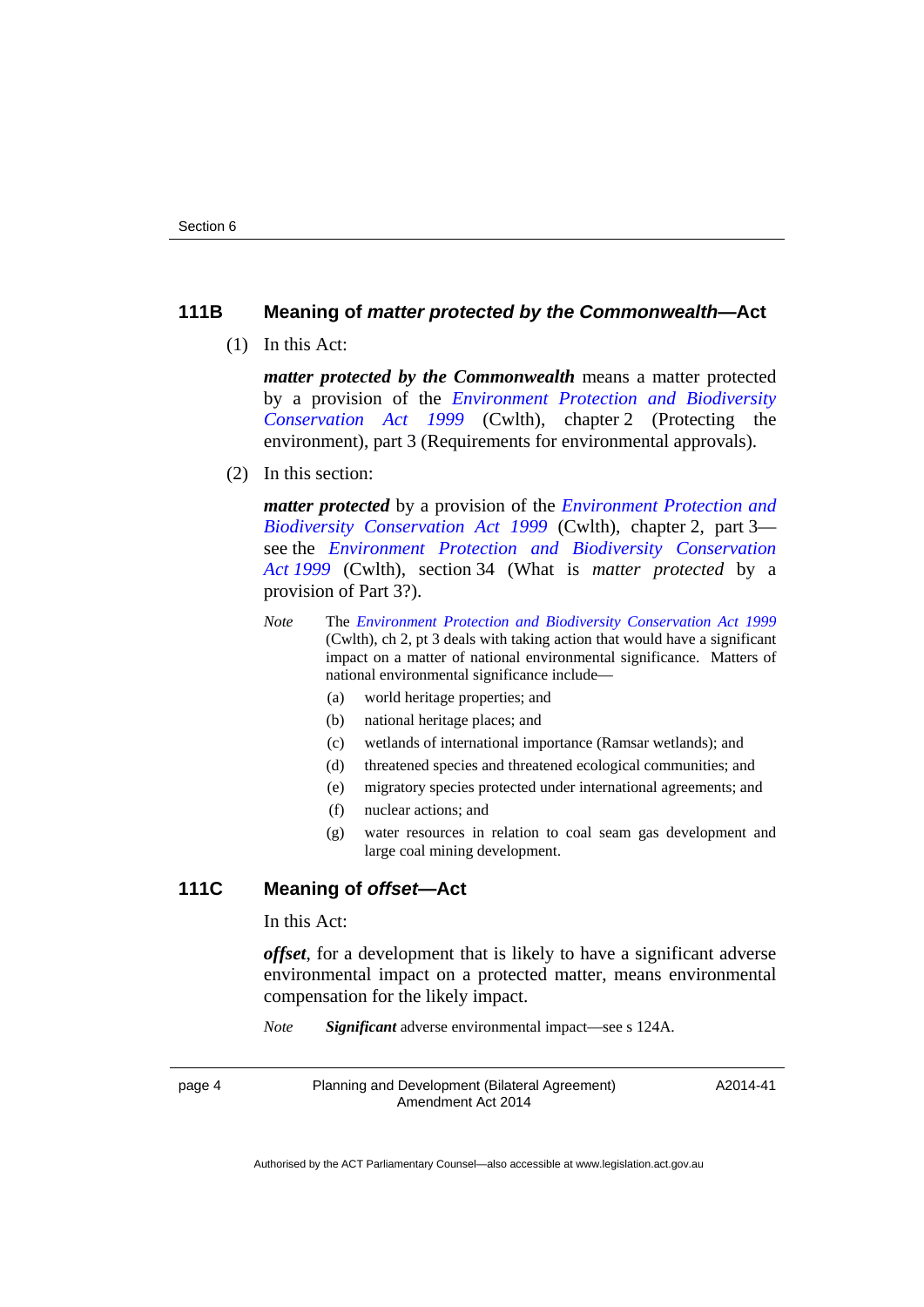# **111B Meaning of** *matter protected by the Commonwealth***—Act**

(1) In this Act:

*matter protected by the Commonwealth* means a matter protected by a provision of the *[Environment Protection and Biodiversity](http://www.comlaw.gov.au/Series/C2004A00485)  [Conservation Act 1999](http://www.comlaw.gov.au/Series/C2004A00485)* (Cwlth), chapter 2 (Protecting the environment), part 3 (Requirements for environmental approvals).

(2) In this section:

*matter protected* by a provision of the *[Environment Protection and](http://www.comlaw.gov.au/Series/C2004A00485)  [Biodiversity Conservation Act 1999](http://www.comlaw.gov.au/Series/C2004A00485)* (Cwlth), chapter 2, part 3 see the *[Environment Protection and Biodiversity Conservation](http://www.comlaw.gov.au/Series/C2004A00485)  [Act 1999](http://www.comlaw.gov.au/Series/C2004A00485)* (Cwlth), section 34 (What is *matter protected* by a provision of Part 3?).

- *Note* The *[Environment Protection and Biodiversity Conservation Act 1999](http://www.comlaw.gov.au/Series/C2004A00485)* (Cwlth), ch 2, pt 3 deals with taking action that would have a significant impact on a matter of national environmental significance. Matters of national environmental significance include—
	- (a) world heritage properties; and
	- (b) national heritage places; and
	- (c) wetlands of international importance (Ramsar wetlands); and
	- (d) threatened species and threatened ecological communities; and
	- (e) migratory species protected under international agreements; and
	- (f) nuclear actions; and
	- (g) water resources in relation to coal seam gas development and large coal mining development.

## **111C Meaning of** *offset***—Act**

In this Act:

*offset*, for a development that is likely to have a significant adverse environmental impact on a protected matter, means environmental compensation for the likely impact.

*Note Significant* adverse environmental impact—see s 124A.

page 4 Planning and Development (Bilateral Agreement) Amendment Act 2014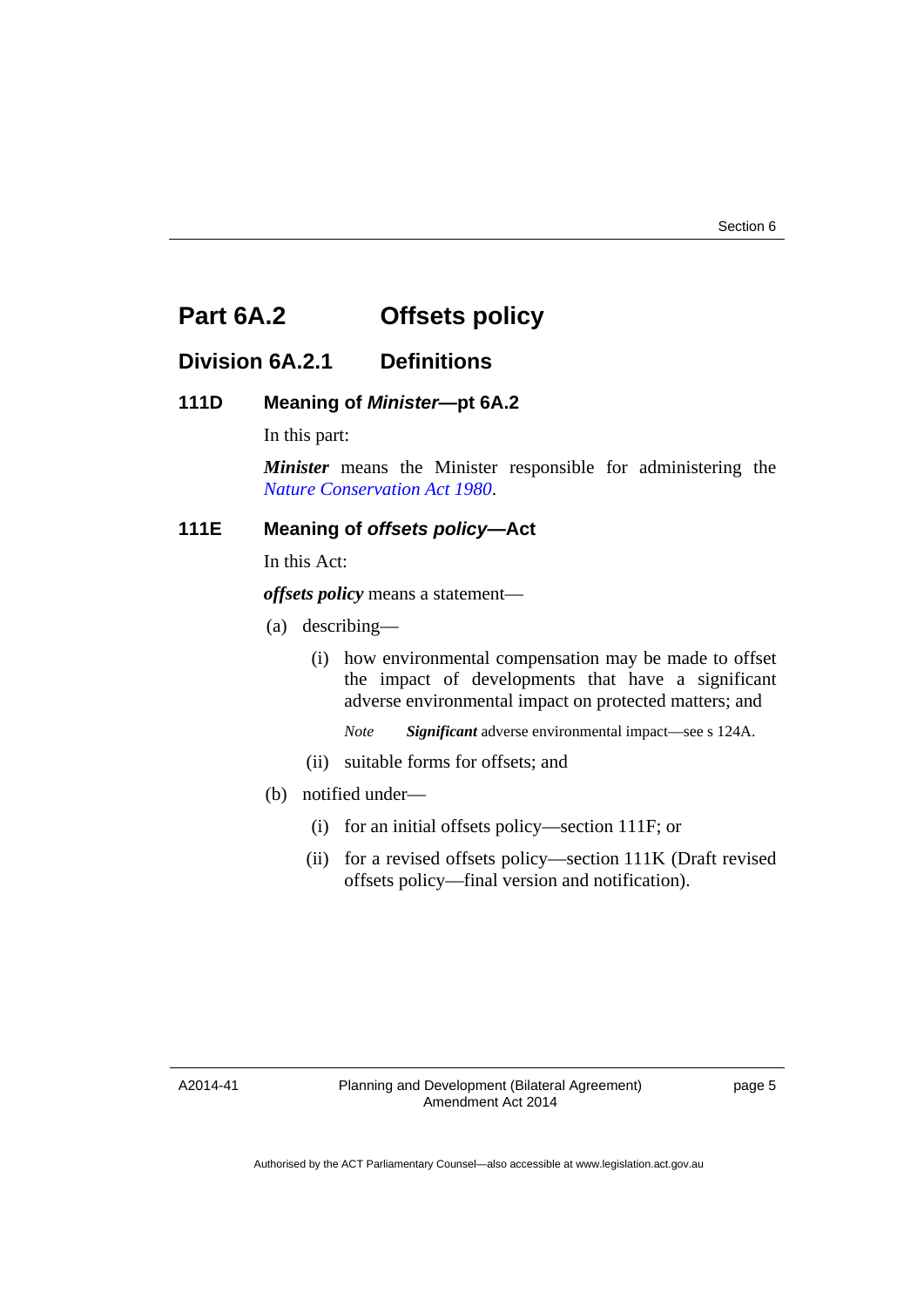# **Part 6A.2 Offsets policy**

# **Division 6A.2.1 Definitions**

# **111D Meaning of** *Minister***—pt 6A.2**

In this part:

*Minister* means the Minister responsible for administering the *[Nature Conservation Act 1980](http://www.legislation.act.gov.au/a/1980-20)*.

# **111E Meaning of** *offsets policy***—Act**

In this Act:

*offsets policy* means a statement—

- (a) describing—
	- (i) how environmental compensation may be made to offset the impact of developments that have a significant adverse environmental impact on protected matters; and

*Note Significant* adverse environmental impact—see s 124A.

- (ii) suitable forms for offsets; and
- (b) notified under—
	- (i) for an initial offsets policy—section 111F; or
	- (ii) for a revised offsets policy—section 111K (Draft revised offsets policy—final version and notification).

A2014-41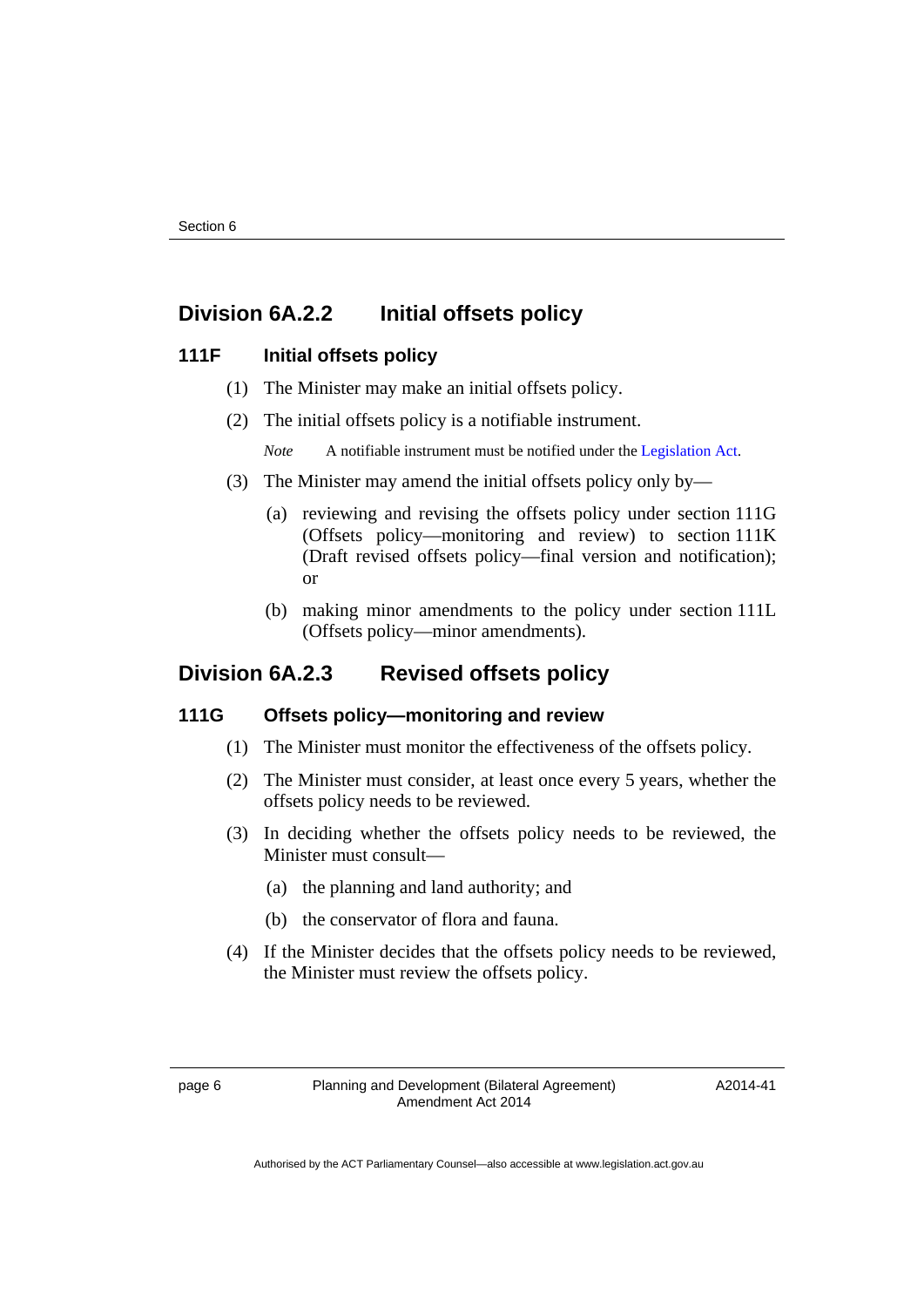# **Division 6A.2.2 Initial offsets policy**

## **111F Initial offsets policy**

- (1) The Minister may make an initial offsets policy.
- (2) The initial offsets policy is a notifiable instrument.
	- *Note* A notifiable instrument must be notified under the [Legislation Act](http://www.legislation.act.gov.au/a/2001-14).
- (3) The Minister may amend the initial offsets policy only by—
	- (a) reviewing and revising the offsets policy under section 111G (Offsets policy—monitoring and review) to section 111K (Draft revised offsets policy—final version and notification); or
	- (b) making minor amendments to the policy under section 111L (Offsets policy—minor amendments).

# **Division 6A.2.3 Revised offsets policy**

### **111G Offsets policy—monitoring and review**

- (1) The Minister must monitor the effectiveness of the offsets policy.
- (2) The Minister must consider, at least once every 5 years, whether the offsets policy needs to be reviewed.
- (3) In deciding whether the offsets policy needs to be reviewed, the Minister must consult—
	- (a) the planning and land authority; and
	- (b) the conservator of flora and fauna.
- (4) If the Minister decides that the offsets policy needs to be reviewed, the Minister must review the offsets policy.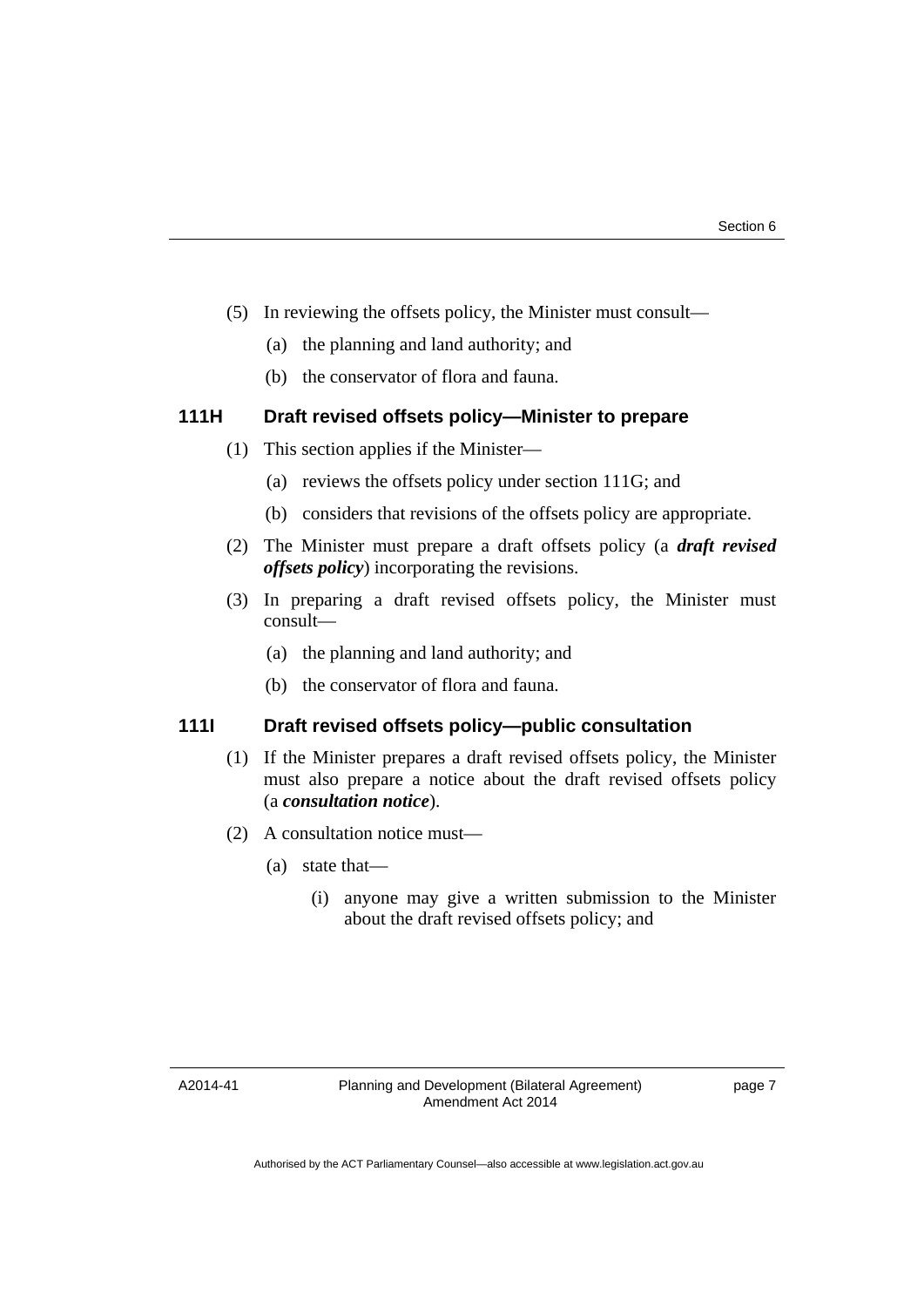- (5) In reviewing the offsets policy, the Minister must consult—
	- (a) the planning and land authority; and
	- (b) the conservator of flora and fauna.

# **111H Draft revised offsets policy—Minister to prepare**

- (1) This section applies if the Minister—
	- (a) reviews the offsets policy under section 111G; and
	- (b) considers that revisions of the offsets policy are appropriate.
- (2) The Minister must prepare a draft offsets policy (a *draft revised offsets policy*) incorporating the revisions.
- (3) In preparing a draft revised offsets policy, the Minister must consult—
	- (a) the planning and land authority; and
	- (b) the conservator of flora and fauna.

# **111I Draft revised offsets policy—public consultation**

- (1) If the Minister prepares a draft revised offsets policy, the Minister must also prepare a notice about the draft revised offsets policy (a *consultation notice*).
- (2) A consultation notice must—
	- (a) state that—
		- (i) anyone may give a written submission to the Minister about the draft revised offsets policy; and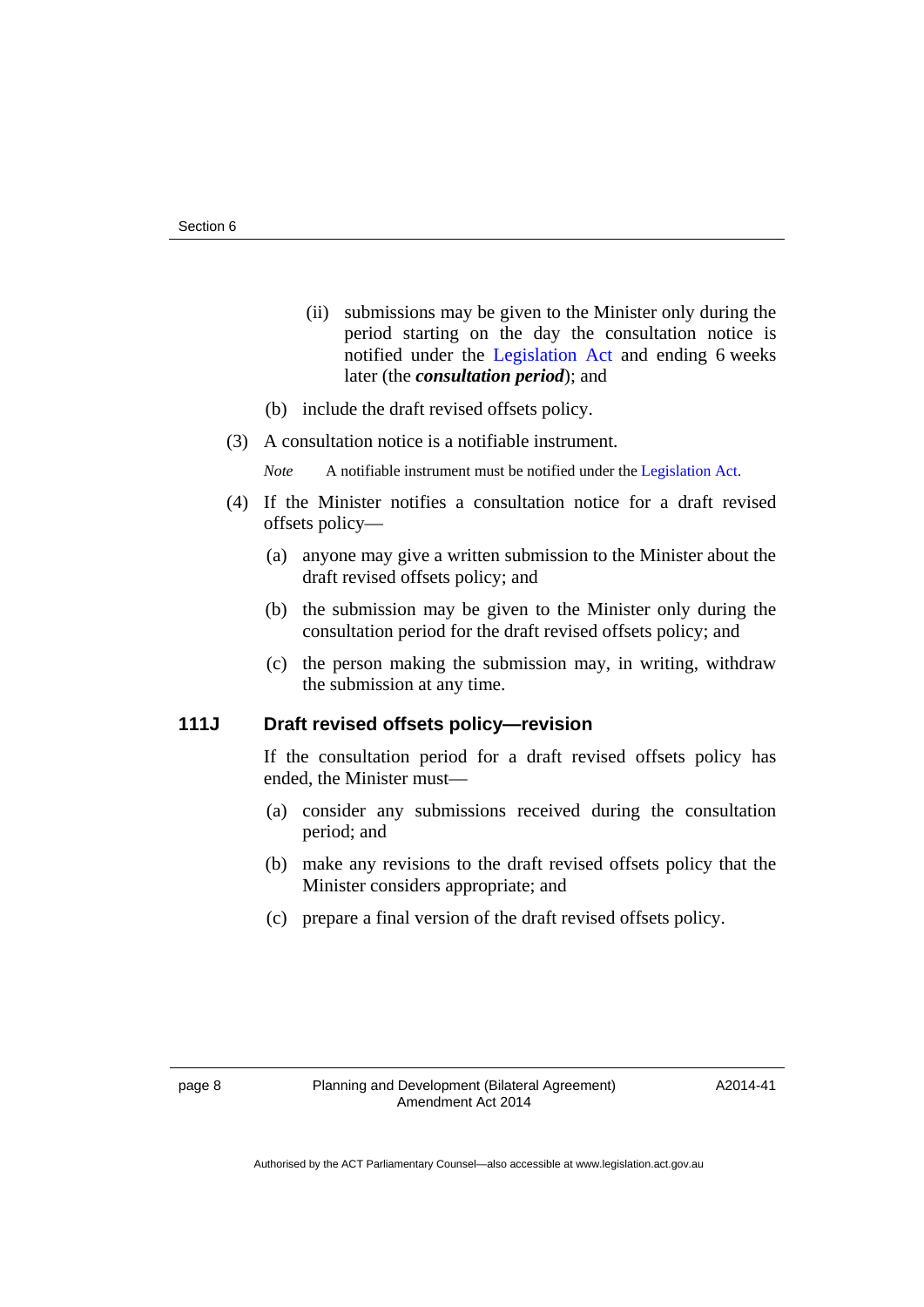- (ii) submissions may be given to the Minister only during the period starting on the day the consultation notice is notified under the [Legislation Act](http://www.legislation.act.gov.au/a/2001-14) and ending 6 weeks later (the *consultation period*); and
- (b) include the draft revised offsets policy.
- (3) A consultation notice is a notifiable instrument.

*Note* A notifiable instrument must be notified under the [Legislation Act](http://www.legislation.act.gov.au/a/2001-14).

- (4) If the Minister notifies a consultation notice for a draft revised offsets policy—
	- (a) anyone may give a written submission to the Minister about the draft revised offsets policy; and
	- (b) the submission may be given to the Minister only during the consultation period for the draft revised offsets policy; and
	- (c) the person making the submission may, in writing, withdraw the submission at any time.

#### **111J Draft revised offsets policy—revision**

If the consultation period for a draft revised offsets policy has ended, the Minister must—

- (a) consider any submissions received during the consultation period; and
- (b) make any revisions to the draft revised offsets policy that the Minister considers appropriate; and
- (c) prepare a final version of the draft revised offsets policy.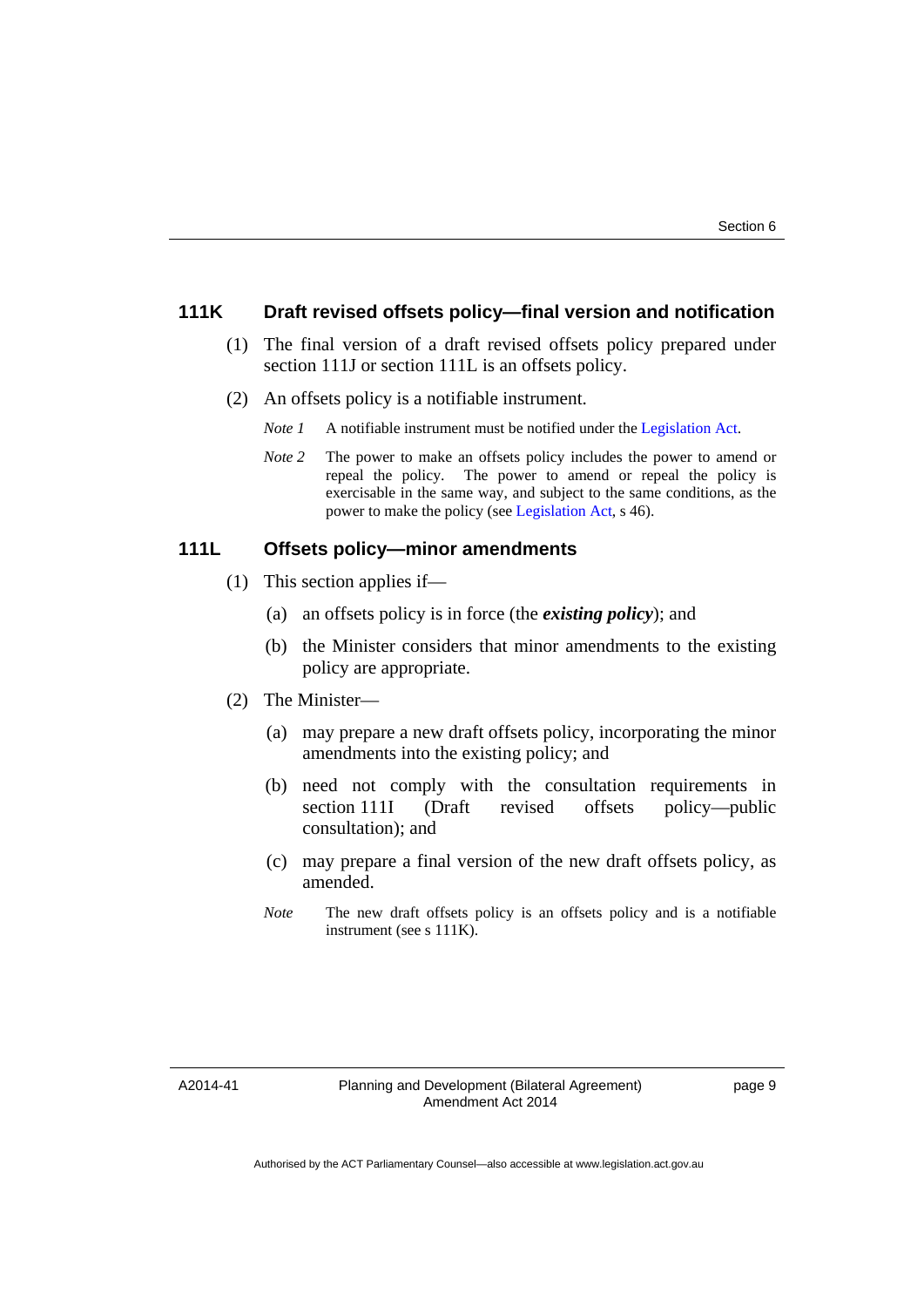#### **111K Draft revised offsets policy—final version and notification**

- (1) The final version of a draft revised offsets policy prepared under section 111J or section 111L is an offsets policy.
- (2) An offsets policy is a notifiable instrument.
	- *Note 1* A notifiable instrument must be notified under the [Legislation Act](http://www.legislation.act.gov.au/a/2001-14).
	- *Note* 2 The power to make an offsets policy includes the power to amend or repeal the policy. The power to amend or repeal the policy is exercisable in the same way, and subject to the same conditions, as the power to make the policy (see [Legislation Act,](http://www.legislation.act.gov.au/a/2001-14) s 46).

#### **111L Offsets policy—minor amendments**

- (1) This section applies if—
	- (a) an offsets policy is in force (the *existing policy*); and
	- (b) the Minister considers that minor amendments to the existing policy are appropriate.
- (2) The Minister—
	- (a) may prepare a new draft offsets policy, incorporating the minor amendments into the existing policy; and
	- (b) need not comply with the consultation requirements in section 111I (Draft revised offsets policy—public consultation); and
	- (c) may prepare a final version of the new draft offsets policy, as amended.
	- *Note* The new draft offsets policy is an offsets policy and is a notifiable instrument (see s 111K).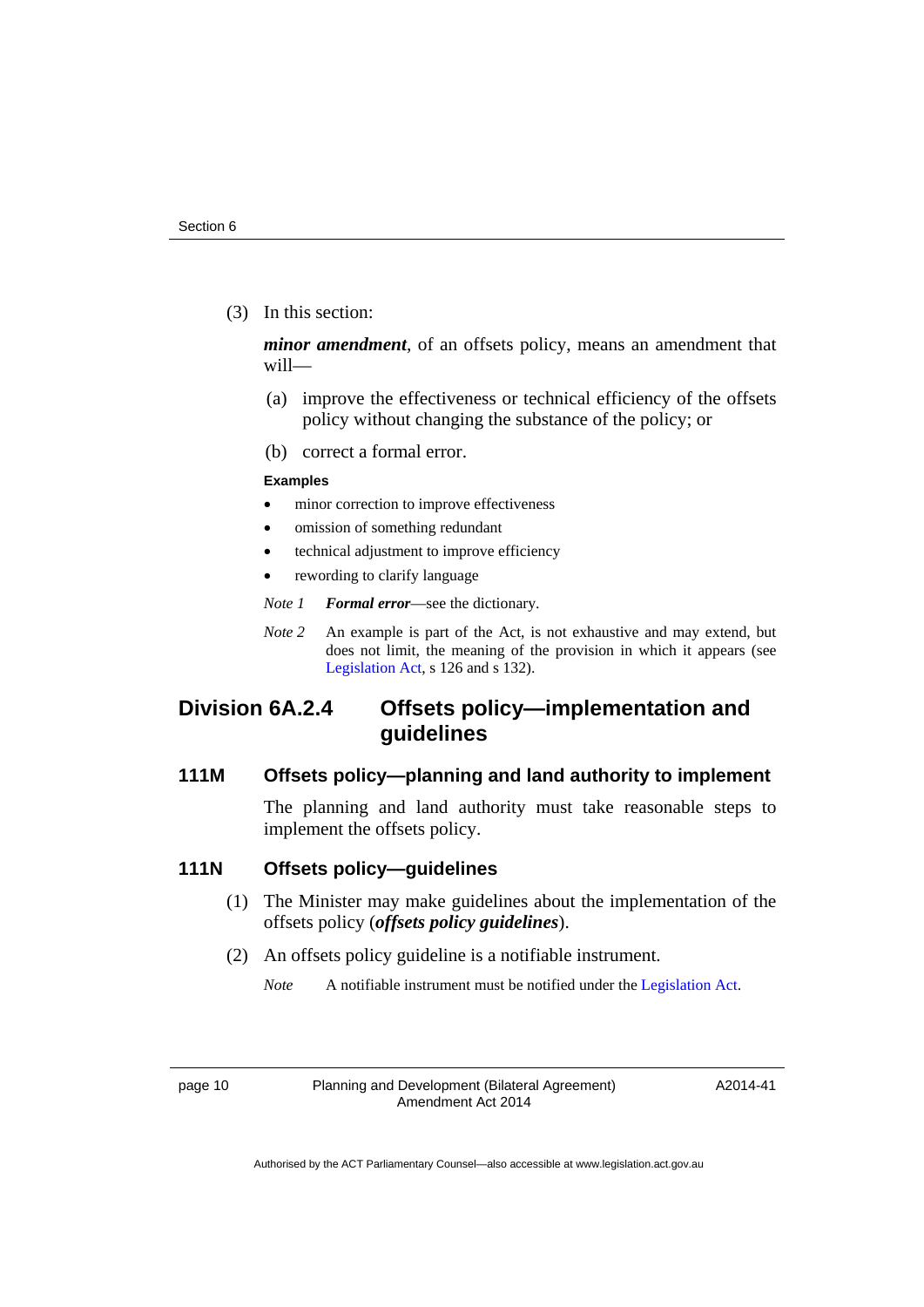(3) In this section:

*minor amendment*, of an offsets policy, means an amendment that will—

- (a) improve the effectiveness or technical efficiency of the offsets policy without changing the substance of the policy; or
- (b) correct a formal error.

#### **Examples**

- minor correction to improve effectiveness
- omission of something redundant
- technical adjustment to improve efficiency
- rewording to clarify language
- *Note 1 Formal error*—see the dictionary.
- *Note 2* An example is part of the Act, is not exhaustive and may extend, but does not limit, the meaning of the provision in which it appears (see [Legislation Act,](http://www.legislation.act.gov.au/a/2001-14) s 126 and s 132).

# **Division 6A.2.4 Offsets policy—implementation and guidelines**

# **111M Offsets policy—planning and land authority to implement**

The planning and land authority must take reasonable steps to implement the offsets policy.

#### **111N Offsets policy—guidelines**

- (1) The Minister may make guidelines about the implementation of the offsets policy (*offsets policy guidelines*).
- (2) An offsets policy guideline is a notifiable instrument.

*Note* A notifiable instrument must be notified under the [Legislation Act](http://www.legislation.act.gov.au/a/2001-14).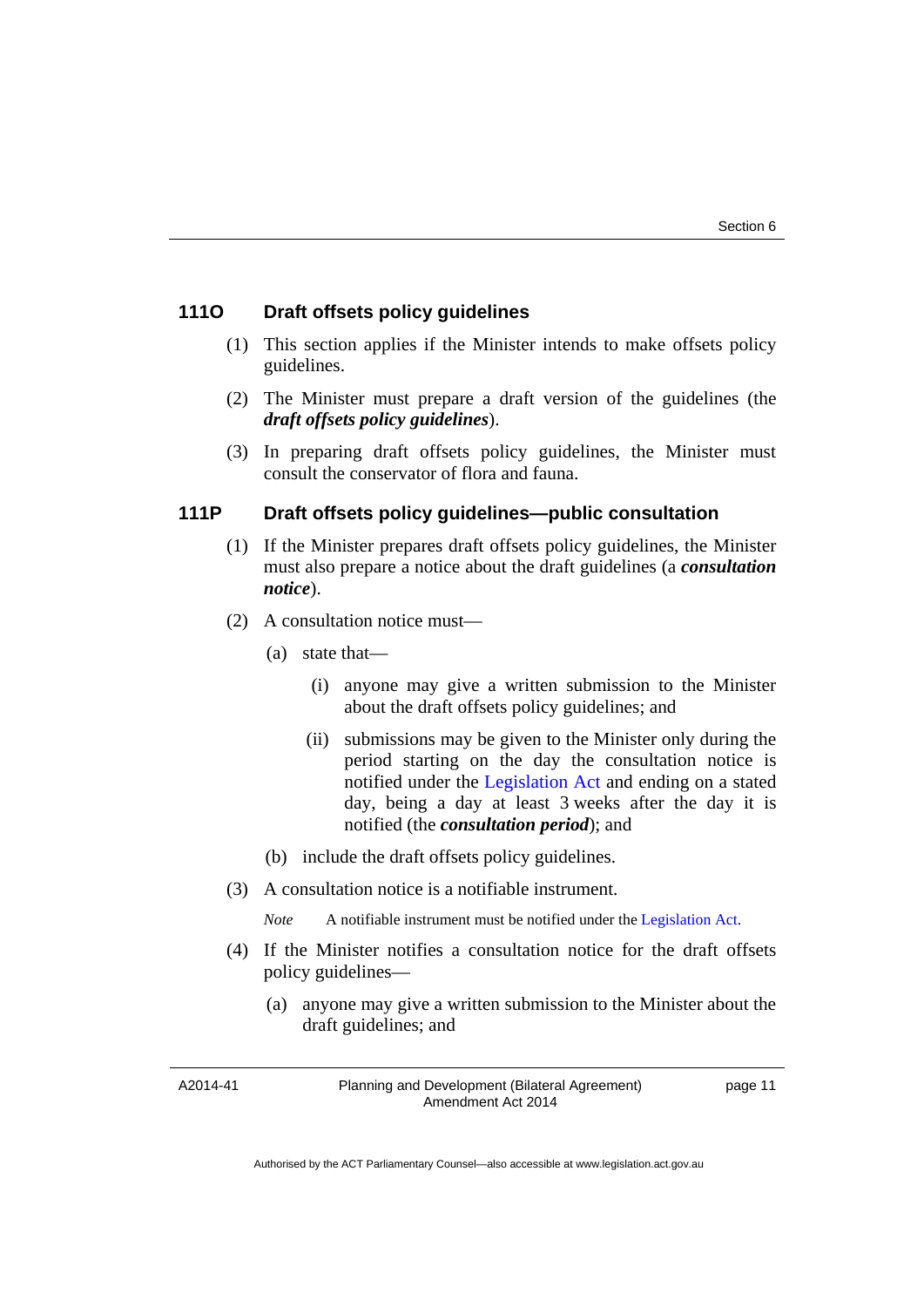### **111O Draft offsets policy guidelines**

- (1) This section applies if the Minister intends to make offsets policy guidelines.
- (2) The Minister must prepare a draft version of the guidelines (the *draft offsets policy guidelines*).
- (3) In preparing draft offsets policy guidelines, the Minister must consult the conservator of flora and fauna.

#### **111P Draft offsets policy guidelines—public consultation**

- (1) If the Minister prepares draft offsets policy guidelines, the Minister must also prepare a notice about the draft guidelines (a *consultation notice*).
- (2) A consultation notice must—
	- (a) state that—
		- (i) anyone may give a written submission to the Minister about the draft offsets policy guidelines; and
		- (ii) submissions may be given to the Minister only during the period starting on the day the consultation notice is notified under the [Legislation Act](http://www.legislation.act.gov.au/a/2001-14) and ending on a stated day, being a day at least 3 weeks after the day it is notified (the *consultation period*); and
	- (b) include the draft offsets policy guidelines.
- (3) A consultation notice is a notifiable instrument.

*Note* A notifiable instrument must be notified under the [Legislation Act](http://www.legislation.act.gov.au/a/2001-14).

- (4) If the Minister notifies a consultation notice for the draft offsets policy guidelines—
	- (a) anyone may give a written submission to the Minister about the draft guidelines; and

A2014-41

Planning and Development (Bilateral Agreement) Amendment Act 2014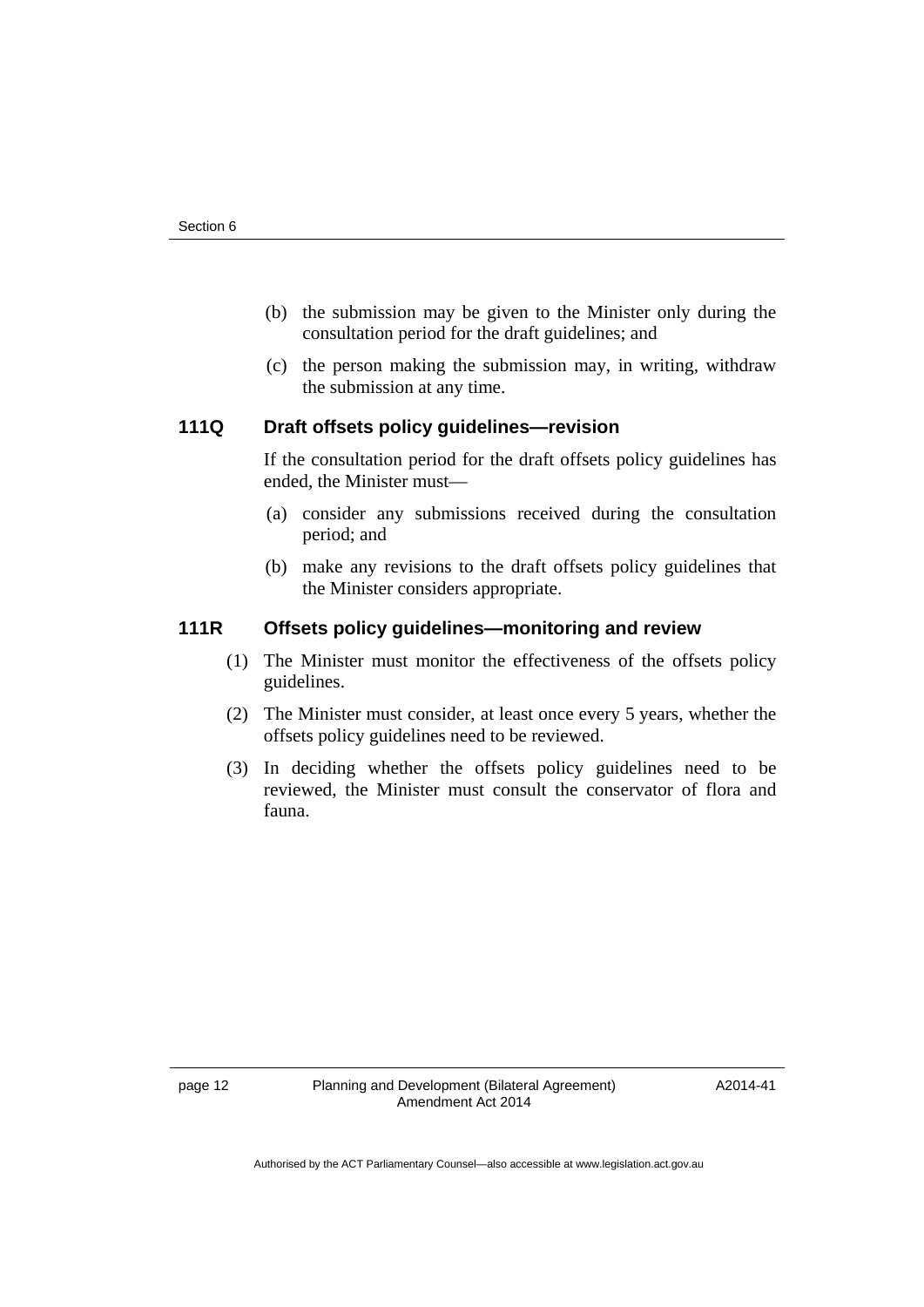- (b) the submission may be given to the Minister only during the consultation period for the draft guidelines; and
- (c) the person making the submission may, in writing, withdraw the submission at any time.

#### **111Q Draft offsets policy guidelines—revision**

If the consultation period for the draft offsets policy guidelines has ended, the Minister must—

- (a) consider any submissions received during the consultation period; and
- (b) make any revisions to the draft offsets policy guidelines that the Minister considers appropriate.

# **111R Offsets policy guidelines—monitoring and review**

- (1) The Minister must monitor the effectiveness of the offsets policy guidelines.
- (2) The Minister must consider, at least once every 5 years, whether the offsets policy guidelines need to be reviewed.
- (3) In deciding whether the offsets policy guidelines need to be reviewed, the Minister must consult the conservator of flora and fauna.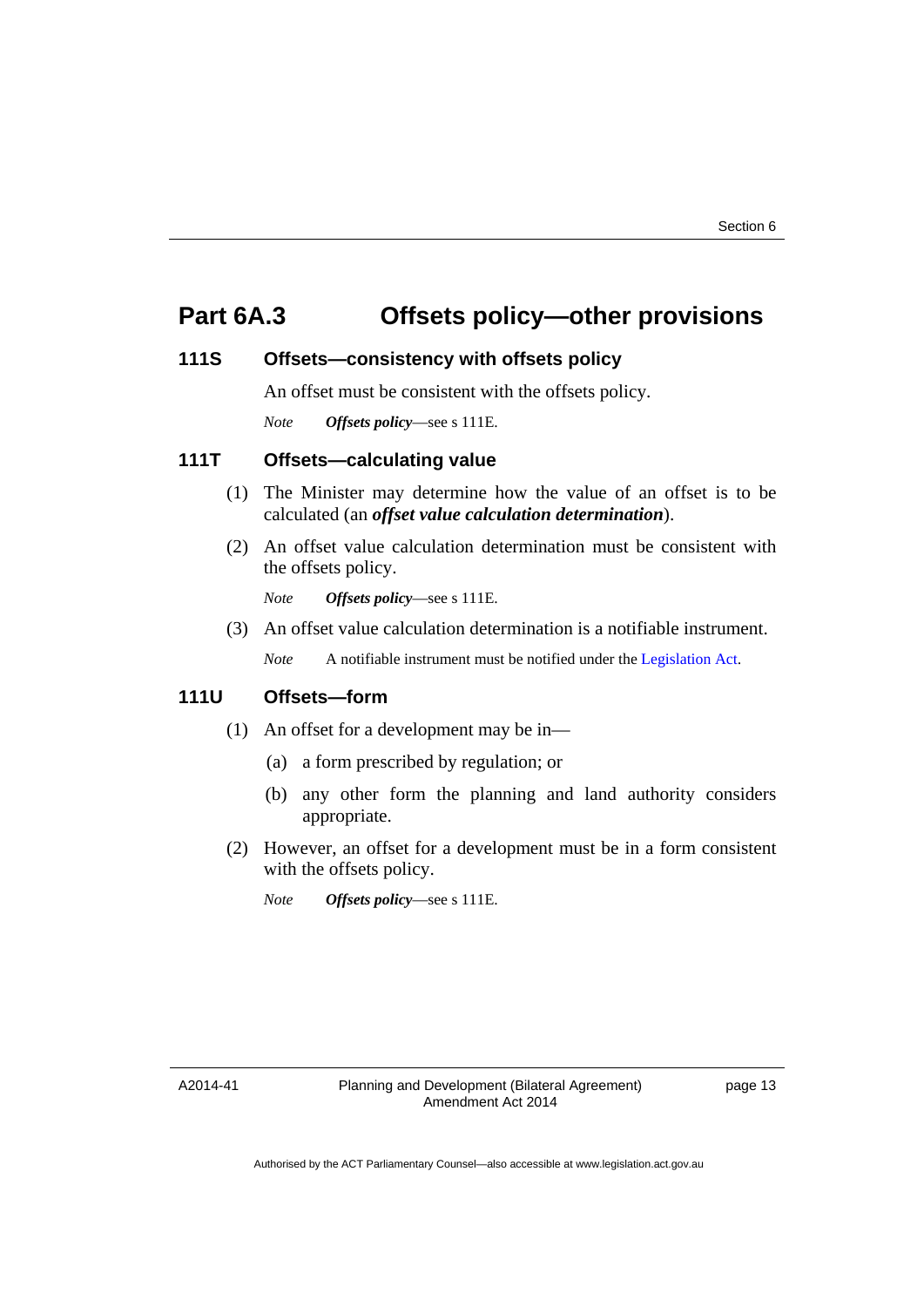# **Part 6A.3 Offsets policy—other provisions**

#### **111S Offsets—consistency with offsets policy**

An offset must be consistent with the offsets policy.

*Note Offsets policy*—see s 111E.

#### **111T Offsets—calculating value**

- (1) The Minister may determine how the value of an offset is to be calculated (an *offset value calculation determination*).
- (2) An offset value calculation determination must be consistent with the offsets policy.

*Note Offsets policy*—see s 111E.

(3) An offset value calculation determination is a notifiable instrument.

*Note* A notifiable instrument must be notified under the [Legislation Act](http://www.legislation.act.gov.au/a/2001-14).

# **111U Offsets—form**

- (1) An offset for a development may be in—
	- (a) a form prescribed by regulation; or
	- (b) any other form the planning and land authority considers appropriate.
- (2) However, an offset for a development must be in a form consistent with the offsets policy.

*Note Offsets policy*—see s 111E.

A2014-41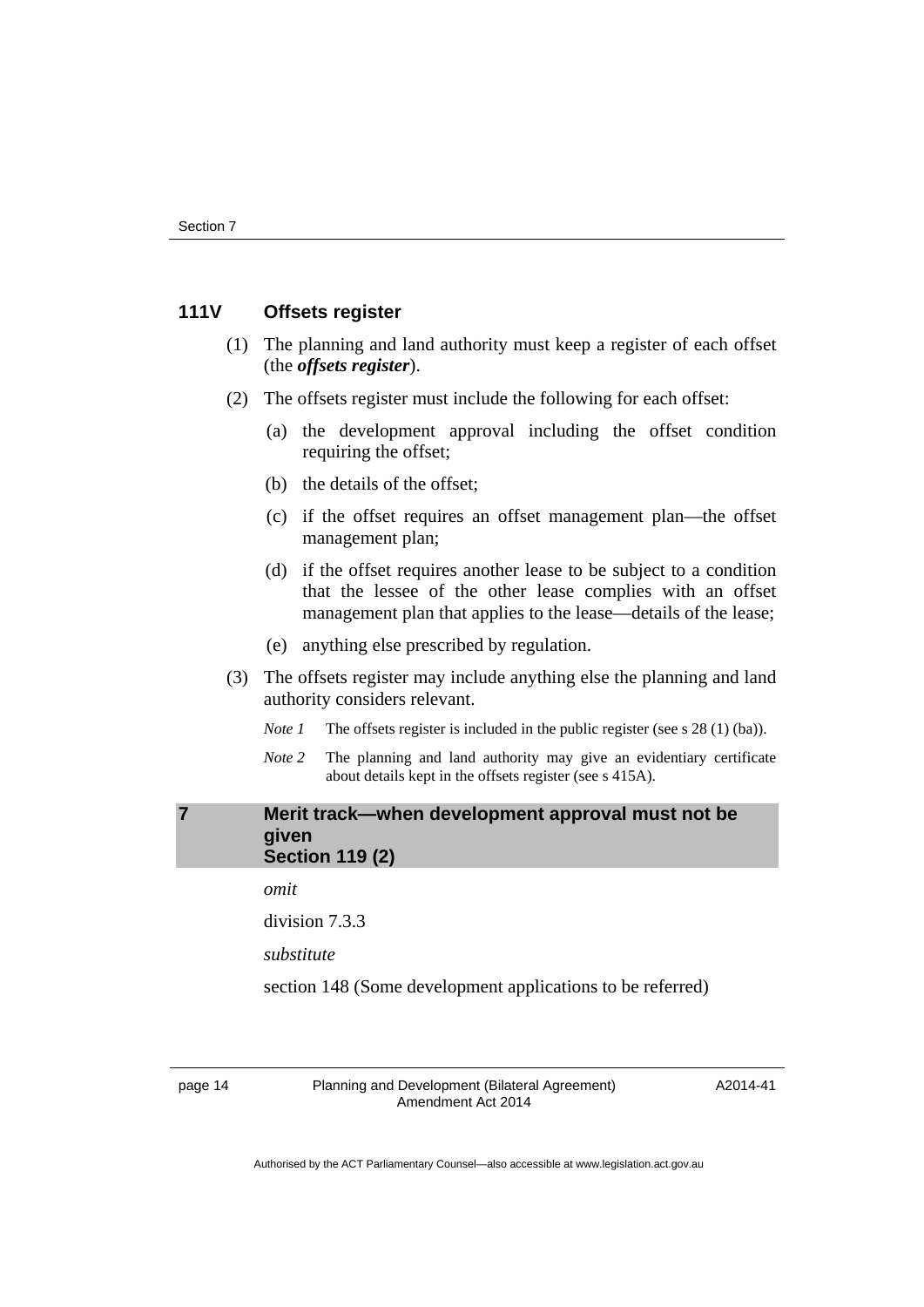#### **111V Offsets register**

- (1) The planning and land authority must keep a register of each offset (the *offsets register*).
- (2) The offsets register must include the following for each offset:
	- (a) the development approval including the offset condition requiring the offset;
	- (b) the details of the offset;
	- (c) if the offset requires an offset management plan—the offset management plan;
	- (d) if the offset requires another lease to be subject to a condition that the lessee of the other lease complies with an offset management plan that applies to the lease—details of the lease;
	- (e) anything else prescribed by regulation.
- (3) The offsets register may include anything else the planning and land authority considers relevant.
	- *Note 1* The offsets register is included in the public register (see s 28 (1) (ba)).
	- *Note 2* The planning and land authority may give an evidentiary certificate about details kept in the offsets register (see s 415A).

#### <span id="page-17-0"></span>**7 Merit track—when development approval must not be given Section 119 (2)**

*omit* 

division 7.3.3

*substitute* 

section 148 (Some development applications to be referred)

page 14 Planning and Development (Bilateral Agreement) Amendment Act 2014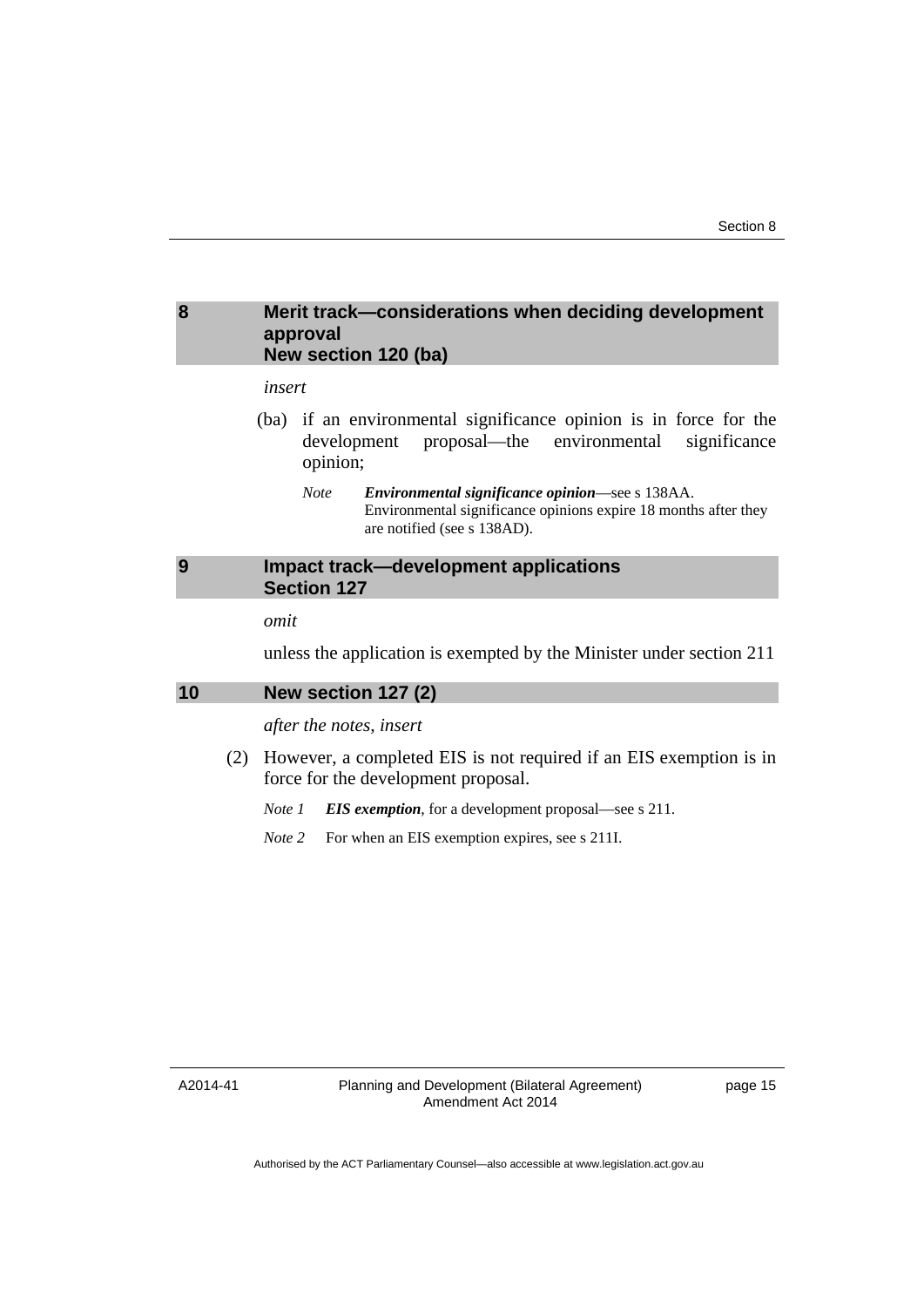#### <span id="page-18-0"></span>**8 Merit track—considerations when deciding development approval New section 120 (ba)**

#### *insert*

- (ba) if an environmental significance opinion is in force for the development proposal—the environmental significance opinion;
	- *Note Environmental significance opinion*—see s 138AA. Environmental significance opinions expire 18 months after they are notified (see s 138AD).

## <span id="page-18-1"></span>**9 Impact track—development applications Section 127**

#### *omit*

unless the application is exempted by the Minister under section 211

#### <span id="page-18-2"></span>**10 New section 127 (2)**

#### *after the notes, insert*

 (2) However, a completed EIS is not required if an EIS exemption is in force for the development proposal.

*Note 1 EIS exemption*, for a development proposal—see s 211.

*Note* 2 For when an EIS exemption expires, see s 211I.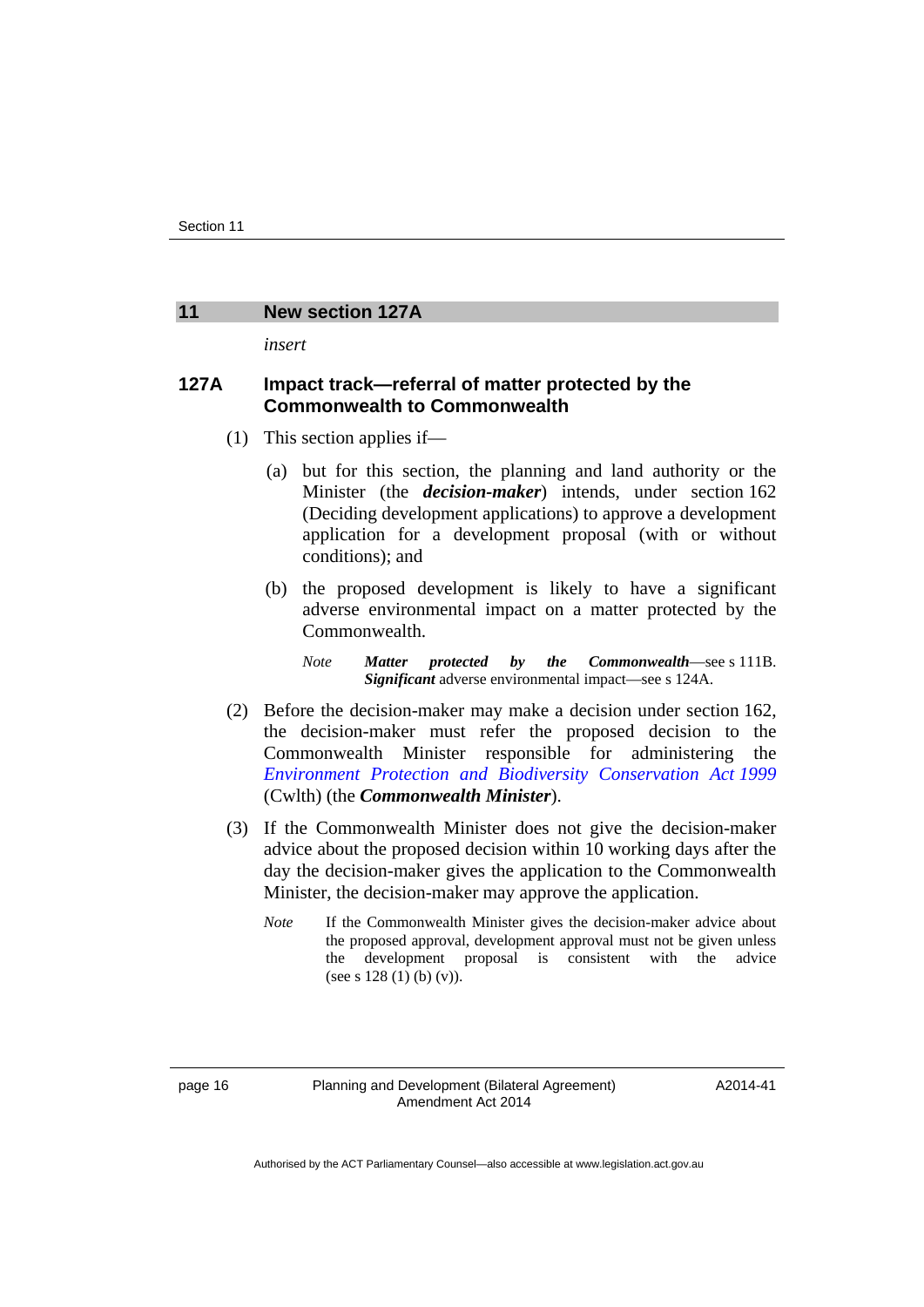#### <span id="page-19-0"></span>**11 New section 127A**

*insert* 

## **127A Impact track—referral of matter protected by the Commonwealth to Commonwealth**

- (1) This section applies if—
	- (a) but for this section, the planning and land authority or the Minister (the *decision-maker*) intends, under section 162 (Deciding development applications) to approve a development application for a development proposal (with or without conditions); and
	- (b) the proposed development is likely to have a significant adverse environmental impact on a matter protected by the Commonwealth.

*Note Matter protected by the Commonwealth*—see s 111B. *Significant* adverse environmental impact—see s 124A.

- (2) Before the decision-maker may make a decision under section 162, the decision-maker must refer the proposed decision to the Commonwealth Minister responsible for administering the *[Environment Protection and Biodiversity Conservation Act 1999](http://www.comlaw.gov.au/Series/C2004A00485)* (Cwlth) (the *Commonwealth Minister*).
- (3) If the Commonwealth Minister does not give the decision-maker advice about the proposed decision within 10 working days after the day the decision-maker gives the application to the Commonwealth Minister, the decision-maker may approve the application.
	- *Note* If the Commonwealth Minister gives the decision-maker advice about the proposed approval, development approval must not be given unless the development proposal is consistent with the advice (see s  $128(1)$  (b) (v)).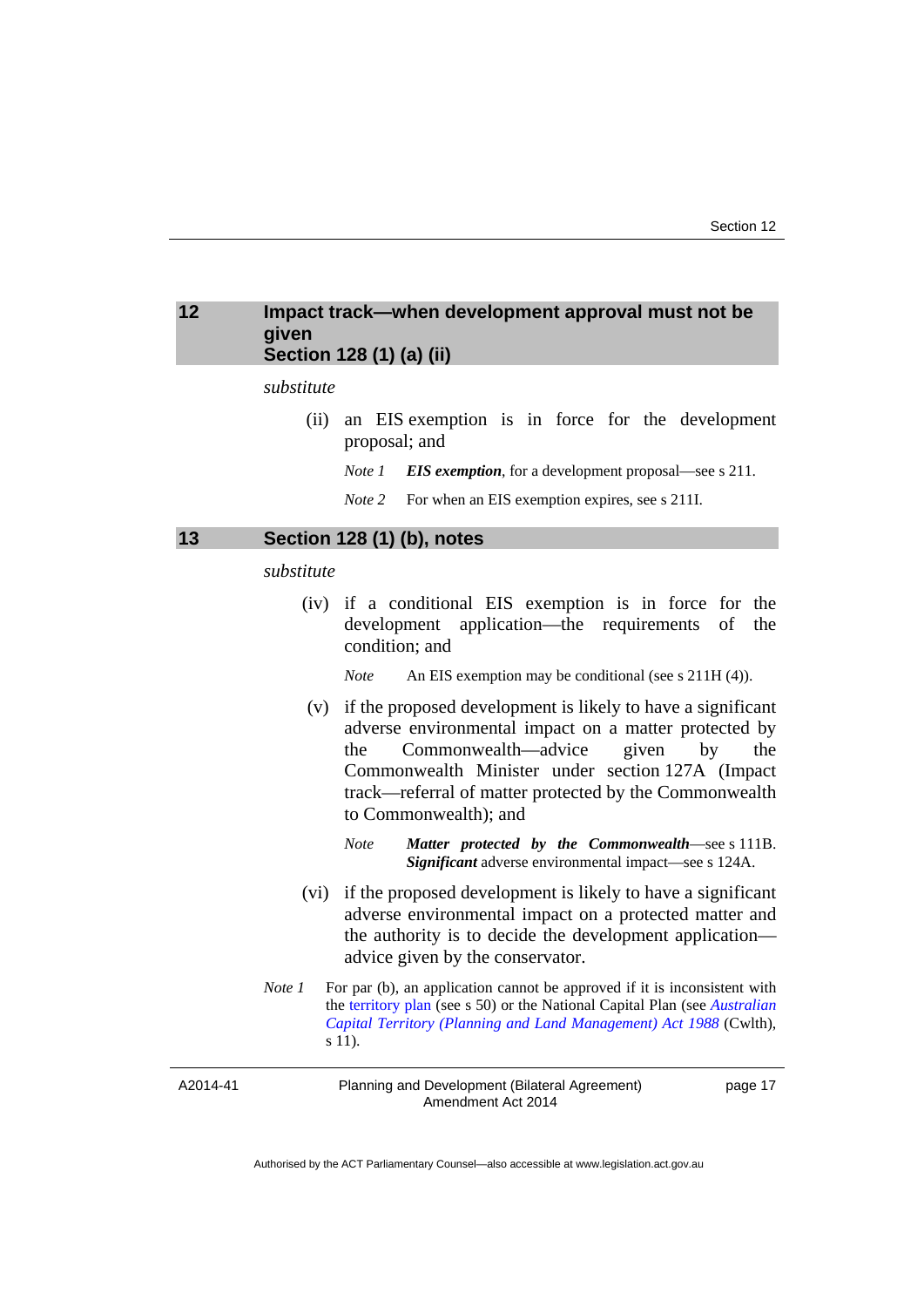## <span id="page-20-0"></span>**12 Impact track—when development approval must not be given Section 128 (1) (a) (ii)**

#### *substitute*

 (ii) an EIS exemption is in force for the development proposal; and

*Note 1 EIS exemption*, for a development proposal—see s 211.

*Note* 2 For when an EIS exemption expires, see s 211I.

#### <span id="page-20-1"></span>**13 Section 128 (1) (b), notes**

#### *substitute*

 (iv) if a conditional EIS exemption is in force for the development application—the requirements of the condition; and

*Note* An EIS exemption may be conditional (see s 211H (4)).

- (v) if the proposed development is likely to have a significant adverse environmental impact on a matter protected by the Commonwealth—advice given by the Commonwealth Minister under section 127A (Impact track—referral of matter protected by the Commonwealth to Commonwealth); and
	- *Note Matter protected by the Commonwealth*—see s 111B. *Significant* adverse environmental impact—see s 124A.
- (vi) if the proposed development is likely to have a significant adverse environmental impact on a protected matter and the authority is to decide the development application advice given by the conservator.
- *Note 1* For par (b), an application cannot be approved if it is inconsistent with the [territory plan](http://www.legislation.act.gov.au/ni/2008-27/default.asp) (see s 50) or the National Capital Plan (see *[Australian](http://www.comlaw.gov.au/Series/C2004A03701)  [Capital Territory \(Planning and Land Management\) Act 1988](http://www.comlaw.gov.au/Series/C2004A03701)* (Cwlth), s 11).

A2014-41

Planning and Development (Bilateral Agreement) Amendment Act 2014

page 17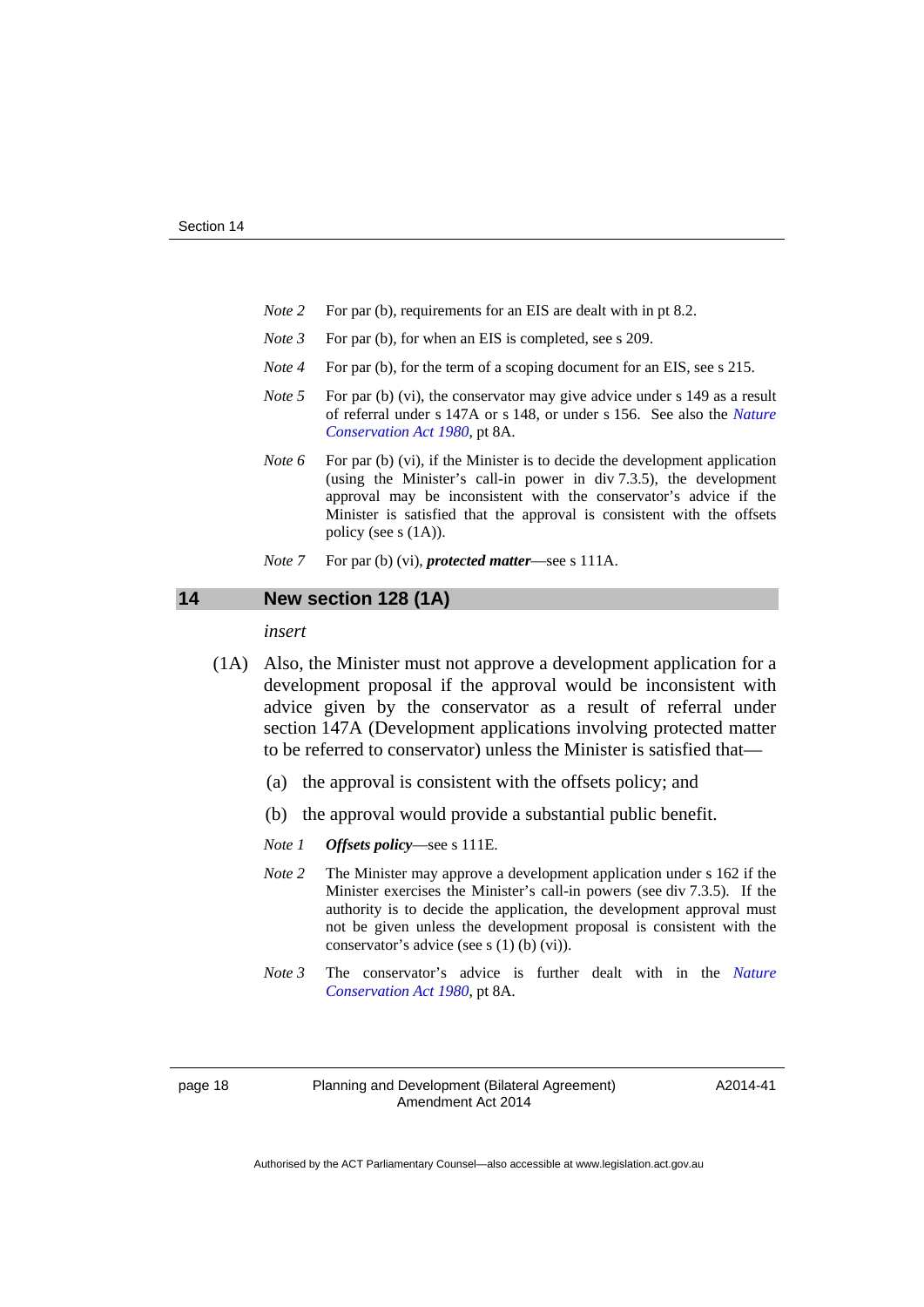- *Note* 2 For par (b), requirements for an EIS are dealt with in pt 8.2.
- *Note 3* For par (b), for when an EIS is completed, see s 209.
- *Note 4* For par (b), for the term of a scoping document for an EIS, see s 215.
- *Note* 5 For par (b) (vi), the conservator may give advice under s 149 as a result of referral under s 147A or s 148, or under s 156. See also the *[Nature](http://www.legislation.act.gov.au/a/1980-20)  [Conservation Act 1980](http://www.legislation.act.gov.au/a/1980-20)*, pt 8A.
- *Note* 6 For par (b) (vi), if the Minister is to decide the development application (using the Minister's call-in power in div 7.3.5), the development approval may be inconsistent with the conservator's advice if the Minister is satisfied that the approval is consistent with the offsets policy (see s (1A)).
- *Note* 7 For par (b) (vi), *protected matter*—see s 111A.

#### <span id="page-21-0"></span>**14 New section 128 (1A)**

*insert* 

- (1A) Also, the Minister must not approve a development application for a development proposal if the approval would be inconsistent with advice given by the conservator as a result of referral under section 147A (Development applications involving protected matter to be referred to conservator) unless the Minister is satisfied that—
	- (a) the approval is consistent with the offsets policy; and
	- (b) the approval would provide a substantial public benefit.
	- *Note 1 Offsets policy*—see s 111E.
	- *Note 2* The Minister may approve a development application under s 162 if the Minister exercises the Minister's call-in powers (see div 7.3.5). If the authority is to decide the application, the development approval must not be given unless the development proposal is consistent with the conservator's advice (see s (1) (b) (vi)).
	- *Note 3* The conservator's advice is further dealt with in the *[Nature](http://www.legislation.act.gov.au/a/1980-20)  [Conservation Act 1980](http://www.legislation.act.gov.au/a/1980-20)*, pt 8A.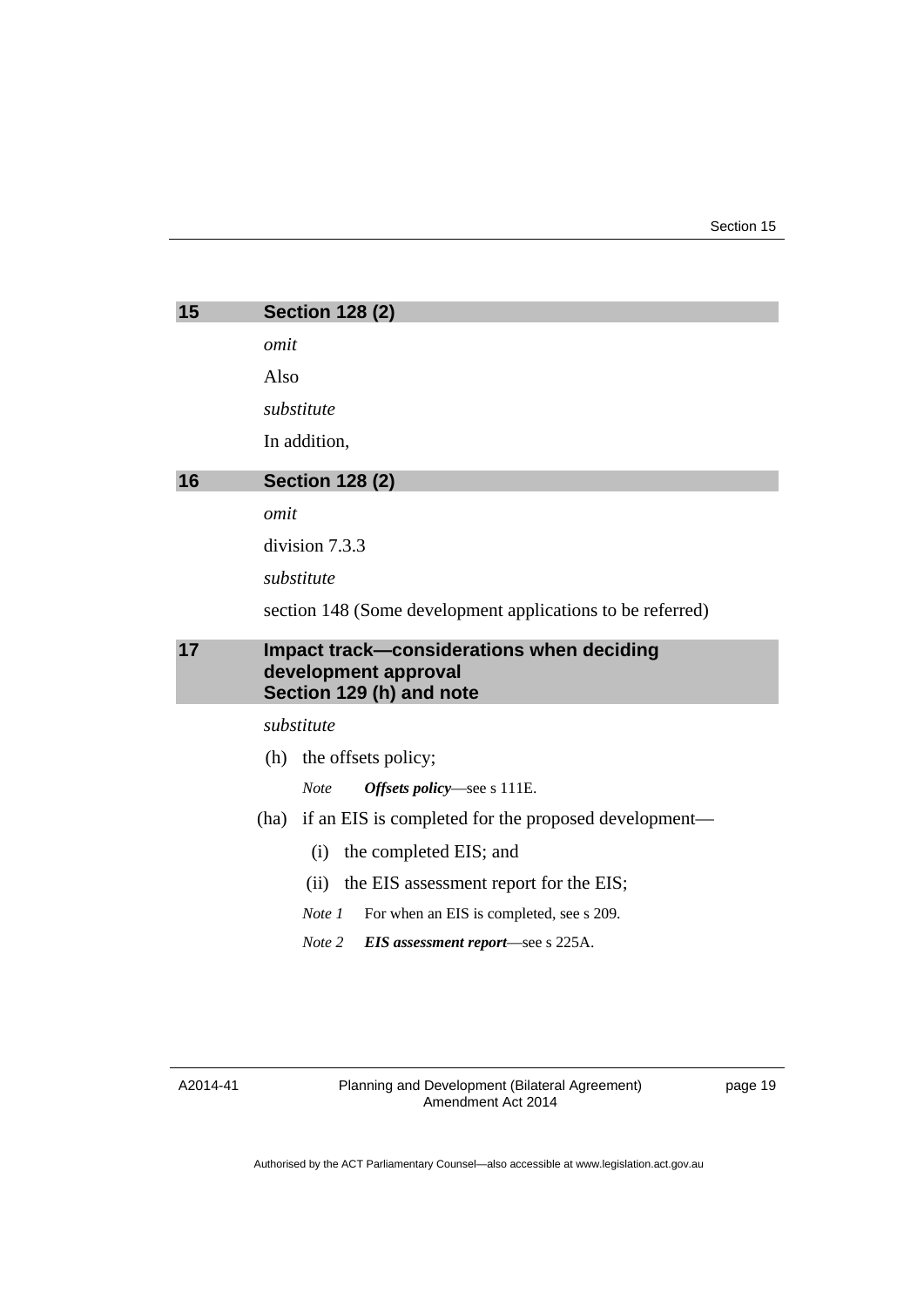<span id="page-22-2"></span><span id="page-22-1"></span><span id="page-22-0"></span>

|    | <b>Section 128 (2)</b>                                                                        |  |
|----|-----------------------------------------------------------------------------------------------|--|
|    | omit                                                                                          |  |
|    | Also                                                                                          |  |
|    | substitute                                                                                    |  |
|    | In addition,                                                                                  |  |
| 16 | <b>Section 128 (2)</b>                                                                        |  |
|    | omit                                                                                          |  |
|    | division 7.3.3                                                                                |  |
|    | substitute                                                                                    |  |
|    | section 148 (Some development applications to be referred)                                    |  |
| 17 | Impact track-considerations when deciding<br>development approval<br>Section 129 (h) and note |  |
|    | substitute                                                                                    |  |
|    | (h) the offsets policy;                                                                       |  |
|    | <b>Note</b><br>Offsets policy—see s 111E.                                                     |  |
|    | if an EIS is completed for the proposed development—<br>(ha)                                  |  |
|    | the completed EIS; and<br>(i)                                                                 |  |
|    | the EIS assessment report for the EIS;<br>(ii)                                                |  |
|    | Note 1<br>For when an EIS is completed, see s 209.                                            |  |
|    | Note 2<br>EIS assessment report—see s 225A.                                                   |  |
|    |                                                                                               |  |

A2014-41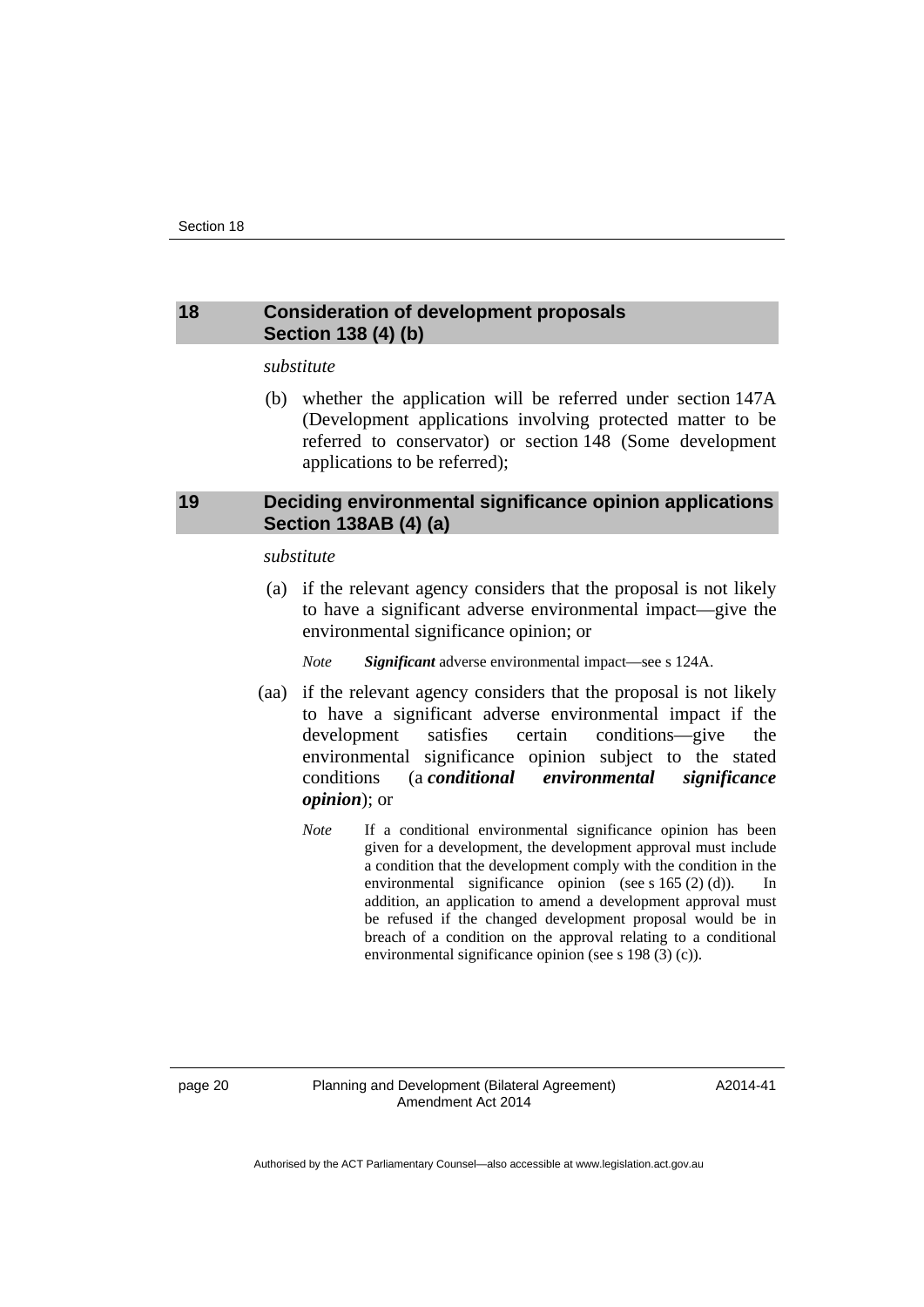#### <span id="page-23-0"></span>**18 Consideration of development proposals Section 138 (4) (b)**

#### *substitute*

 (b) whether the application will be referred under section 147A (Development applications involving protected matter to be referred to conservator) or section 148 (Some development applications to be referred);

# <span id="page-23-1"></span>**19 Deciding environmental significance opinion applications Section 138AB (4) (a)**

#### *substitute*

 (a) if the relevant agency considers that the proposal is not likely to have a significant adverse environmental impact—give the environmental significance opinion; or

*Note Significant* adverse environmental impact—see s 124A.

- (aa) if the relevant agency considers that the proposal is not likely to have a significant adverse environmental impact if the development satisfies certain conditions—give the environmental significance opinion subject to the stated conditions (a *conditional environmental significance opinion*); or
	- *Note* If a conditional environmental significance opinion has been given for a development, the development approval must include a condition that the development comply with the condition in the environmental significance opinion (see s 165 (2) (d)). In addition, an application to amend a development approval must be refused if the changed development proposal would be in breach of a condition on the approval relating to a conditional environmental significance opinion (see s 198 (3) (c)).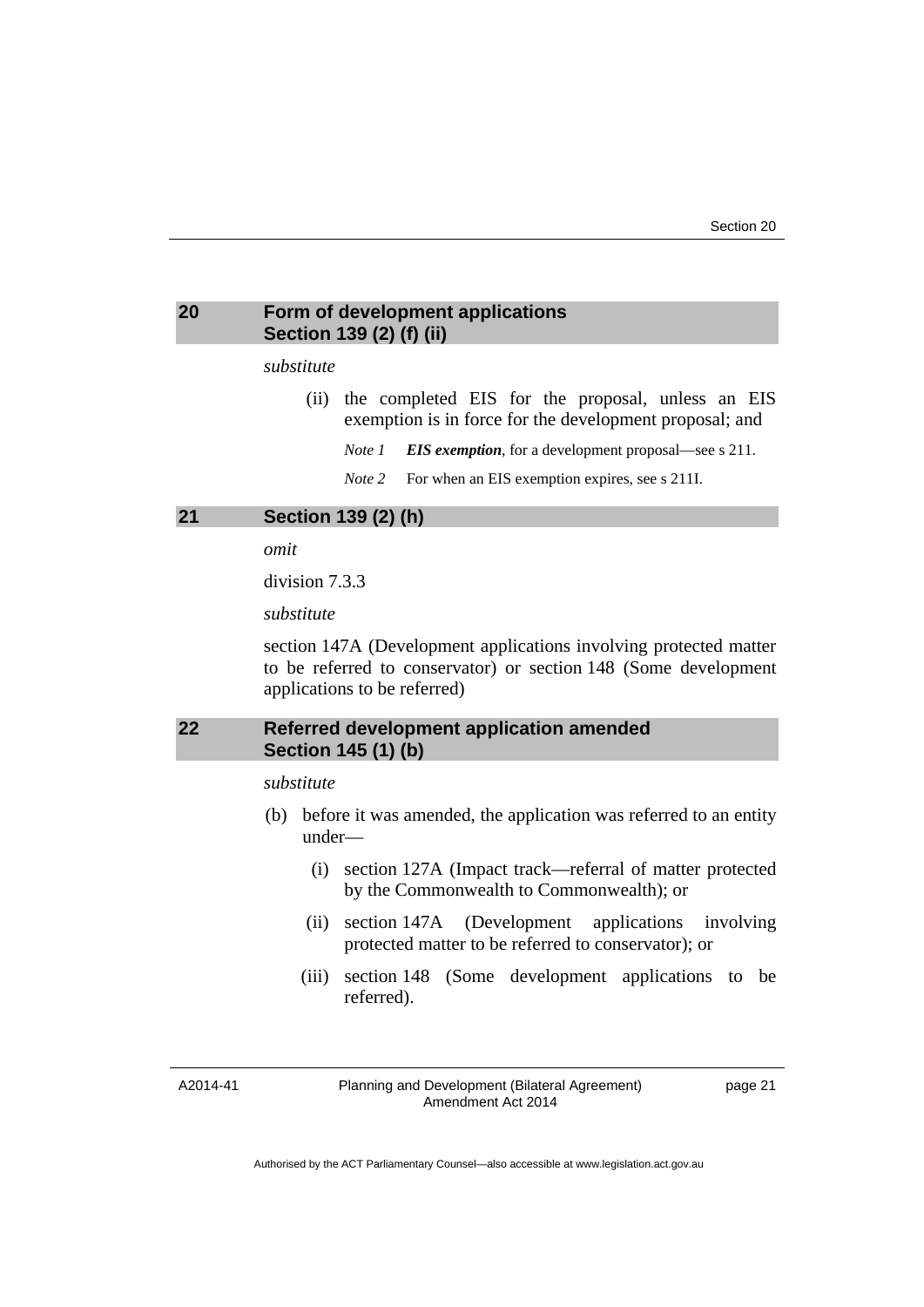### <span id="page-24-0"></span>**20 Form of development applications Section 139 (2) (f) (ii)**

#### *substitute*

- (ii) the completed EIS for the proposal, unless an EIS exemption is in force for the development proposal; and
	- *Note 1 EIS exemption*, for a development proposal—see s 211.
	- *Note* 2 For when an EIS exemption expires, see s 211I.

#### <span id="page-24-1"></span>**21 Section 139 (2) (h)**

*omit* 

division 7.3.3

*substitute*

section 147A (Development applications involving protected matter to be referred to conservator) or section 148 (Some development applications to be referred)

# <span id="page-24-2"></span>**22 Referred development application amended Section 145 (1) (b)**

#### *substitute*

- (b) before it was amended, the application was referred to an entity under—
	- (i) section 127A (Impact track—referral of matter protected by the Commonwealth to Commonwealth); or
	- (ii) section 147A (Development applications involving protected matter to be referred to conservator); or
	- (iii) section 148 (Some development applications to be referred).

A2014-41

Planning and Development (Bilateral Agreement) Amendment Act 2014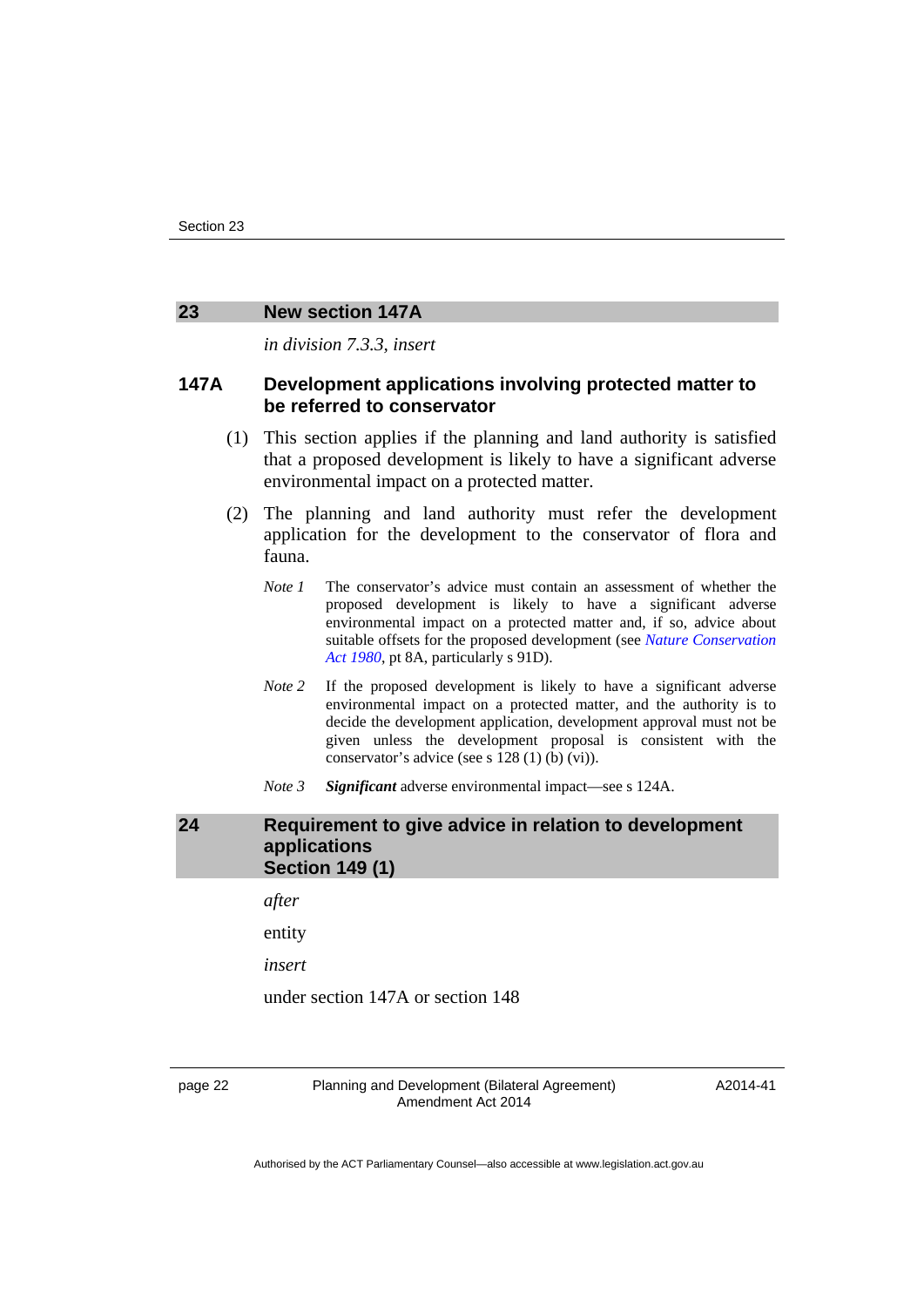#### <span id="page-25-0"></span>**23 New section 147A**

*in division 7.3.3, insert* 

#### **147A Development applications involving protected matter to be referred to conservator**

- (1) This section applies if the planning and land authority is satisfied that a proposed development is likely to have a significant adverse environmental impact on a protected matter.
- (2) The planning and land authority must refer the development application for the development to the conservator of flora and fauna.
	- *Note 1* The conservator's advice must contain an assessment of whether the proposed development is likely to have a significant adverse environmental impact on a protected matter and, if so, advice about suitable offsets for the proposed development (see *[Nature Conservation](http://www.legislation.act.gov.au/a/1980-20)  [Act 1980](http://www.legislation.act.gov.au/a/1980-20)*, pt 8A, particularly s 91D).
	- *Note 2* If the proposed development is likely to have a significant adverse environmental impact on a protected matter, and the authority is to decide the development application, development approval must not be given unless the development proposal is consistent with the conservator's advice (see s 128 (1) (b) (vi)).
	- *Note 3 Significant* adverse environmental impact—see s 124A.

## <span id="page-25-1"></span>**24 Requirement to give advice in relation to development applications Section 149 (1)**

*after* 

entity

*insert* 

under section 147A or section 148

page 22 Planning and Development (Bilateral Agreement) Amendment Act 2014

A2014-41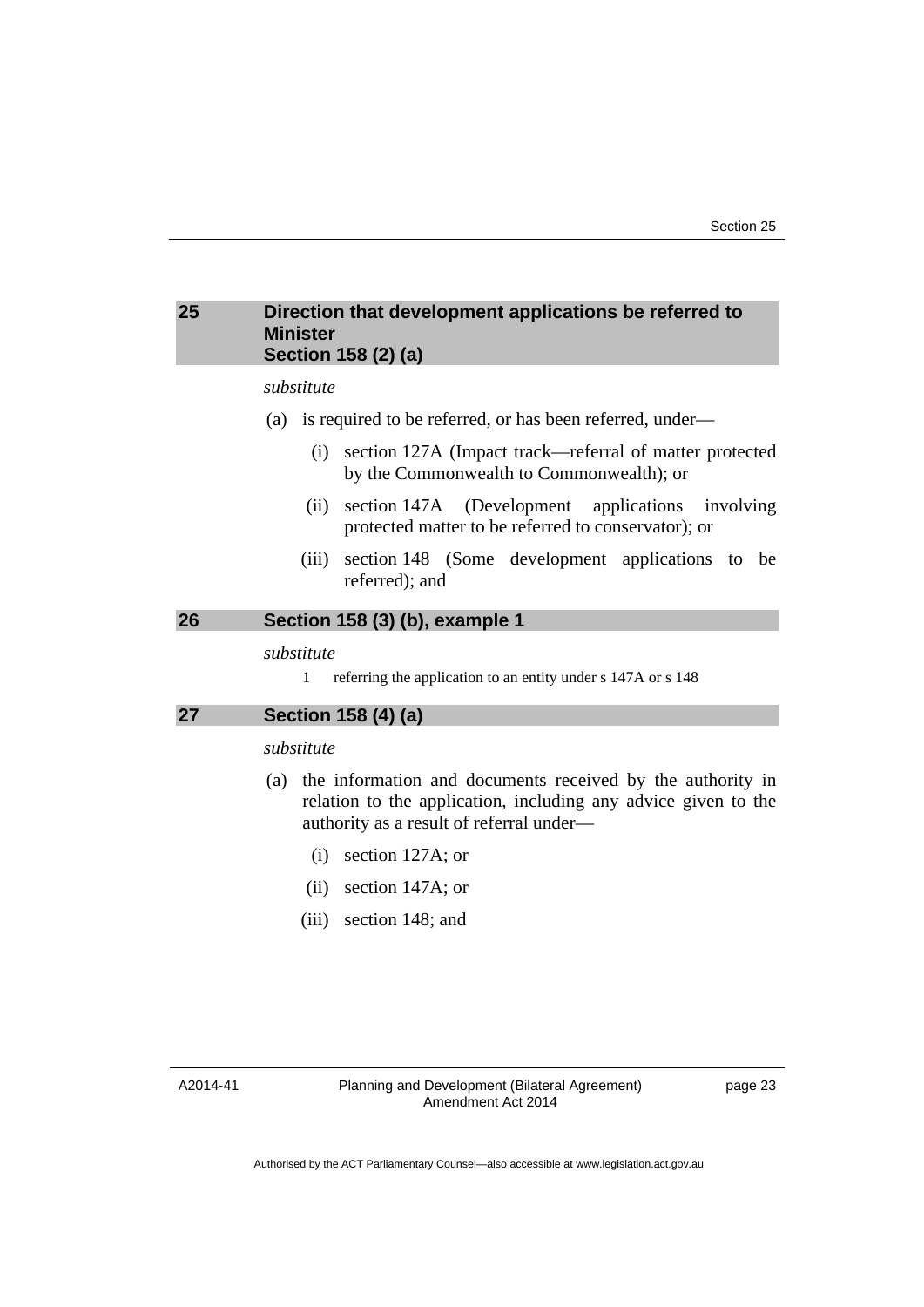#### <span id="page-26-0"></span>**25 Direction that development applications be referred to Minister Section 158 (2) (a)**

#### *substitute*

- (a) is required to be referred, or has been referred, under—
	- (i) section 127A (Impact track—referral of matter protected by the Commonwealth to Commonwealth); or
	- (ii) section 147A (Development applications involving protected matter to be referred to conservator); or
	- (iii) section 148 (Some development applications to be referred); and

## <span id="page-26-1"></span>**26 Section 158 (3) (b), example 1**

*substitute* 

1 referring the application to an entity under s 147A or s 148

#### <span id="page-26-2"></span>**27 Section 158 (4) (a)**

#### *substitute*

- (a) the information and documents received by the authority in relation to the application, including any advice given to the authority as a result of referral under—
	- (i) section 127A; or
	- (ii) section 147A; or
	- (iii) section 148; and

A2014-41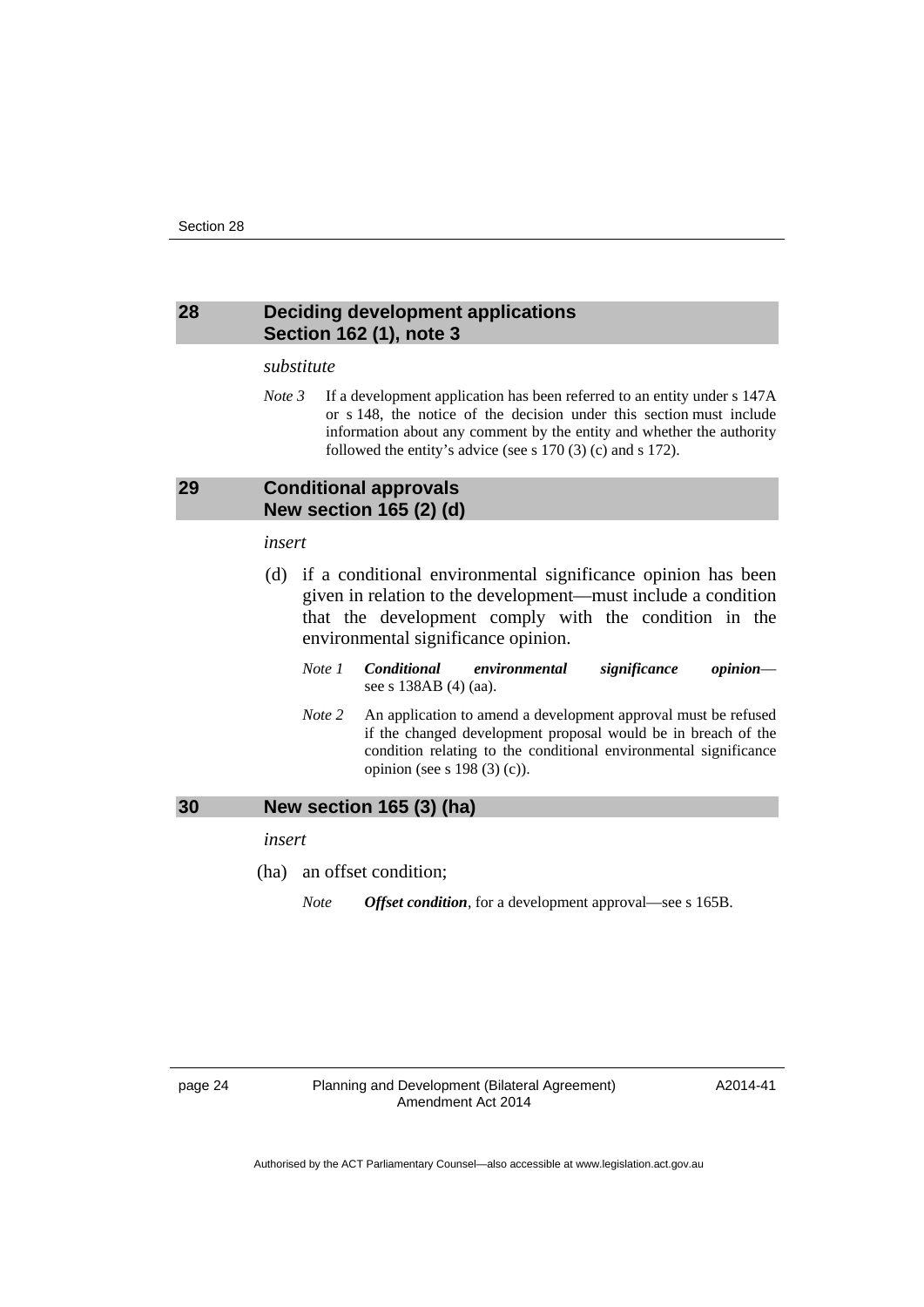#### <span id="page-27-0"></span>**28 Deciding development applications Section 162 (1), note 3**

#### *substitute*

*Note 3* If a development application has been referred to an entity under s 147A or s 148, the notice of the decision under this section must include information about any comment by the entity and whether the authority followed the entity's advice (see s 170 (3) (c) and s 172).

#### <span id="page-27-1"></span>**29 Conditional approvals New section 165 (2) (d)**

#### *insert*

- (d) if a conditional environmental significance opinion has been given in relation to the development—must include a condition that the development comply with the condition in the environmental significance opinion.
	- *Note 1 Conditional environmental significance opinion* see s 138AB (4) (aa).
	- *Note 2* An application to amend a development approval must be refused if the changed development proposal would be in breach of the condition relating to the conditional environmental significance opinion (see s 198 (3) (c)).

<span id="page-27-2"></span>

| 30 | New section 165 (3) (ha) |
|----|--------------------------|
|    | insert                   |

- (ha) an offset condition;
	- *Note Offset condition*, for a development approval—see s 165B.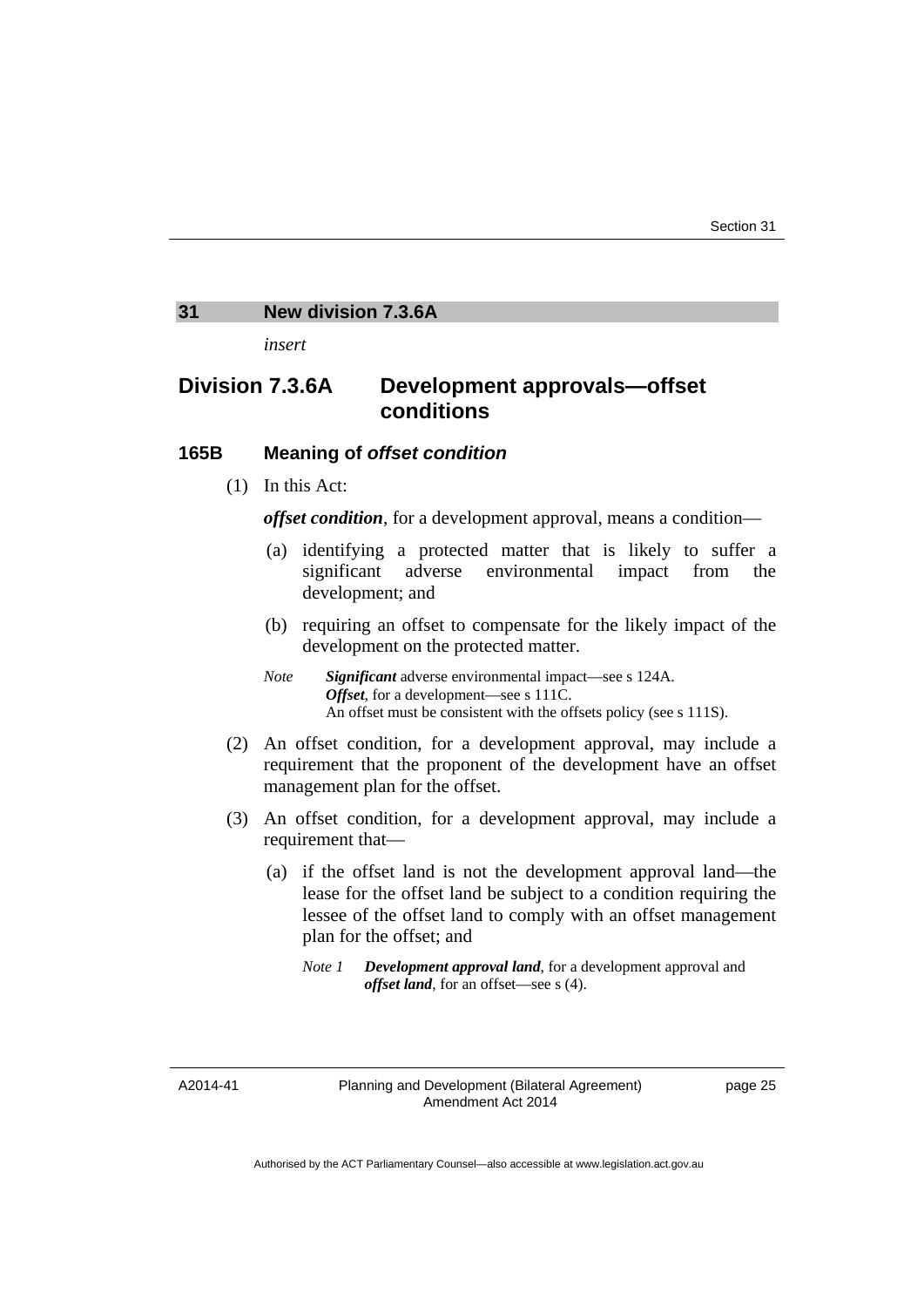#### <span id="page-28-0"></span>**31 New division 7.3.6A**

*insert* 

# **Division 7.3.6A Development approvals—offset conditions**

## **165B Meaning of** *offset condition*

(1) In this Act:

*offset condition*, for a development approval, means a condition—

- (a) identifying a protected matter that is likely to suffer a significant adverse environmental impact from the development; and
- (b) requiring an offset to compensate for the likely impact of the development on the protected matter.
- *Note Significant* adverse environmental impact—see s 124A. *Offset*, for a development—see s 111C. An offset must be consistent with the offsets policy (see s 111S).
- (2) An offset condition, for a development approval, may include a requirement that the proponent of the development have an offset management plan for the offset.
- (3) An offset condition, for a development approval, may include a requirement that—
	- (a) if the offset land is not the development approval land—the lease for the offset land be subject to a condition requiring the lessee of the offset land to comply with an offset management plan for the offset; and

A2014-41

*Note 1 Development approval land*, for a development approval and *offset land*, for an offset—see s (4).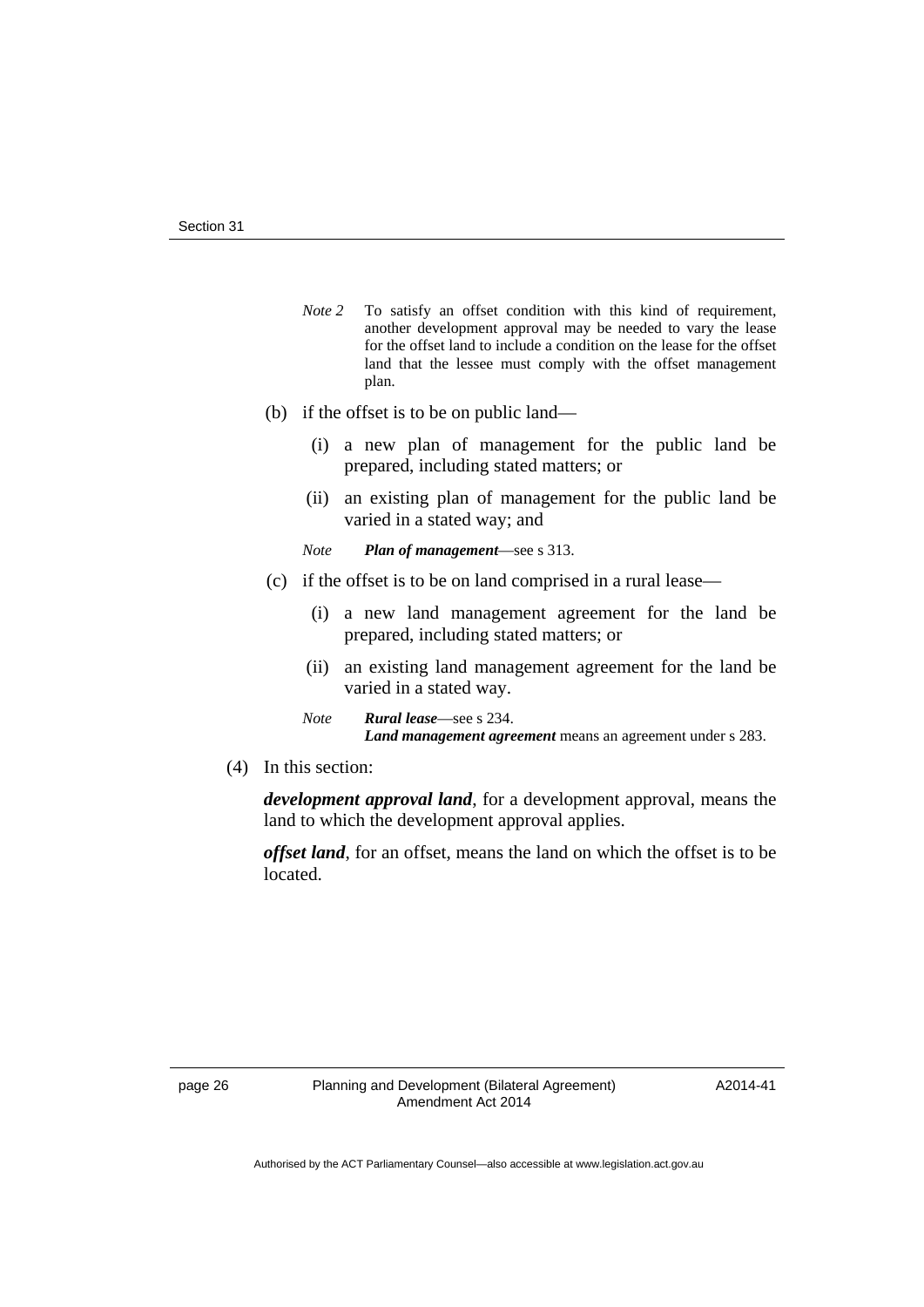- *Note* 2 To satisfy an offset condition with this kind of requirement, another development approval may be needed to vary the lease for the offset land to include a condition on the lease for the offset land that the lessee must comply with the offset management plan.
- (b) if the offset is to be on public land—
	- (i) a new plan of management for the public land be prepared, including stated matters; or
	- (ii) an existing plan of management for the public land be varied in a stated way; and
	- *Note Plan of management*—see s 313.
- (c) if the offset is to be on land comprised in a rural lease—
	- (i) a new land management agreement for the land be prepared, including stated matters; or
	- (ii) an existing land management agreement for the land be varied in a stated way.
	- *Note Rural lease*—see s 234. *Land management agreement* means an agreement under s 283.
- (4) In this section:

*development approval land*, for a development approval, means the land to which the development approval applies.

*offset land*, for an offset, means the land on which the offset is to be located.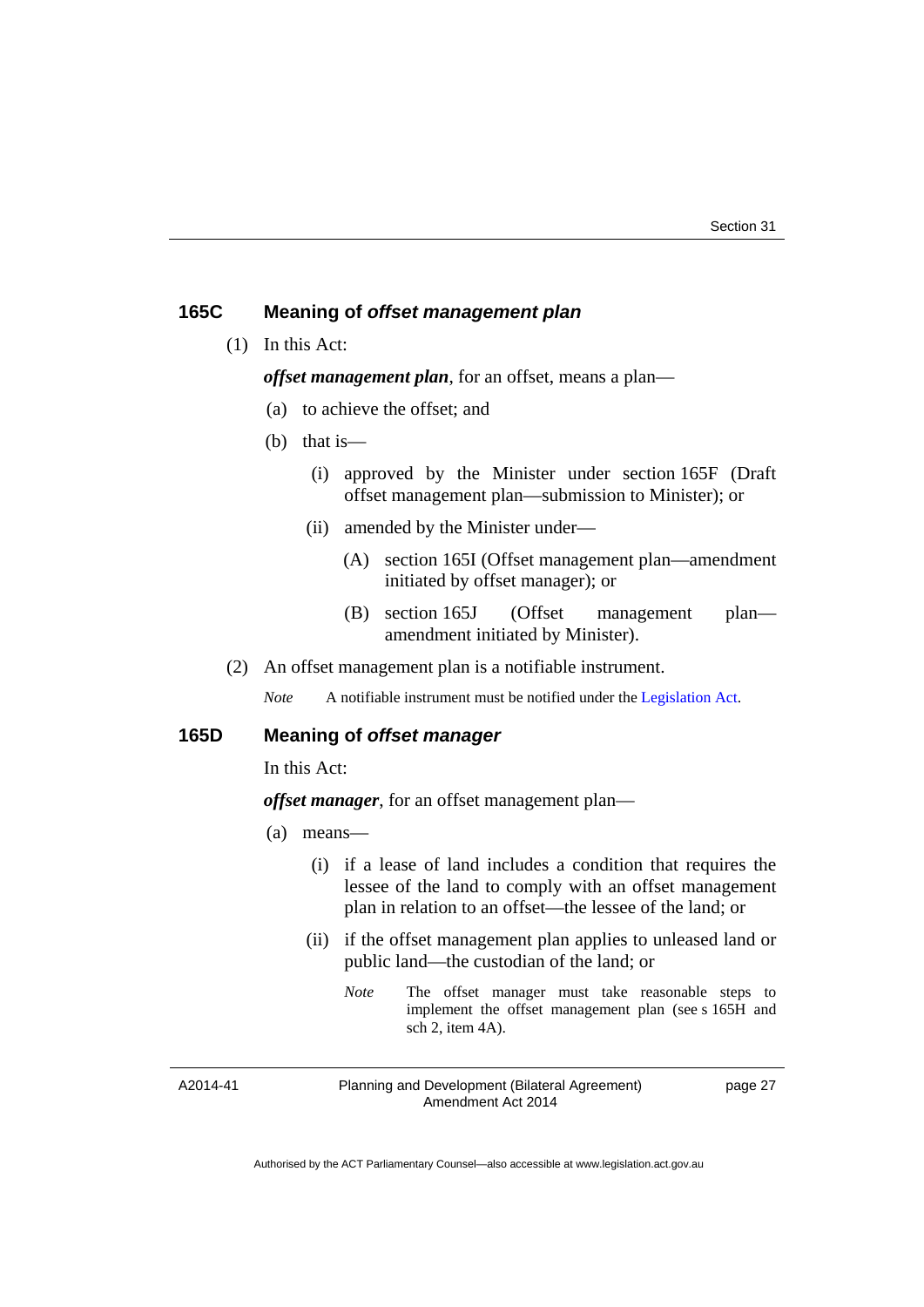#### **165C Meaning of** *offset management plan*

(1) In this Act:

*offset management plan*, for an offset, means a plan—

- (a) to achieve the offset; and
- (b) that is—
	- (i) approved by the Minister under section 165F (Draft offset management plan—submission to Minister); or
	- (ii) amended by the Minister under—
		- (A) section 165I (Offset management plan—amendment initiated by offset manager); or
		- (B) section 165J (Offset management plan amendment initiated by Minister).
- (2) An offset management plan is a notifiable instrument.

*Note* A notifiable instrument must be notified under the [Legislation Act](http://www.legislation.act.gov.au/a/2001-14).

#### **165D Meaning of** *offset manager*

In this Act:

#### *offset manager*, for an offset management plan—

- (a) means—
	- (i) if a lease of land includes a condition that requires the lessee of the land to comply with an offset management plan in relation to an offset—the lessee of the land; or
	- (ii) if the offset management plan applies to unleased land or public land—the custodian of the land; or
		- *Note* The offset manager must take reasonable steps to implement the offset management plan (see s 165H and sch 2, item 4A).

A2014-41

Planning and Development (Bilateral Agreement) Amendment Act 2014

page 27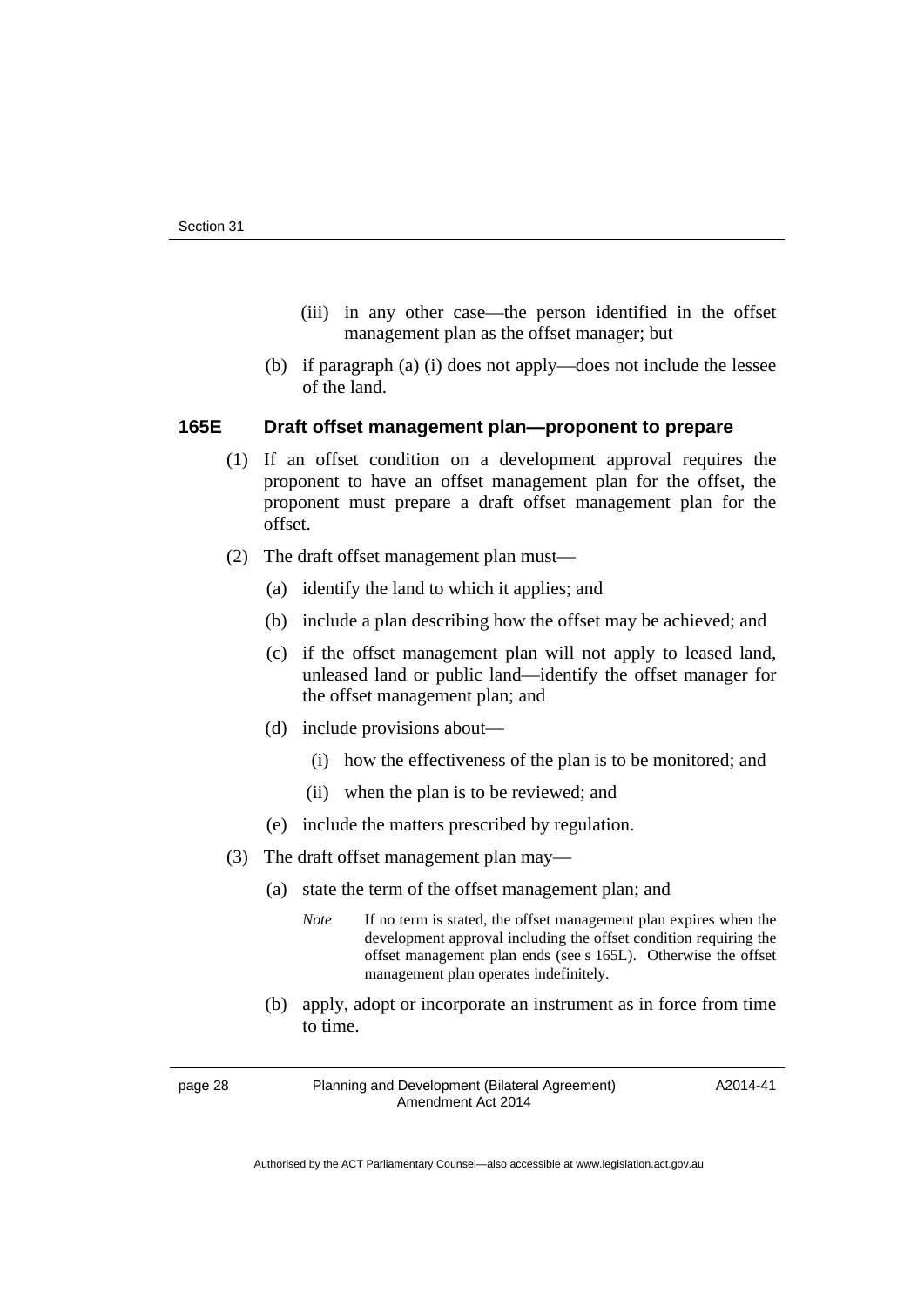- (iii) in any other case—the person identified in the offset management plan as the offset manager; but
- (b) if paragraph (a) (i) does not apply—does not include the lessee of the land.

#### **165E Draft offset management plan—proponent to prepare**

- (1) If an offset condition on a development approval requires the proponent to have an offset management plan for the offset, the proponent must prepare a draft offset management plan for the offset.
- (2) The draft offset management plan must—
	- (a) identify the land to which it applies; and
	- (b) include a plan describing how the offset may be achieved; and
	- (c) if the offset management plan will not apply to leased land, unleased land or public land—identify the offset manager for the offset management plan; and
	- (d) include provisions about—
		- (i) how the effectiveness of the plan is to be monitored; and
		- (ii) when the plan is to be reviewed; and
	- (e) include the matters prescribed by regulation.
- (3) The draft offset management plan may—
	- (a) state the term of the offset management plan; and
		- *Note* If no term is stated, the offset management plan expires when the development approval including the offset condition requiring the offset management plan ends (see s 165L). Otherwise the offset management plan operates indefinitely.
	- (b) apply, adopt or incorporate an instrument as in force from time to time.

page 28 Planning and Development (Bilateral Agreement) Amendment Act 2014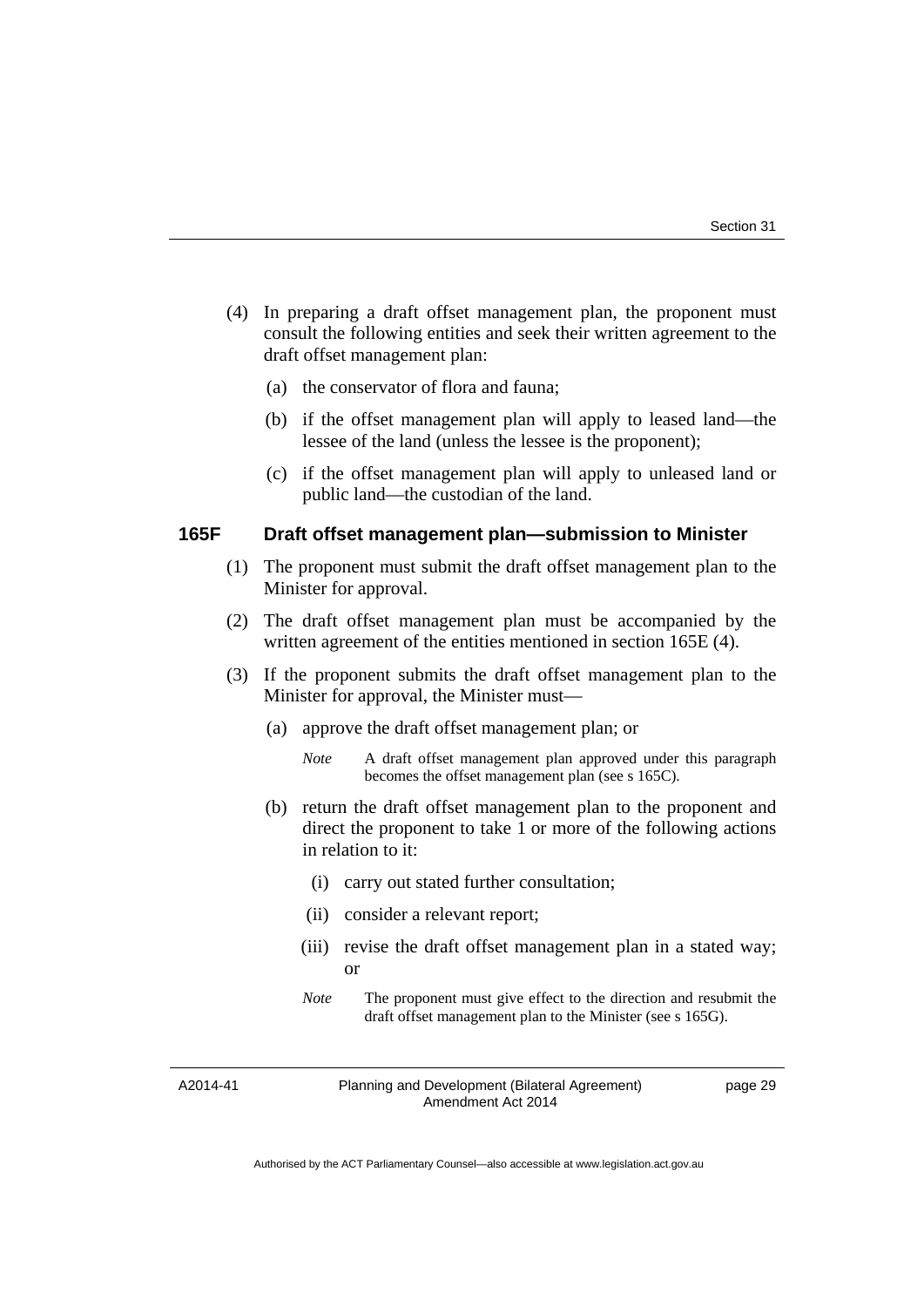- (4) In preparing a draft offset management plan, the proponent must consult the following entities and seek their written agreement to the draft offset management plan:
	- (a) the conservator of flora and fauna;
	- (b) if the offset management plan will apply to leased land—the lessee of the land (unless the lessee is the proponent);
	- (c) if the offset management plan will apply to unleased land or public land—the custodian of the land.

#### **165F Draft offset management plan—submission to Minister**

- (1) The proponent must submit the draft offset management plan to the Minister for approval.
- (2) The draft offset management plan must be accompanied by the written agreement of the entities mentioned in section 165E (4).
- (3) If the proponent submits the draft offset management plan to the Minister for approval, the Minister must—
	- (a) approve the draft offset management plan; or
		- *Note* A draft offset management plan approved under this paragraph becomes the offset management plan (see s 165C).
	- (b) return the draft offset management plan to the proponent and direct the proponent to take 1 or more of the following actions in relation to it:
		- (i) carry out stated further consultation;
		- (ii) consider a relevant report;
		- (iii) revise the draft offset management plan in a stated way; or
		- *Note* The proponent must give effect to the direction and resubmit the draft offset management plan to the Minister (see s 165G).

A2014-41

Planning and Development (Bilateral Agreement) Amendment Act 2014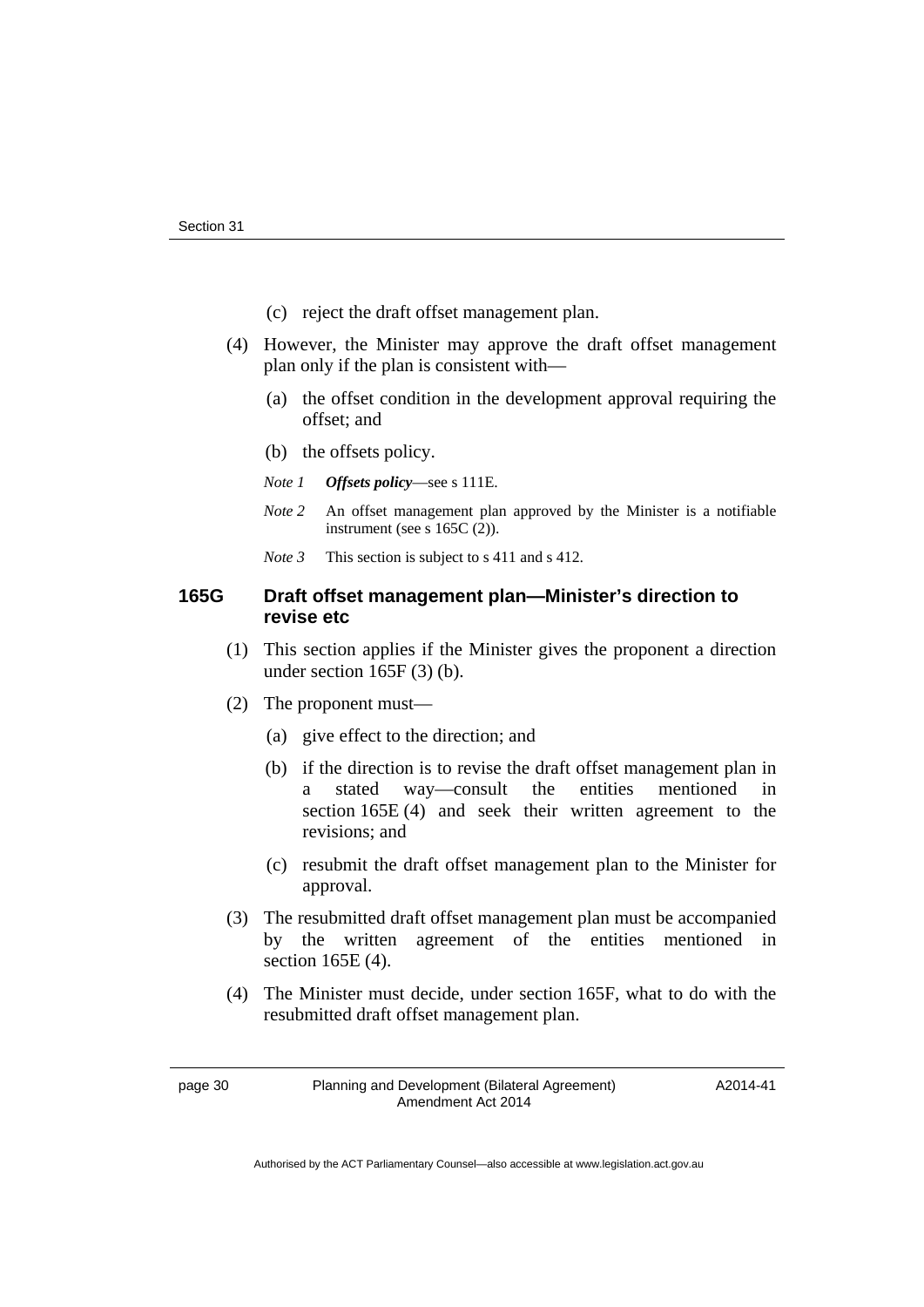- (c) reject the draft offset management plan.
- (4) However, the Minister may approve the draft offset management plan only if the plan is consistent with—
	- (a) the offset condition in the development approval requiring the offset; and
	- (b) the offsets policy.
	- *Note 1 Offsets policy*—see s 111E.
	- *Note 2* An offset management plan approved by the Minister is a notifiable instrument (see s 165C (2)).
	- *Note* 3 This section is subject to s 411 and s 412.

# **165G Draft offset management plan—Minister's direction to revise etc**

- (1) This section applies if the Minister gives the proponent a direction under section 165F (3) (b).
- (2) The proponent must—
	- (a) give effect to the direction; and
	- (b) if the direction is to revise the draft offset management plan in a stated way—consult the entities mentioned in section 165E (4) and seek their written agreement to the revisions; and
	- (c) resubmit the draft offset management plan to the Minister for approval.
- (3) The resubmitted draft offset management plan must be accompanied by the written agreement of the entities mentioned in section 165E (4).
- (4) The Minister must decide, under section 165F, what to do with the resubmitted draft offset management plan.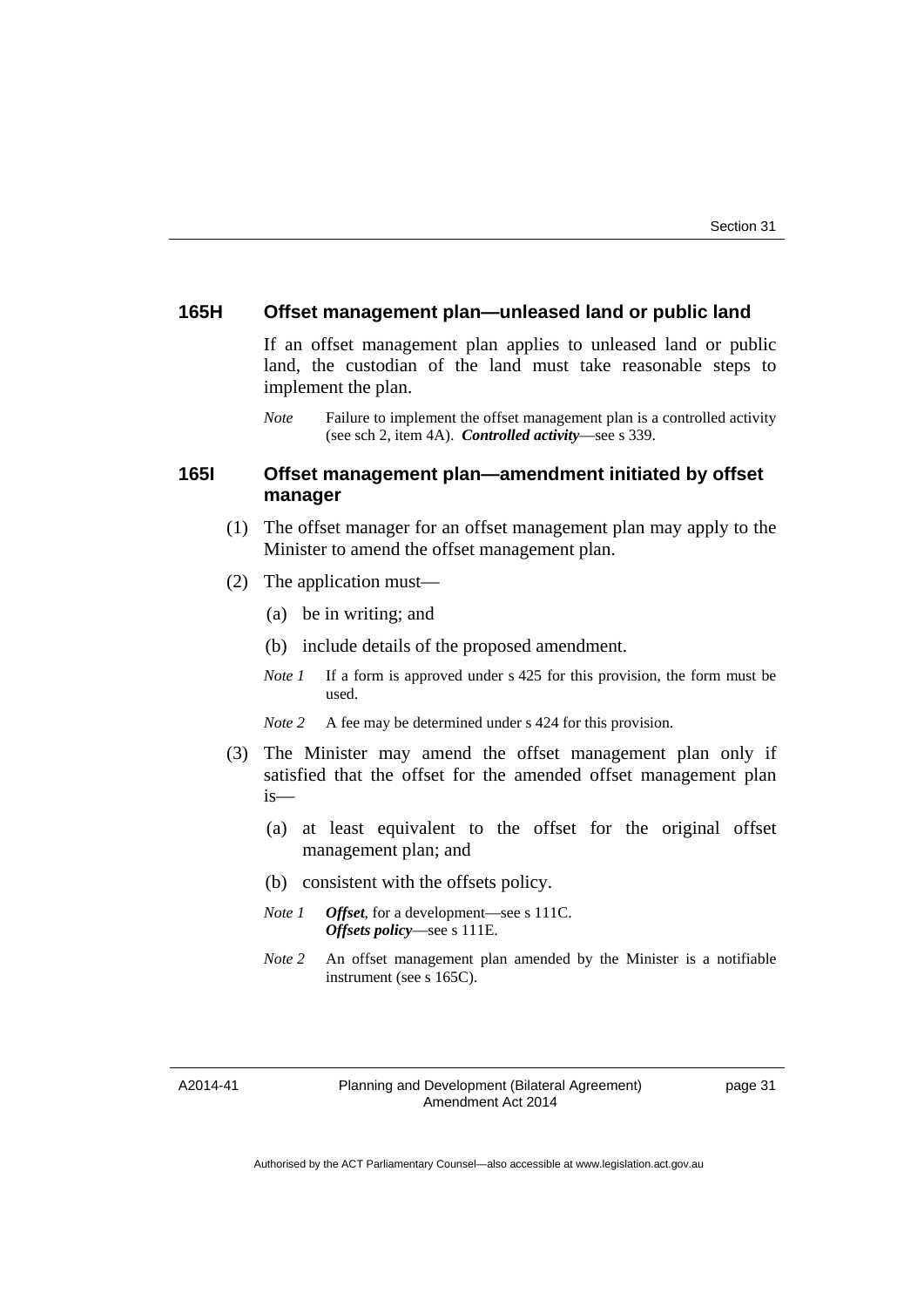#### **165H Offset management plan—unleased land or public land**

If an offset management plan applies to unleased land or public land, the custodian of the land must take reasonable steps to implement the plan.

*Note* Failure to implement the offset management plan is a controlled activity (see sch 2, item 4A). *Controlled activity*—see s 339.

## **165I Offset management plan—amendment initiated by offset manager**

- (1) The offset manager for an offset management plan may apply to the Minister to amend the offset management plan.
- (2) The application must—
	- (a) be in writing; and
	- (b) include details of the proposed amendment.
	- *Note 1* If a form is approved under s 425 for this provision, the form must be used.
	- *Note 2* A fee may be determined under s 424 for this provision.
- (3) The Minister may amend the offset management plan only if satisfied that the offset for the amended offset management plan is—
	- (a) at least equivalent to the offset for the original offset management plan; and
	- (b) consistent with the offsets policy.
	- *Note 1 Offset*, for a development—see s 111C. *Offsets policy*—see s 111E.
	- *Note 2* An offset management plan amended by the Minister is a notifiable instrument (see s 165C).

A2014-41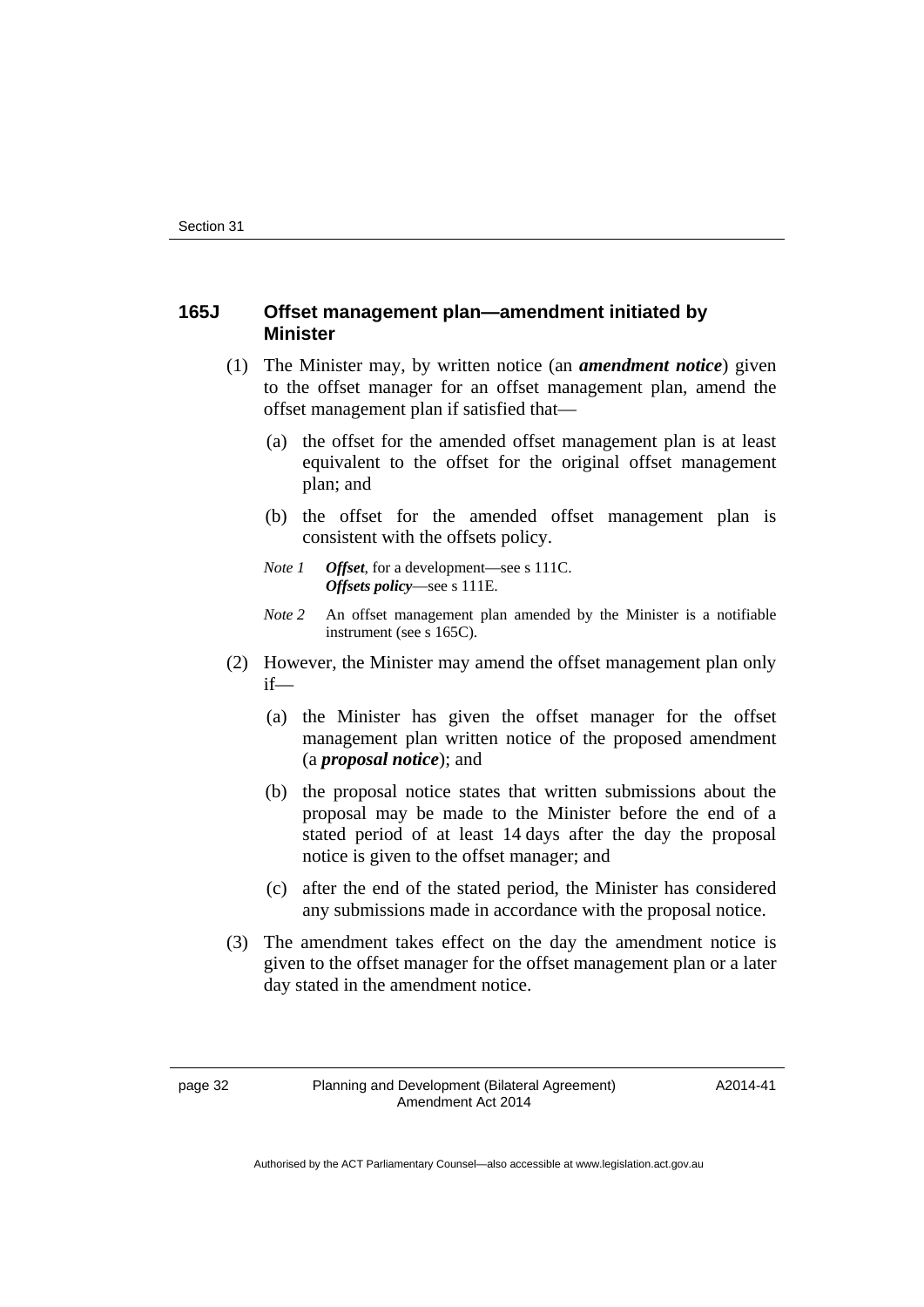## **165J Offset management plan—amendment initiated by Minister**

- (1) The Minister may, by written notice (an *amendment notice*) given to the offset manager for an offset management plan, amend the offset management plan if satisfied that—
	- (a) the offset for the amended offset management plan is at least equivalent to the offset for the original offset management plan; and
	- (b) the offset for the amended offset management plan is consistent with the offsets policy.
	- *Note 1 Offset*, for a development—see s 111C. *Offsets policy*—see s 111E.
	- *Note 2* An offset management plan amended by the Minister is a notifiable instrument (see s 165C).
- (2) However, the Minister may amend the offset management plan only if—
	- (a) the Minister has given the offset manager for the offset management plan written notice of the proposed amendment (a *proposal notice*); and
	- (b) the proposal notice states that written submissions about the proposal may be made to the Minister before the end of a stated period of at least 14 days after the day the proposal notice is given to the offset manager; and
	- (c) after the end of the stated period, the Minister has considered any submissions made in accordance with the proposal notice.
- (3) The amendment takes effect on the day the amendment notice is given to the offset manager for the offset management plan or a later day stated in the amendment notice.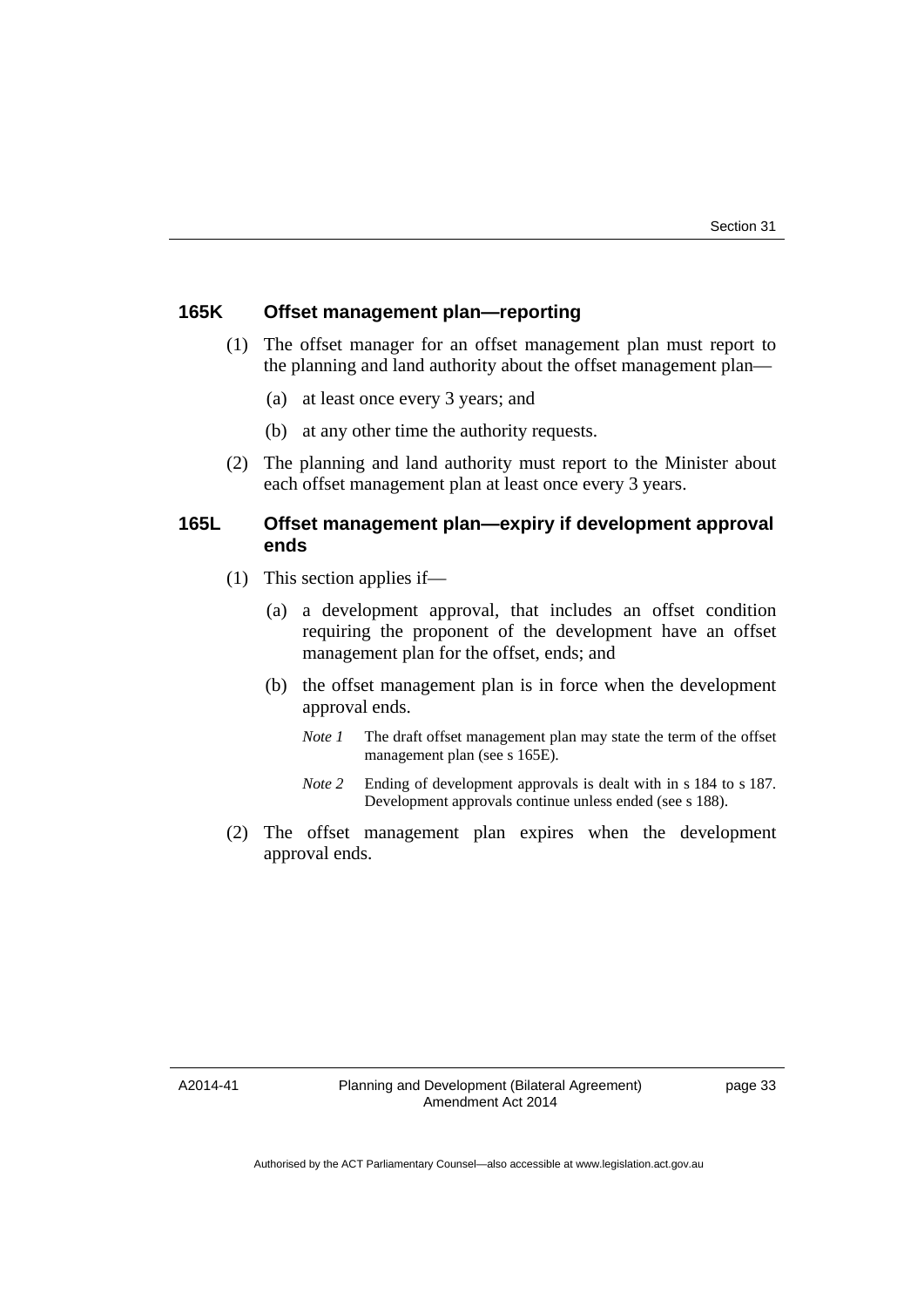## **165K Offset management plan—reporting**

- (1) The offset manager for an offset management plan must report to the planning and land authority about the offset management plan—
	- (a) at least once every 3 years; and
	- (b) at any other time the authority requests.
- (2) The planning and land authority must report to the Minister about each offset management plan at least once every 3 years.

## **165L Offset management plan—expiry if development approval ends**

- (1) This section applies if—
	- (a) a development approval, that includes an offset condition requiring the proponent of the development have an offset management plan for the offset, ends; and
	- (b) the offset management plan is in force when the development approval ends.
		- *Note 1* The draft offset management plan may state the term of the offset management plan (see s 165E).
		- *Note 2* Ending of development approvals is dealt with in s 184 to s 187. Development approvals continue unless ended (see s 188).
- (2) The offset management plan expires when the development approval ends.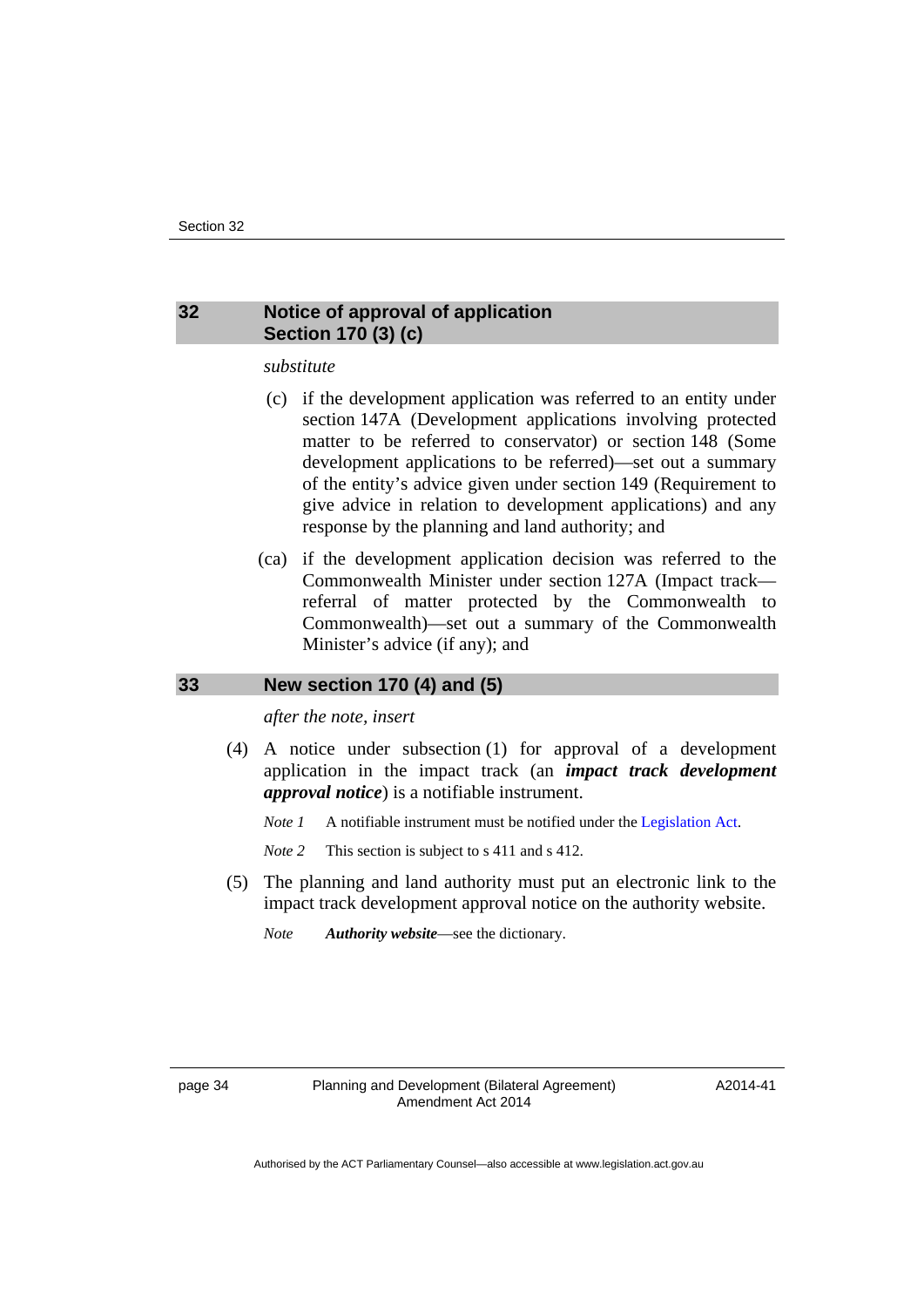## <span id="page-37-0"></span>**32 Notice of approval of application Section 170 (3) (c)**

#### *substitute*

- (c) if the development application was referred to an entity under section 147A (Development applications involving protected matter to be referred to conservator) or section 148 (Some development applications to be referred)—set out a summary of the entity's advice given under section 149 (Requirement to give advice in relation to development applications) and any response by the planning and land authority; and
- (ca) if the development application decision was referred to the Commonwealth Minister under section 127A (Impact track referral of matter protected by the Commonwealth to Commonwealth)—set out a summary of the Commonwealth Minister's advice (if any); and

#### <span id="page-37-1"></span>**33 New section 170 (4) and (5)**

*after the note, insert* 

 (4) A notice under subsection (1) for approval of a development application in the impact track (an *impact track development approval notice*) is a notifiable instrument.

*Note 1* A notifiable instrument must be notified under the [Legislation Act](http://www.legislation.act.gov.au/a/2001-14).

*Note* 2 This section is subject to s 411 and s 412.

 (5) The planning and land authority must put an electronic link to the impact track development approval notice on the authority website.

*Note Authority website*—see the dictionary.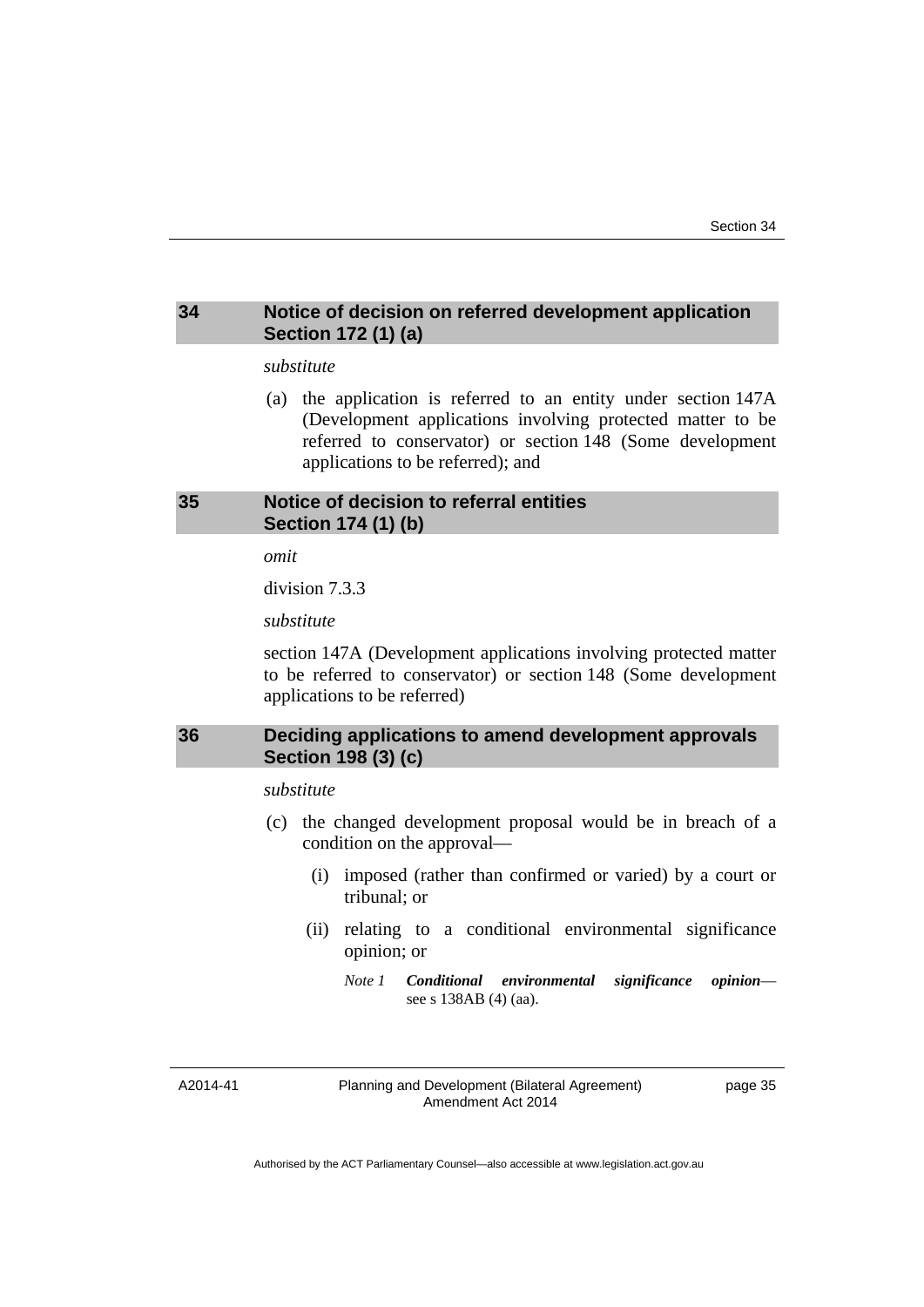## <span id="page-38-0"></span>**34 Notice of decision on referred development application Section 172 (1) (a)**

#### *substitute*

 (a) the application is referred to an entity under section 147A (Development applications involving protected matter to be referred to conservator) or section 148 (Some development applications to be referred); and

## <span id="page-38-1"></span>**35 Notice of decision to referral entities Section 174 (1) (b)**

*omit* 

division 7.3.3

*substitute* 

section 147A (Development applications involving protected matter to be referred to conservator) or section 148 (Some development applications to be referred)

## <span id="page-38-2"></span>**36 Deciding applications to amend development approvals Section 198 (3) (c)**

*substitute* 

- (c) the changed development proposal would be in breach of a condition on the approval—
	- (i) imposed (rather than confirmed or varied) by a court or tribunal; or
	- (ii) relating to a conditional environmental significance opinion; or
		- *Note 1 Conditional environmental significance opinion* see s 138AB (4) (aa).

A2014-41

Planning and Development (Bilateral Agreement) Amendment Act 2014

page 35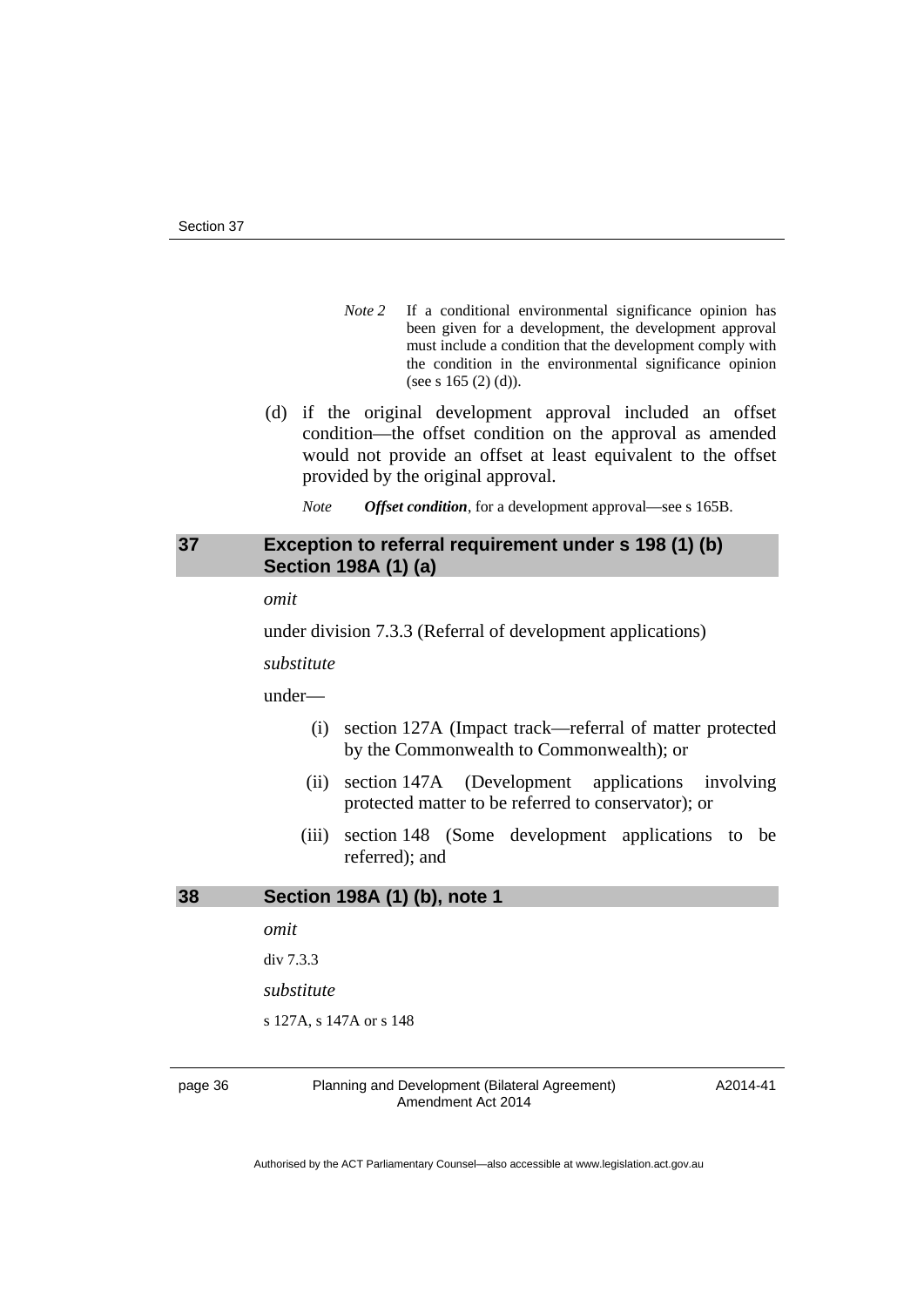- *Note 2* If a conditional environmental significance opinion has been given for a development, the development approval must include a condition that the development comply with the condition in the environmental significance opinion (see s 165 (2) (d)).
- (d) if the original development approval included an offset condition—the offset condition on the approval as amended would not provide an offset at least equivalent to the offset provided by the original approval.
	- *Note Offset condition*, for a development approval—see s 165B.

#### <span id="page-39-0"></span>**37 Exception to referral requirement under s 198 (1) (b) Section 198A (1) (a)**

*omit* 

under division 7.3.3 (Referral of development applications)

*substitute* 

under—

- (i) section 127A (Impact track—referral of matter protected by the Commonwealth to Commonwealth); or
- (ii) section 147A (Development applications involving protected matter to be referred to conservator); or
- (iii) section 148 (Some development applications to be referred); and

<span id="page-39-1"></span>**38 Section 198A (1) (b), note 1** 

*omit* 

div 7.3.3

*substitute* 

s 127A, s 147A or s 148

page 36 Planning and Development (Bilateral Agreement) Amendment Act 2014

A2014-41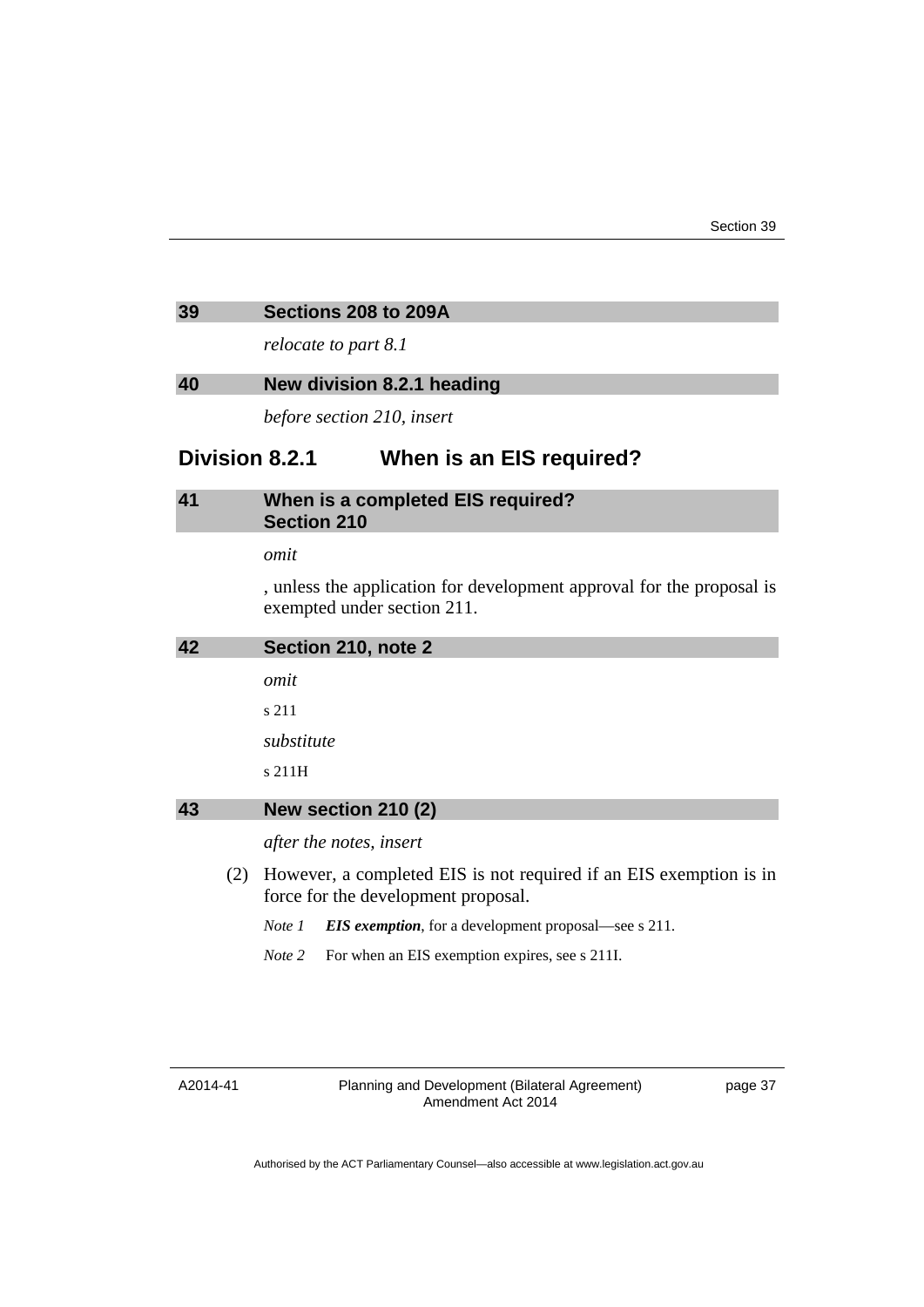#### <span id="page-40-0"></span>**39 Sections 208 to 209A**

*relocate to part 8.1* 

#### <span id="page-40-1"></span>**40 New division 8.2.1 heading**

*before section 210, insert* 

# **Division 8.2.1 When is an EIS required?**

# <span id="page-40-2"></span>**41 When is a completed EIS required? Section 210**

*omit* 

, unless the application for development approval for the proposal is exempted under section 211.

<span id="page-40-3"></span>

| 42 | Section 210, note 2 |
|----|---------------------|
|    | omit                |
|    | s 211               |
|    | substitute          |
|    | s 211H              |
| 43 | New section 210 (2) |
|    |                     |

*after the notes, insert* 

- <span id="page-40-4"></span> (2) However, a completed EIS is not required if an EIS exemption is in force for the development proposal.
	- *Note 1 EIS exemption*, for a development proposal—see s 211.
	- *Note* 2 For when an EIS exemption expires, see s 211I.

#### A2014-41

Planning and Development (Bilateral Agreement) Amendment Act 2014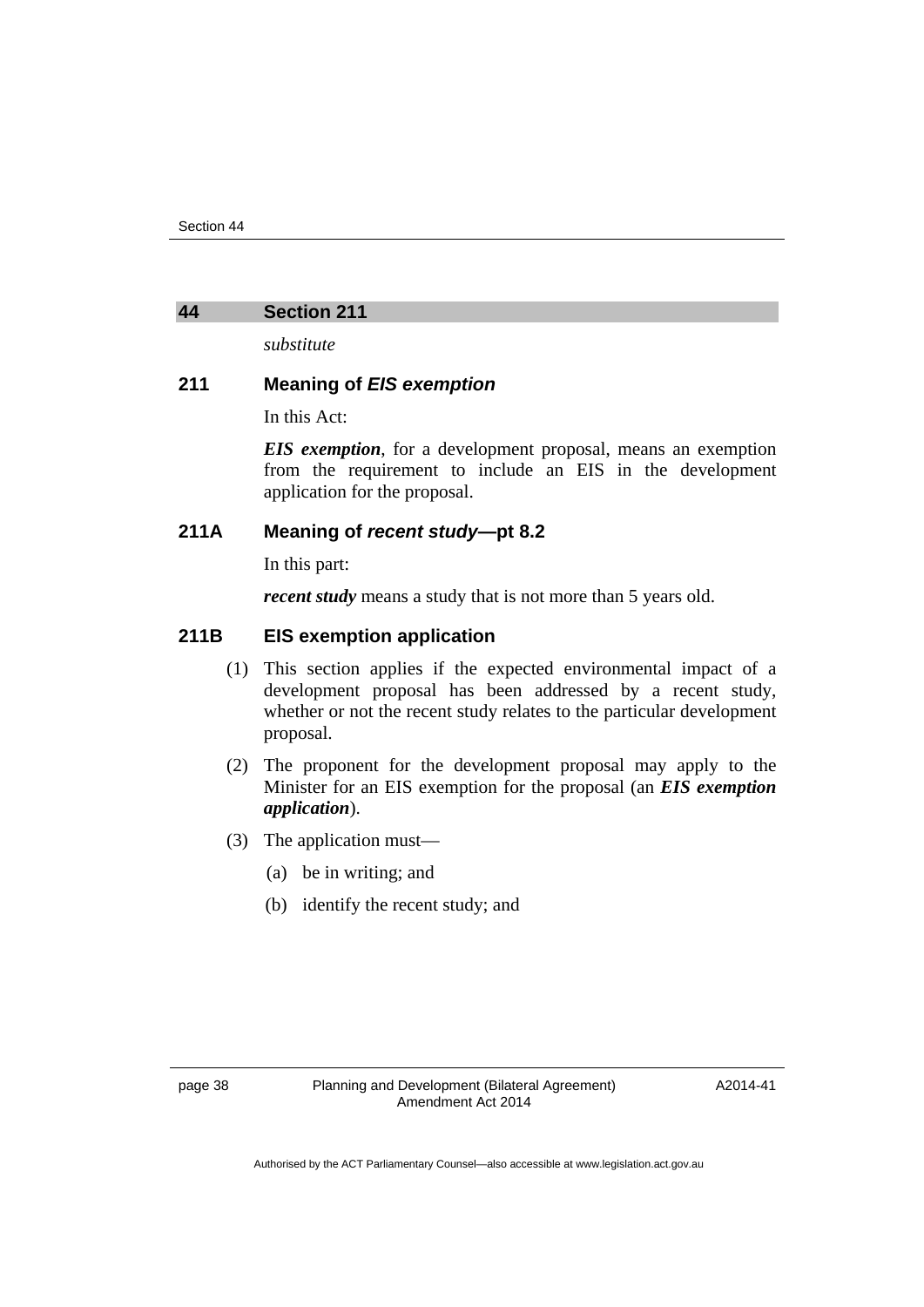#### <span id="page-41-0"></span>**44 Section 211**

*substitute* 

#### **211 Meaning of** *EIS exemption*

In this Act:

*EIS exemption*, for a development proposal, means an exemption from the requirement to include an EIS in the development application for the proposal.

# **211A Meaning of** *recent study***—pt 8.2**

In this part:

*recent study* means a study that is not more than 5 years old.

## **211B EIS exemption application**

- (1) This section applies if the expected environmental impact of a development proposal has been addressed by a recent study, whether or not the recent study relates to the particular development proposal.
- (2) The proponent for the development proposal may apply to the Minister for an EIS exemption for the proposal (an *EIS exemption application*).
- (3) The application must—
	- (a) be in writing; and
	- (b) identify the recent study; and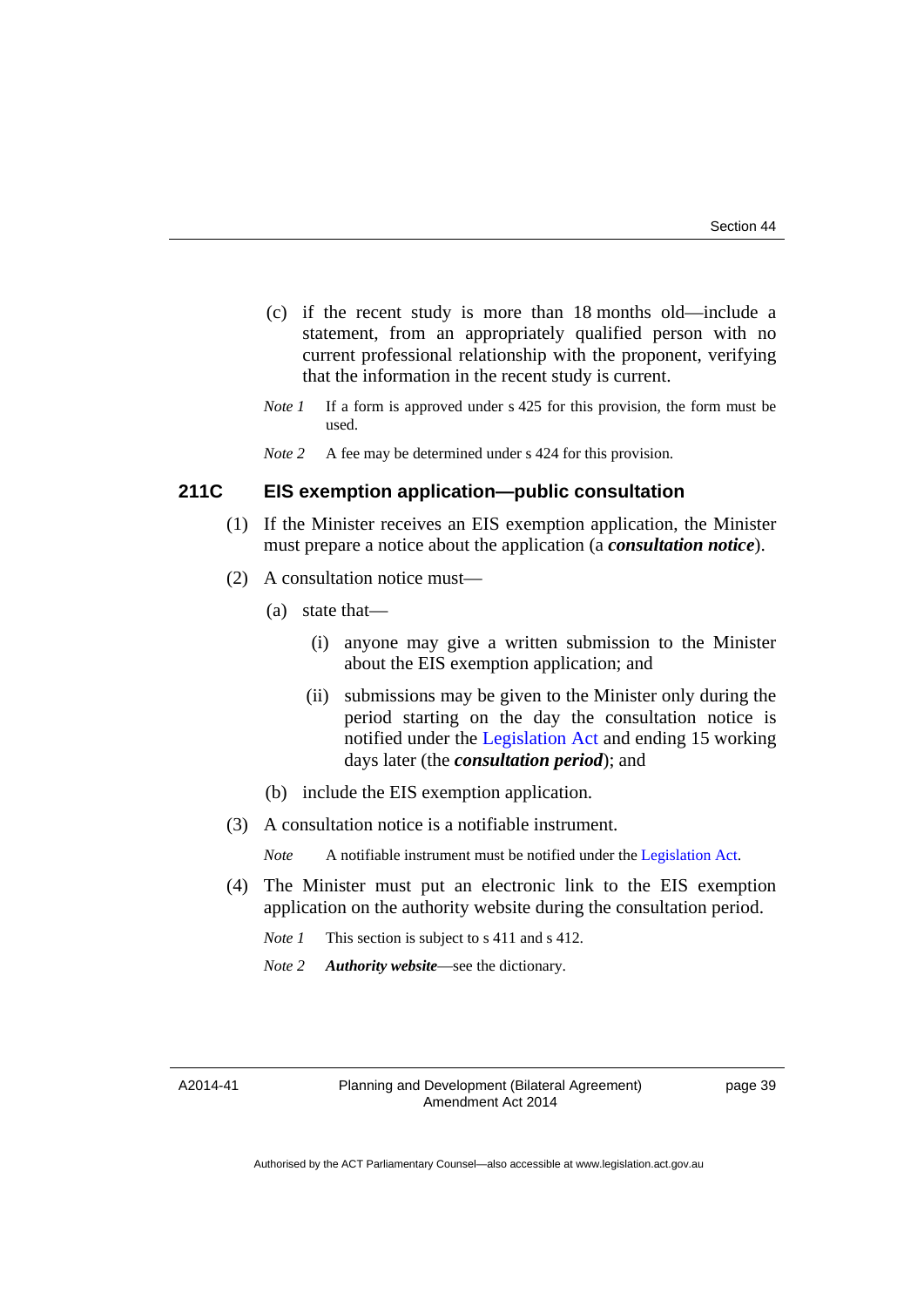- (c) if the recent study is more than 18 months old—include a statement, from an appropriately qualified person with no current professional relationship with the proponent, verifying that the information in the recent study is current.
- *Note 1* If a form is approved under s 425 for this provision, the form must be used.
- *Note 2* A fee may be determined under s 424 for this provision.

## **211C EIS exemption application—public consultation**

- (1) If the Minister receives an EIS exemption application, the Minister must prepare a notice about the application (a *consultation notice*).
- (2) A consultation notice must—
	- (a) state that—
		- (i) anyone may give a written submission to the Minister about the EIS exemption application; and
		- (ii) submissions may be given to the Minister only during the period starting on the day the consultation notice is notified under the [Legislation Act](http://www.legislation.act.gov.au/a/2001-14) and ending 15 working days later (the *consultation period*); and
	- (b) include the EIS exemption application.
- (3) A consultation notice is a notifiable instrument.

*Note* A notifiable instrument must be notified under the [Legislation Act](http://www.legislation.act.gov.au/a/2001-14).

- (4) The Minister must put an electronic link to the EIS exemption application on the authority website during the consultation period.
	- *Note 1* This section is subject to s 411 and s 412.
	- *Note 2 Authority website*—see the dictionary.

A2014-41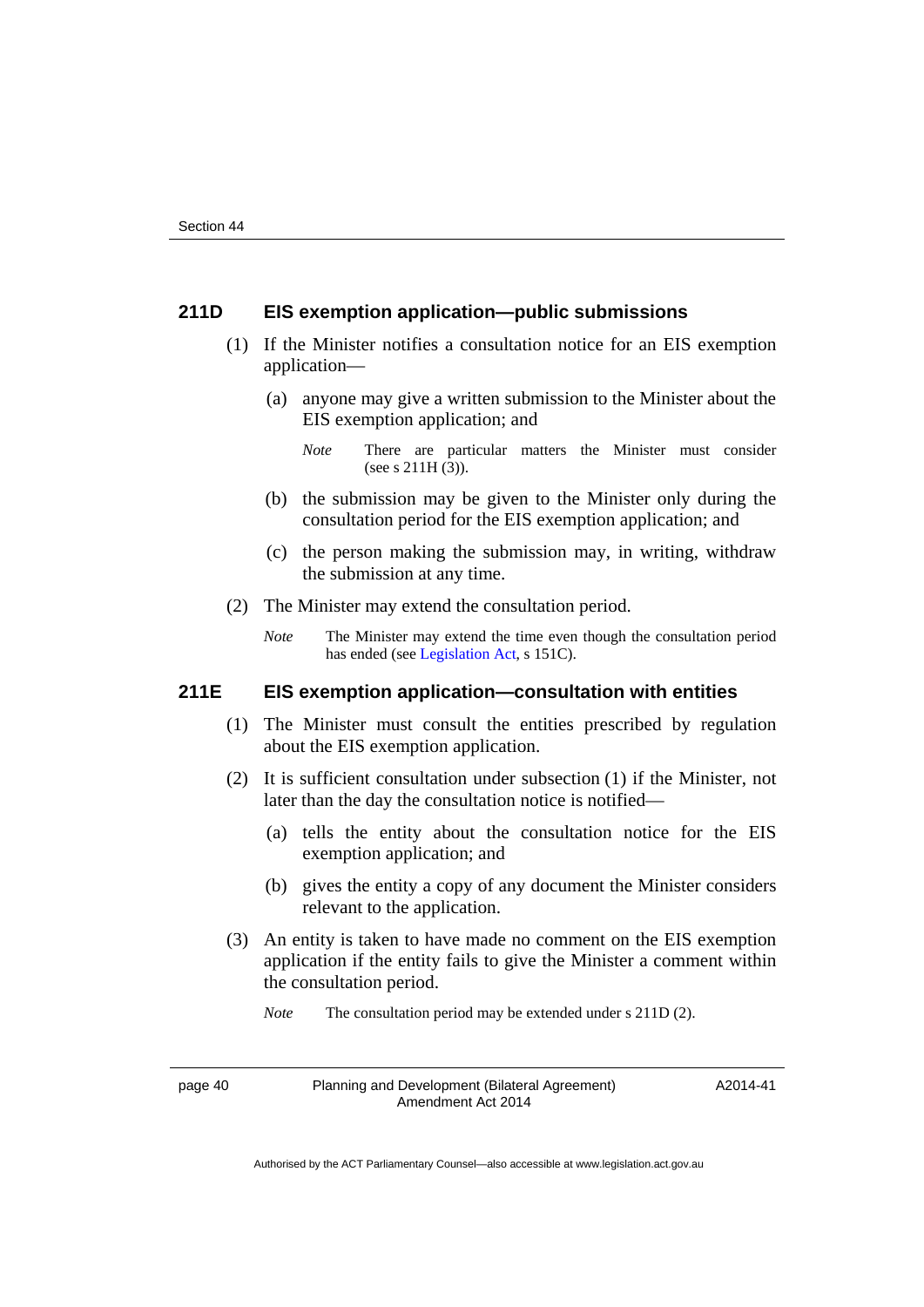## **211D EIS exemption application—public submissions**

- (1) If the Minister notifies a consultation notice for an EIS exemption application—
	- (a) anyone may give a written submission to the Minister about the EIS exemption application; and

- (b) the submission may be given to the Minister only during the consultation period for the EIS exemption application; and
- (c) the person making the submission may, in writing, withdraw the submission at any time.
- (2) The Minister may extend the consultation period.
	- *Note* The Minister may extend the time even though the consultation period has ended (see [Legislation Act,](http://www.legislation.act.gov.au/a/2001-14) s 151C).

# **211E EIS exemption application—consultation with entities**

- (1) The Minister must consult the entities prescribed by regulation about the EIS exemption application.
- (2) It is sufficient consultation under subsection (1) if the Minister, not later than the day the consultation notice is notified—
	- (a) tells the entity about the consultation notice for the EIS exemption application; and
	- (b) gives the entity a copy of any document the Minister considers relevant to the application.
- (3) An entity is taken to have made no comment on the EIS exemption application if the entity fails to give the Minister a comment within the consultation period.

*Note* The consultation period may be extended under s 211D (2).

page 40 Planning and Development (Bilateral Agreement) Amendment Act 2014

*Note* There are particular matters the Minister must consider (see s 211H (3)).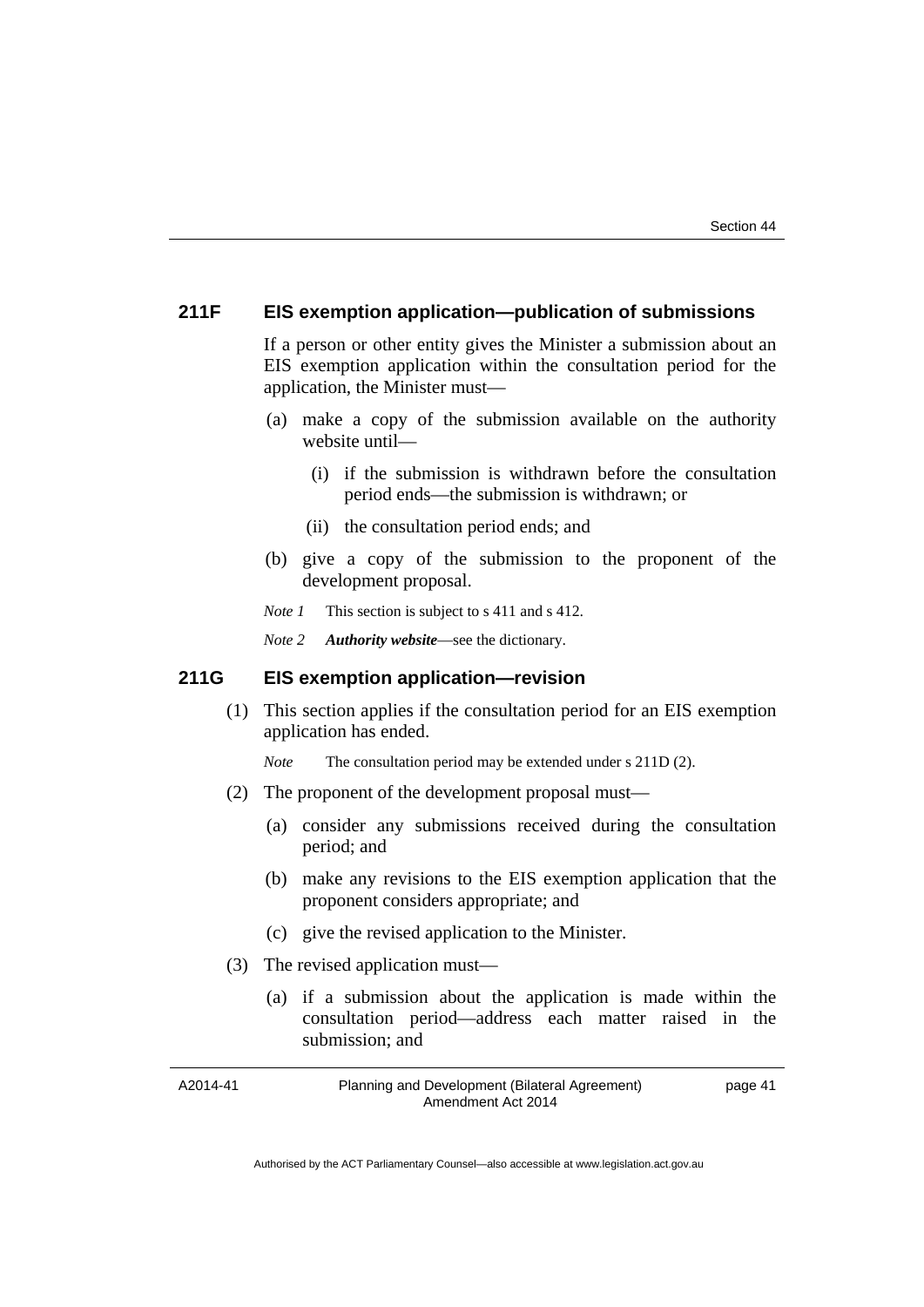## **211F EIS exemption application—publication of submissions**

If a person or other entity gives the Minister a submission about an EIS exemption application within the consultation period for the application, the Minister must—

- (a) make a copy of the submission available on the authority website until—
	- (i) if the submission is withdrawn before the consultation period ends—the submission is withdrawn; or
	- (ii) the consultation period ends; and
- (b) give a copy of the submission to the proponent of the development proposal.
- *Note 1* This section is subject to s 411 and s 412.
- *Note 2 Authority website*—see the dictionary.

#### **211G EIS exemption application—revision**

 (1) This section applies if the consultation period for an EIS exemption application has ended.

*Note* The consultation period may be extended under s 211D (2).

- (2) The proponent of the development proposal must—
	- (a) consider any submissions received during the consultation period; and
	- (b) make any revisions to the EIS exemption application that the proponent considers appropriate; and
	- (c) give the revised application to the Minister.
- (3) The revised application must—
	- (a) if a submission about the application is made within the consultation period—address each matter raised in the submission; and

A2014-41 Planning and Development (Bilateral Agreement) Amendment Act 2014 page 41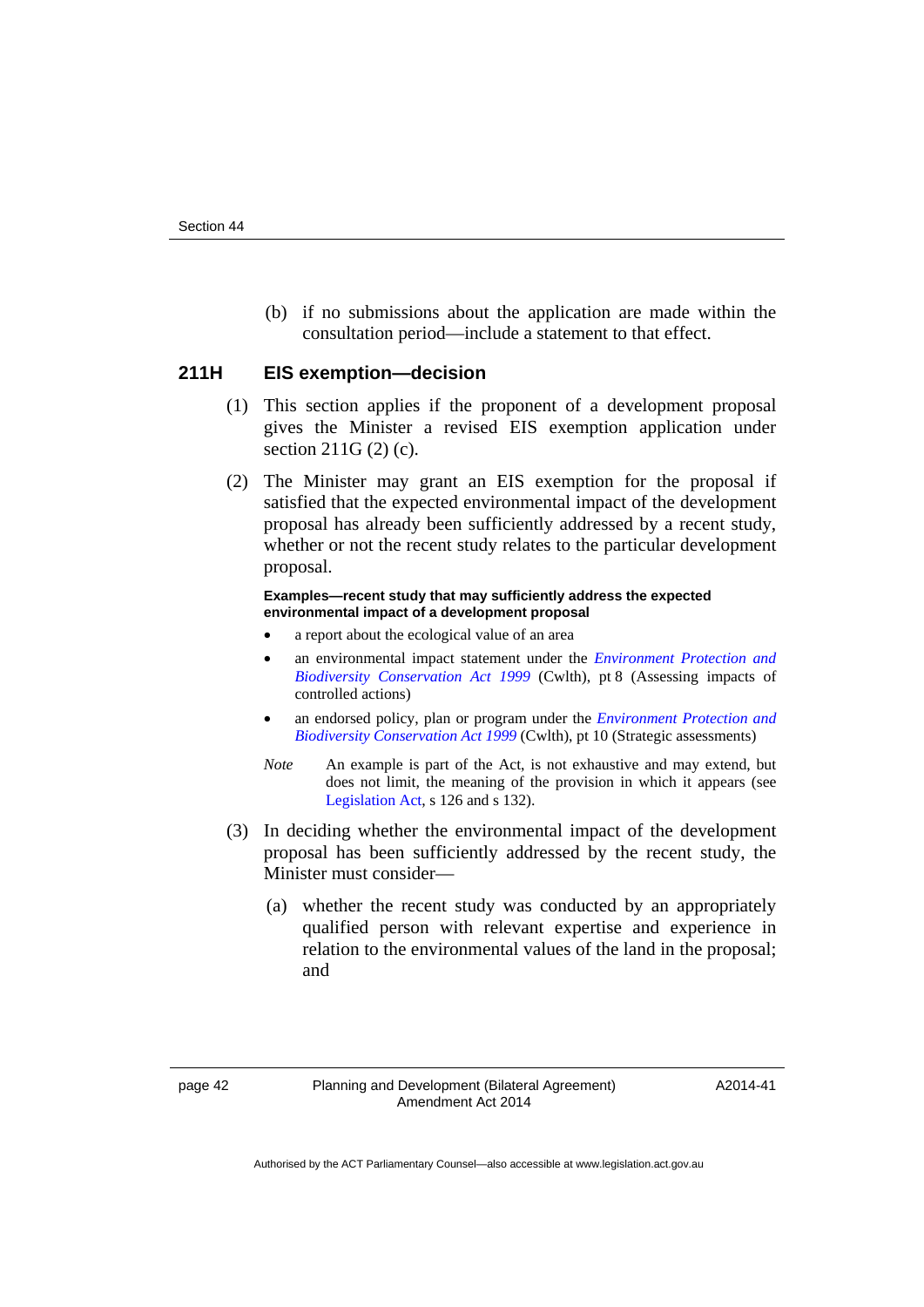(b) if no submissions about the application are made within the consultation period—include a statement to that effect.

#### **211H EIS exemption—decision**

- (1) This section applies if the proponent of a development proposal gives the Minister a revised EIS exemption application under section 211G (2) (c).
- (2) The Minister may grant an EIS exemption for the proposal if satisfied that the expected environmental impact of the development proposal has already been sufficiently addressed by a recent study, whether or not the recent study relates to the particular development proposal.

#### **Examples—recent study that may sufficiently address the expected environmental impact of a development proposal**

- a report about the ecological value of an area
- an environmental impact statement under the *[Environment Protection and](http://www.comlaw.gov.au/Series/C2004A00485)  [Biodiversity Conservation Act 1999](http://www.comlaw.gov.au/Series/C2004A00485)* (Cwlth), pt 8 (Assessing impacts of controlled actions)
- an endorsed policy, plan or program under the *[Environment Protection and](http://www.comlaw.gov.au/Series/C2004A00485)  [Biodiversity Conservation Act 1999](http://www.comlaw.gov.au/Series/C2004A00485)* (Cwlth), pt 10 (Strategic assessments)
- *Note* An example is part of the Act, is not exhaustive and may extend, but does not limit, the meaning of the provision in which it appears (see [Legislation Act,](http://www.legislation.act.gov.au/a/2001-14) s 126 and s 132).
- (3) In deciding whether the environmental impact of the development proposal has been sufficiently addressed by the recent study, the Minister must consider—
	- (a) whether the recent study was conducted by an appropriately qualified person with relevant expertise and experience in relation to the environmental values of the land in the proposal; and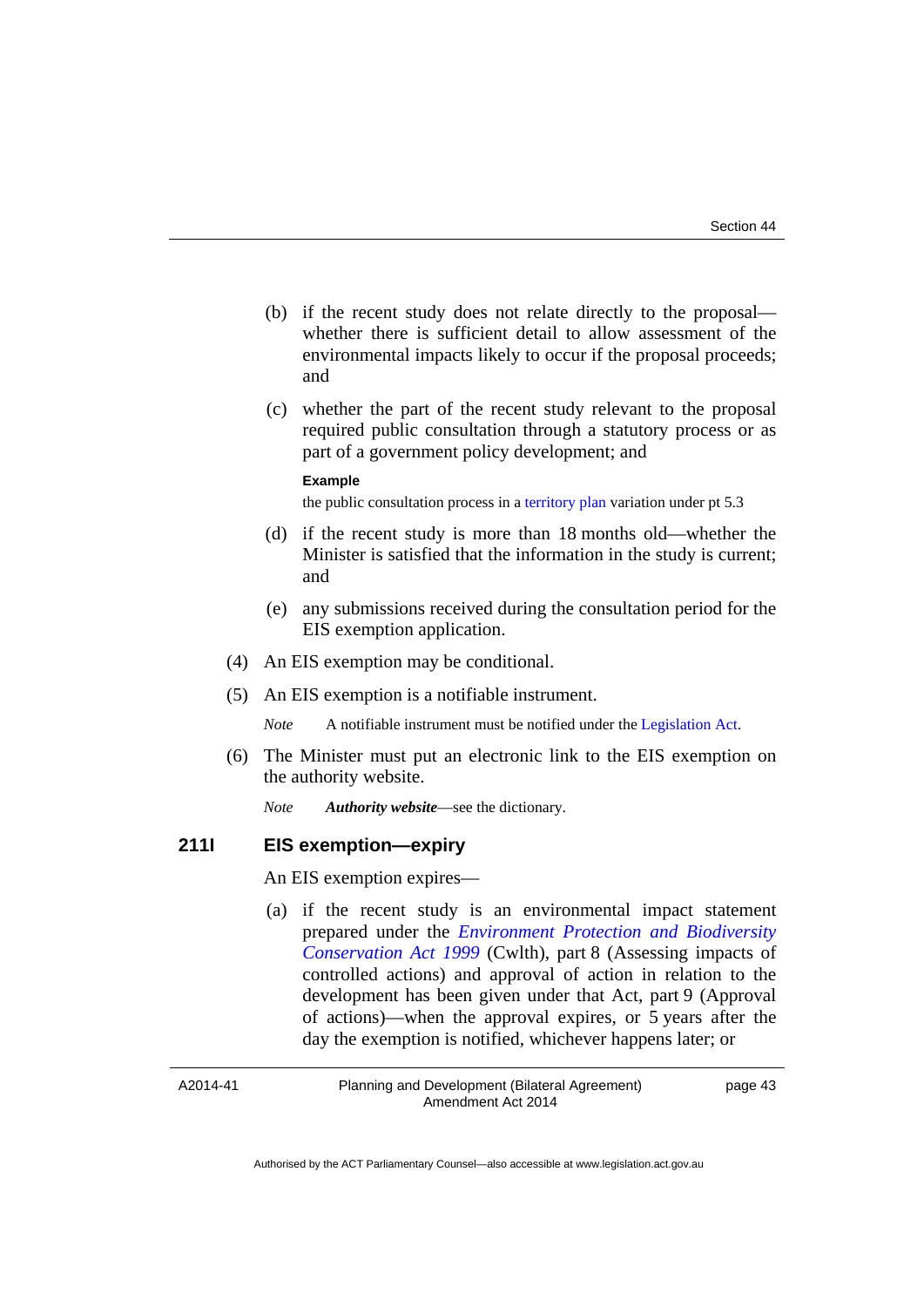- (b) if the recent study does not relate directly to the proposal whether there is sufficient detail to allow assessment of the environmental impacts likely to occur if the proposal proceeds; and
- (c) whether the part of the recent study relevant to the proposal required public consultation through a statutory process or as part of a government policy development; and

#### **Example**

the public consultation process in a [territory plan](http://www.legislation.act.gov.au/ni/2008-27/default.asp) variation under pt 5.3

- (d) if the recent study is more than 18 months old—whether the Minister is satisfied that the information in the study is current; and
- (e) any submissions received during the consultation period for the EIS exemption application.
- (4) An EIS exemption may be conditional.
- (5) An EIS exemption is a notifiable instrument.

*Note* A notifiable instrument must be notified under the [Legislation Act](http://www.legislation.act.gov.au/a/2001-14).

 (6) The Minister must put an electronic link to the EIS exemption on the authority website.

*Note Authority website*—see the dictionary.

#### **211I EIS exemption—expiry**

An EIS exemption expires—

 (a) if the recent study is an environmental impact statement prepared under the *[Environment Protection and Biodiversity](http://www.comlaw.gov.au/Series/C2004A00485)  [Conservation Act 1999](http://www.comlaw.gov.au/Series/C2004A00485)* (Cwlth), part 8 (Assessing impacts of controlled actions) and approval of action in relation to the development has been given under that Act, part 9 (Approval of actions)—when the approval expires, or 5 years after the day the exemption is notified, whichever happens later; or

A2014-41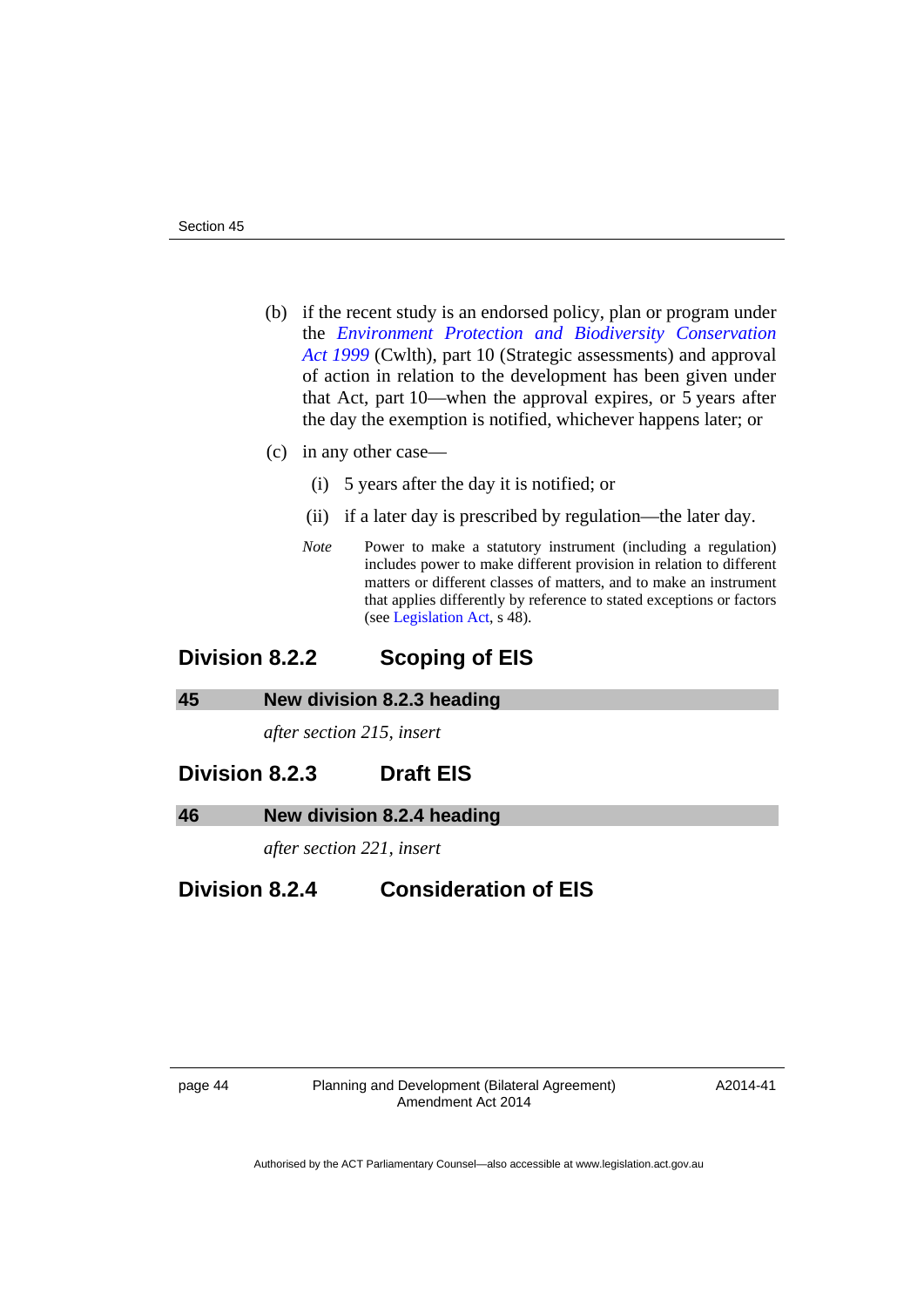- (b) if the recent study is an endorsed policy, plan or program under the *[Environment Protection and Biodiversity Conservation](http://www.comlaw.gov.au/Series/C2004A00485)  [Act 1999](http://www.comlaw.gov.au/Series/C2004A00485)* (Cwlth), part 10 (Strategic assessments) and approval of action in relation to the development has been given under that Act, part 10—when the approval expires, or 5 years after the day the exemption is notified, whichever happens later; or
- (c) in any other case—
	- (i) 5 years after the day it is notified; or
	- (ii) if a later day is prescribed by regulation—the later day.
	- *Note* Power to make a statutory instrument (including a regulation) includes power to make different provision in relation to different matters or different classes of matters, and to make an instrument that applies differently by reference to stated exceptions or factors (see [Legislation Act,](http://www.legislation.act.gov.au/a/2001-14) s 48).

# **Division 8.2.2 Scoping of EIS**

#### <span id="page-47-0"></span>**45 New division 8.2.3 heading**

*after section 215, insert* 

# **Division 8.2.3 Draft EIS**

#### <span id="page-47-1"></span>**46 New division 8.2.4 heading**

*after section 221, insert* 

# **Division 8.2.4 Consideration of EIS**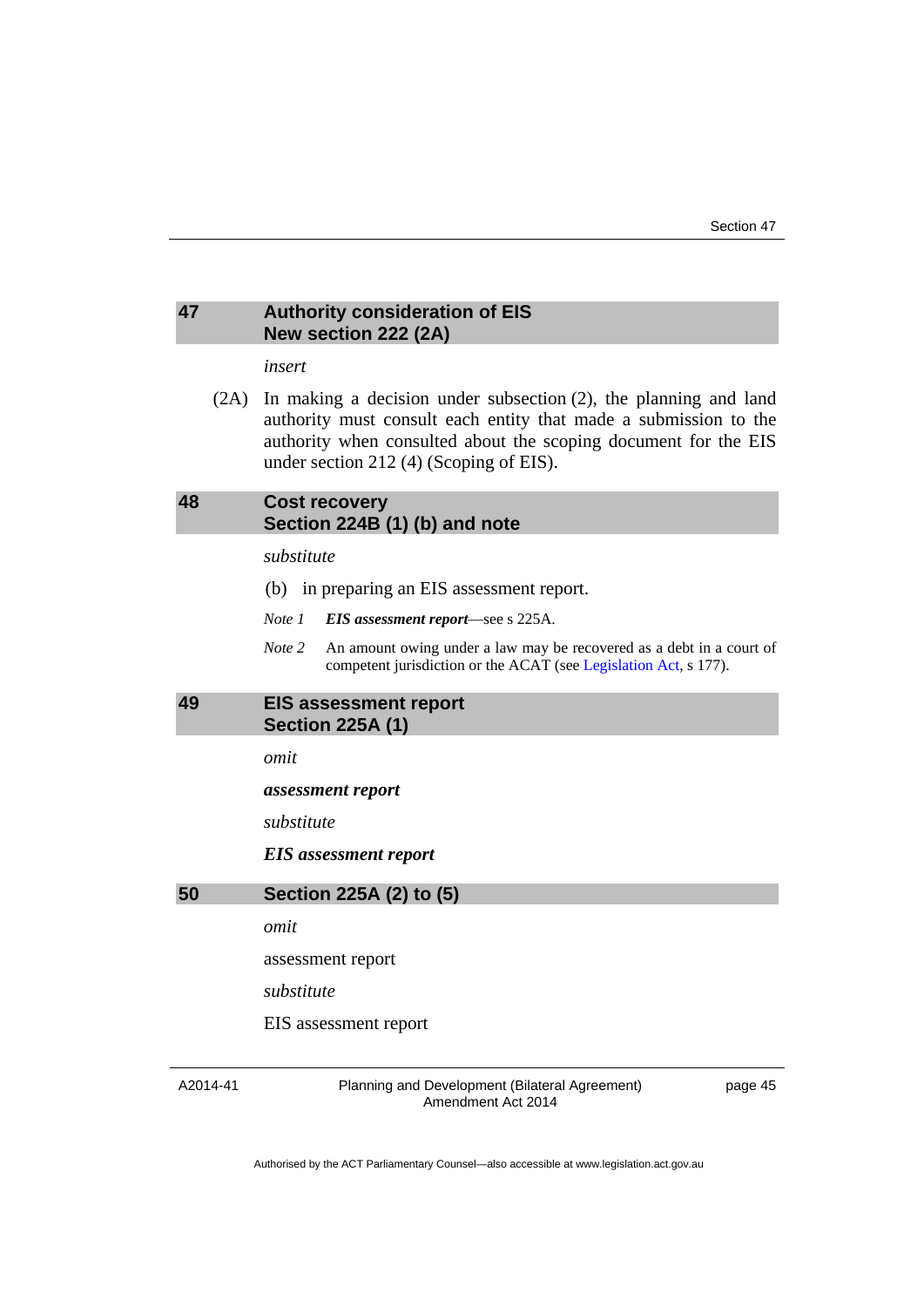#### <span id="page-48-0"></span>**47 Authority consideration of EIS New section 222 (2A)**

*insert* 

 (2A) In making a decision under subsection (2), the planning and land authority must consult each entity that made a submission to the authority when consulted about the scoping document for the EIS under section 212 (4) (Scoping of EIS).

# <span id="page-48-1"></span>**48 Cost recovery Section 224B (1) (b) and note**

#### *substitute*

- (b) in preparing an EIS assessment report.
- *Note 1 EIS assessment report*—see s 225A.
- *Note* 2 An amount owing under a law may be recovered as a debt in a court of competent jurisdiction or the ACAT (see [Legislation Act](http://www.legislation.act.gov.au/a/2001-14), s 177).

## <span id="page-48-2"></span>**49 EIS assessment report Section 225A (1)**

*omit* 

*assessment report* 

*substitute*

*EIS assessment report* 

<span id="page-48-3"></span>

*omit* 

assessment report

*substitute*

EIS assessment report

A2014-41

Planning and Development (Bilateral Agreement) Amendment Act 2014

page 45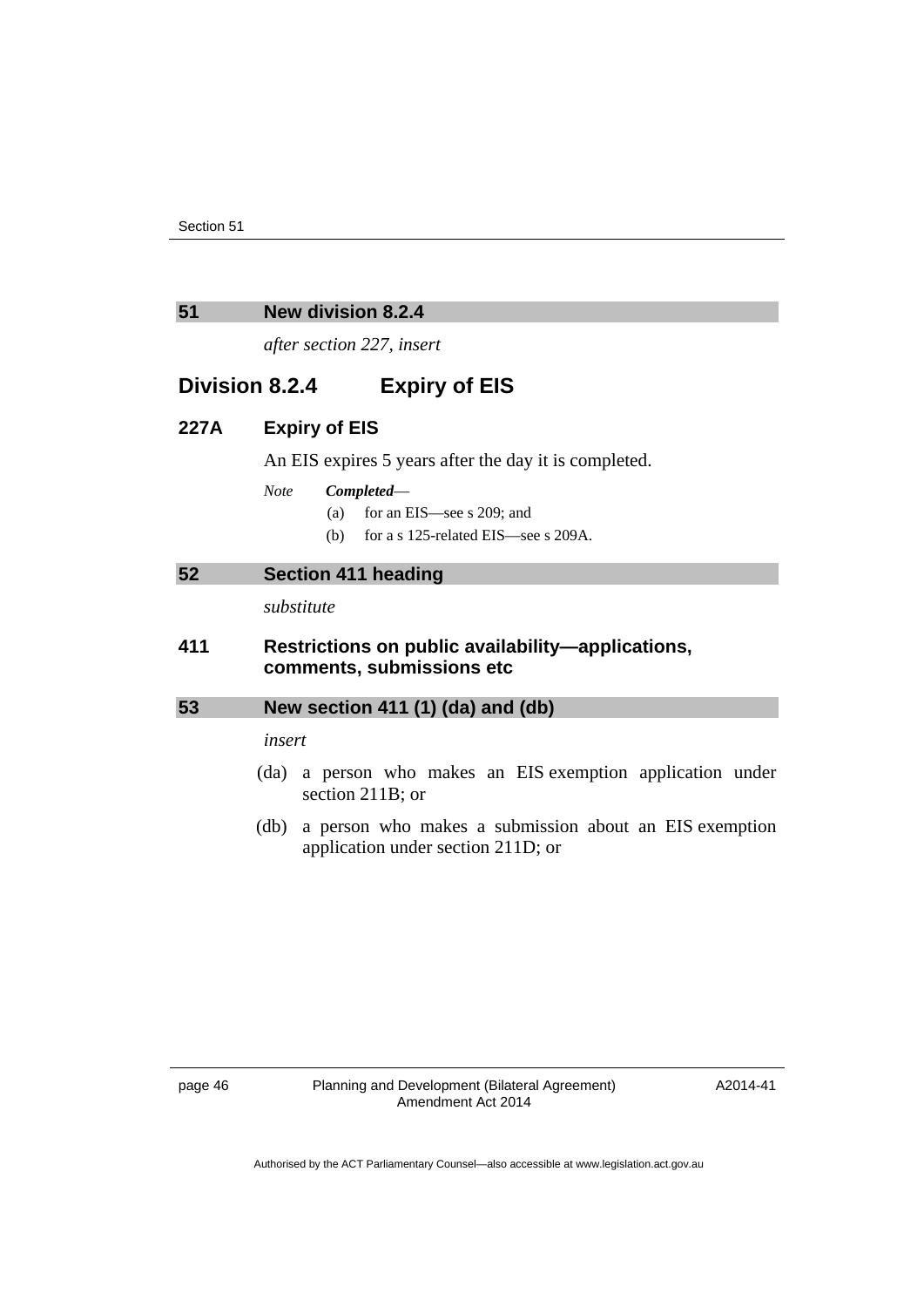#### <span id="page-49-0"></span>**51 New division 8.2.4**

*after section 227, insert* 

# **Division 8.2.4 Expiry of EIS**

## **227A Expiry of EIS**

An EIS expires 5 years after the day it is completed.

#### *Note Completed*—

- (a) for an EIS—see s 209; and
- (b) for a s 125-related EIS—see s 209A.

#### <span id="page-49-1"></span>**52 Section 411 heading**

*substitute* 

## **411 Restrictions on public availability—applications, comments, submissions etc**

## <span id="page-49-2"></span>**53 New section 411 (1) (da) and (db)**

*insert* 

- (da) a person who makes an EIS exemption application under section 211B; or
- (db) a person who makes a submission about an EIS exemption application under section 211D; or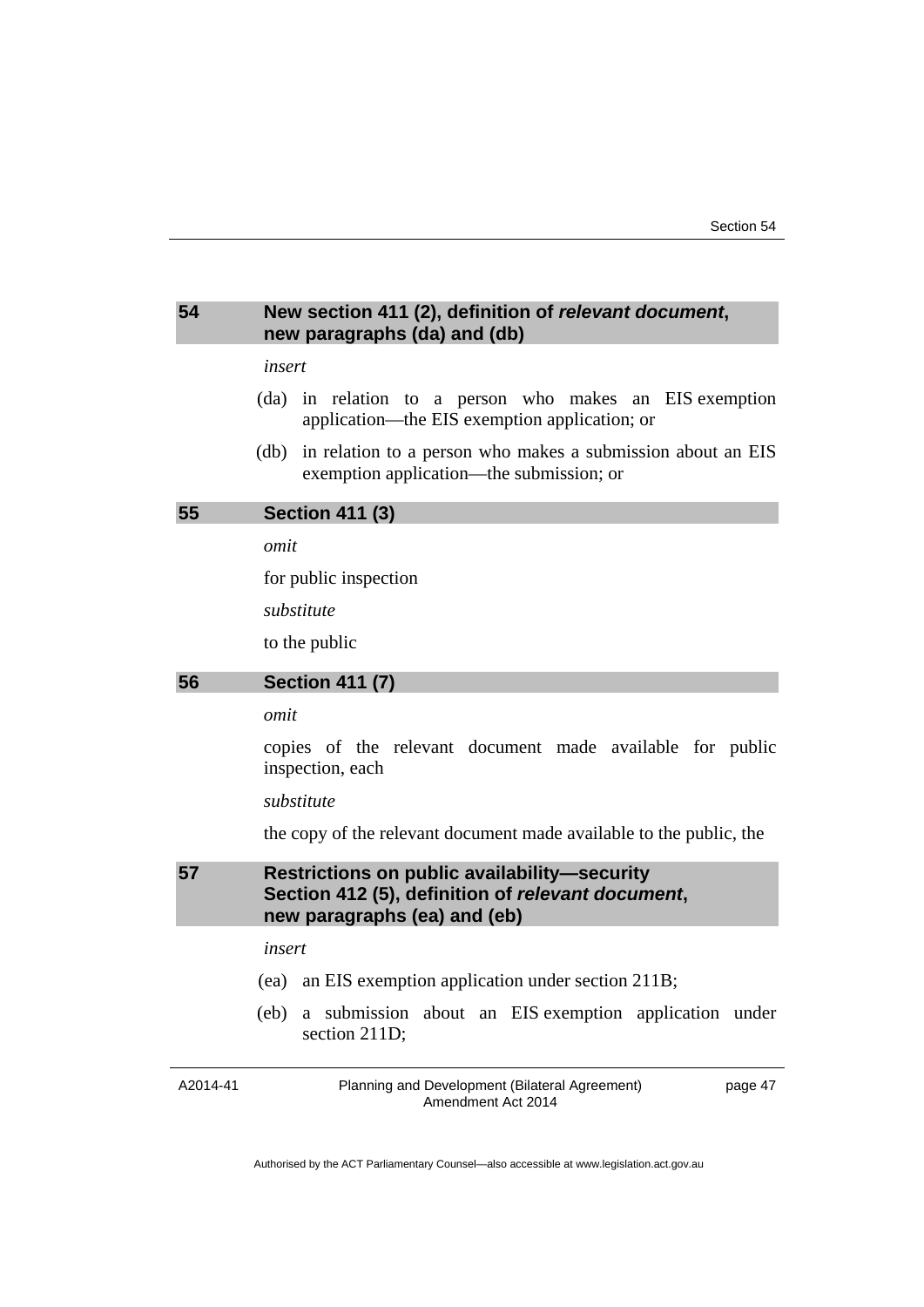## <span id="page-50-0"></span>**54 New section 411 (2), definition of** *relevant document***, new paragraphs (da) and (db)**

#### *insert*

- (da) in relation to a person who makes an EIS exemption application—the EIS exemption application; or
- (db) in relation to a person who makes a submission about an EIS exemption application—the submission; or

# <span id="page-50-1"></span>**55 Section 411 (3)**

*omit* 

for public inspection

*substitute* 

to the public

## <span id="page-50-2"></span>**56 Section 411 (7)**

#### *omit*

copies of the relevant document made available for public inspection, each

#### *substitute*

the copy of the relevant document made available to the public, the

# <span id="page-50-3"></span>**57 Restrictions on public availability—security Section 412 (5), definition of** *relevant document***, new paragraphs (ea) and (eb)**

*insert* 

- (ea) an EIS exemption application under section 211B;
- (eb) a submission about an EIS exemption application under section 211D;

A2014-41

Planning and Development (Bilateral Agreement) Amendment Act 2014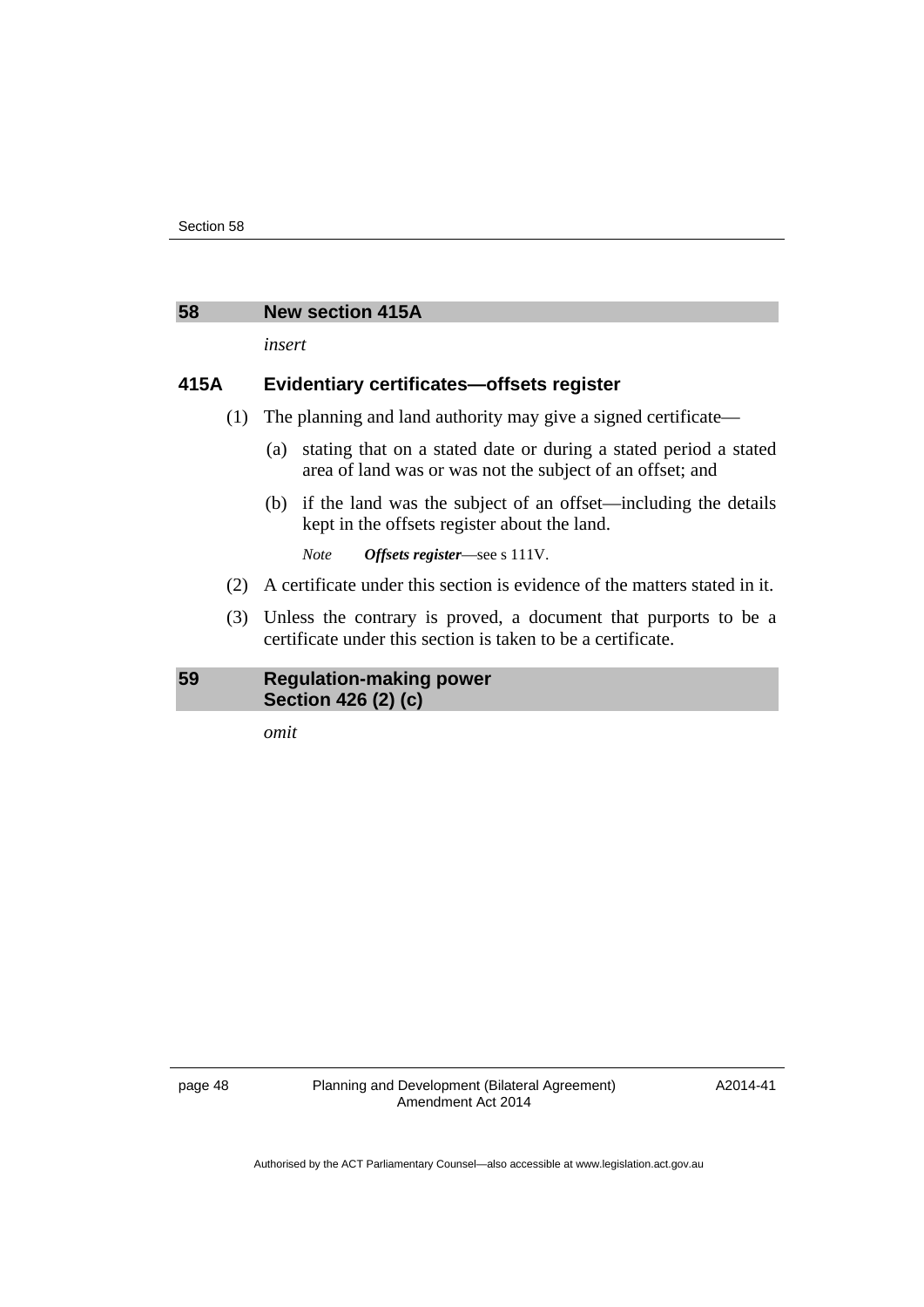#### <span id="page-51-0"></span>**58 New section 415A**

*insert* 

## **415A Evidentiary certificates—offsets register**

- (1) The planning and land authority may give a signed certificate—
	- (a) stating that on a stated date or during a stated period a stated area of land was or was not the subject of an offset; and
	- (b) if the land was the subject of an offset—including the details kept in the offsets register about the land.

*Note Offsets register*—see s 111V.

- (2) A certificate under this section is evidence of the matters stated in it.
- (3) Unless the contrary is proved, a document that purports to be a certificate under this section is taken to be a certificate.

#### <span id="page-51-1"></span>**59 Regulation-making power Section 426 (2) (c)**

*omit* 

page 48 Planning and Development (Bilateral Agreement) Amendment Act 2014

A2014-41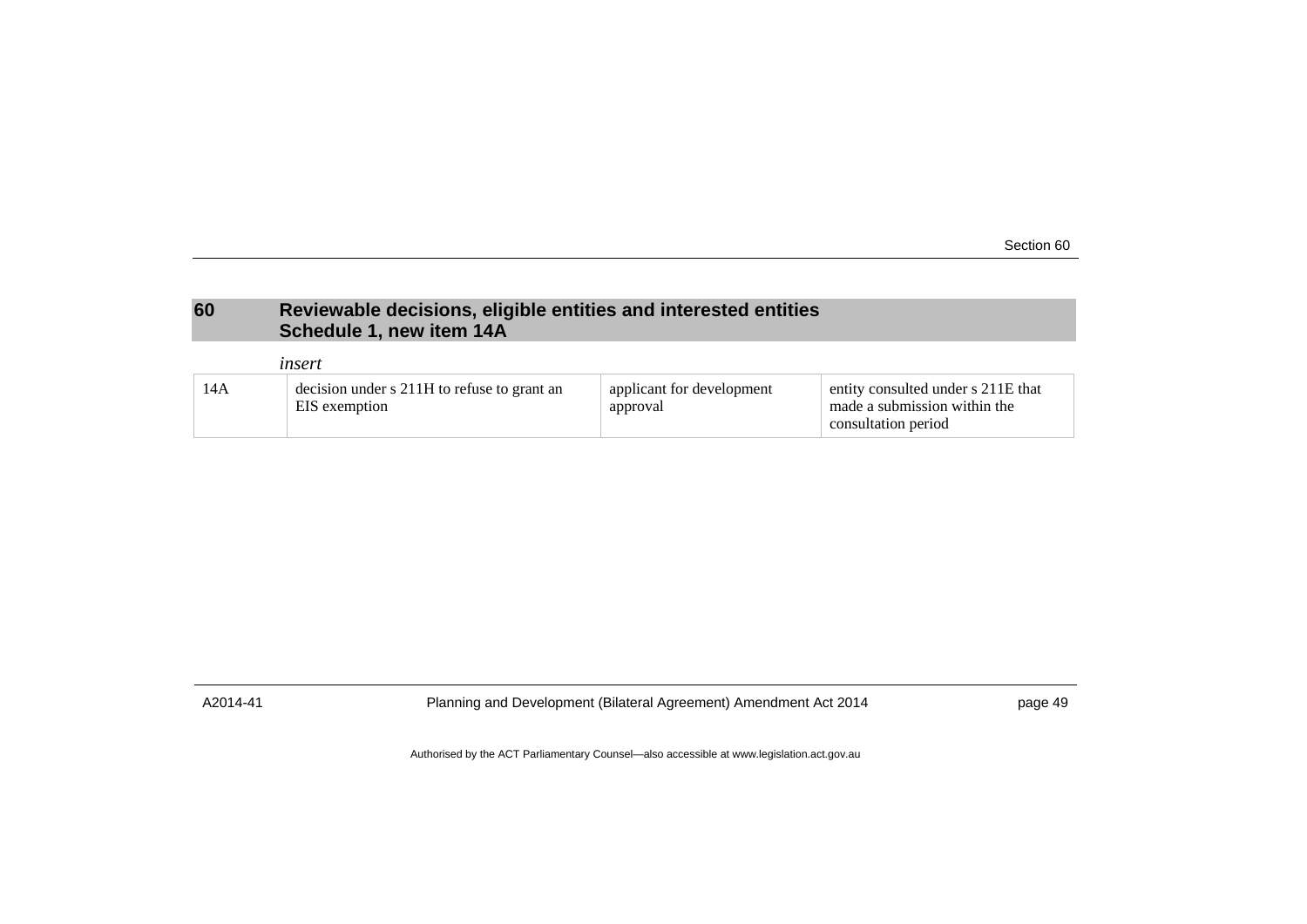Section 60

# **60 Reviewable decisions, eligible entities and interested entities Schedule 1, new item 14A**

|     | insert                                                       |                                       |                                                                                           |
|-----|--------------------------------------------------------------|---------------------------------------|-------------------------------------------------------------------------------------------|
| 14A | decision under s 211H to refuse to grant an<br>EIS exemption | applicant for development<br>approval | entity consulted under s 211E that<br>made a submission within the<br>consultation period |

<span id="page-52-0"></span>

A2014-41 Planning and Development (Bilateral Agreement) Amendment Act 2014 page 49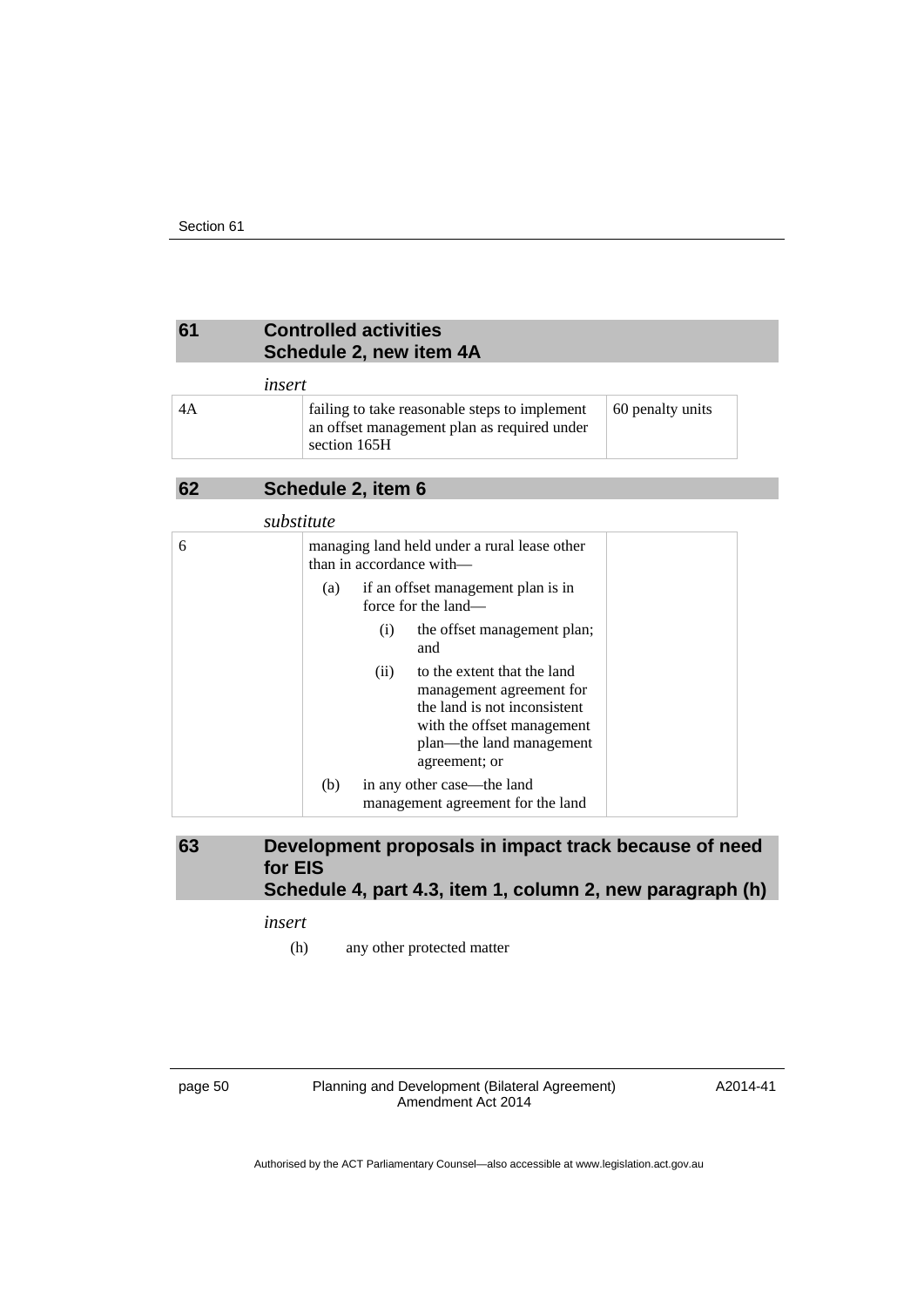# <span id="page-53-0"></span>**61 Controlled activities Schedule 2, new item 4A**

## *insert*

| 4A | failing to take reasonable steps to implement<br>an offset management plan as required under<br>section 165H | 60 penalty units |
|----|--------------------------------------------------------------------------------------------------------------|------------------|
|----|--------------------------------------------------------------------------------------------------------------|------------------|

# <span id="page-53-1"></span>**62 Schedule 2, item 6**

|   | substitute                                                                                                                                                                 |  |
|---|----------------------------------------------------------------------------------------------------------------------------------------------------------------------------|--|
| 6 | managing land held under a rural lease other<br>than in accordance with—                                                                                                   |  |
|   | if an offset management plan is in<br>(a)<br>force for the land—                                                                                                           |  |
|   | the offset management plan;<br>(i)<br>and                                                                                                                                  |  |
|   | to the extent that the land<br>(ii)<br>management agreement for<br>the land is not inconsistent<br>with the offset management<br>plan—the land management<br>agreement; or |  |
|   | (b)<br>in any other case—the land<br>management agreement for the land                                                                                                     |  |

<span id="page-53-2"></span>**63 Development proposals in impact track because of need for EIS Schedule 4, part 4.3, item 1, column 2, new paragraph (h)** 

*insert* 

(h) any other protected matter

page 50 Planning and Development (Bilateral Agreement) Amendment Act 2014

A2014-41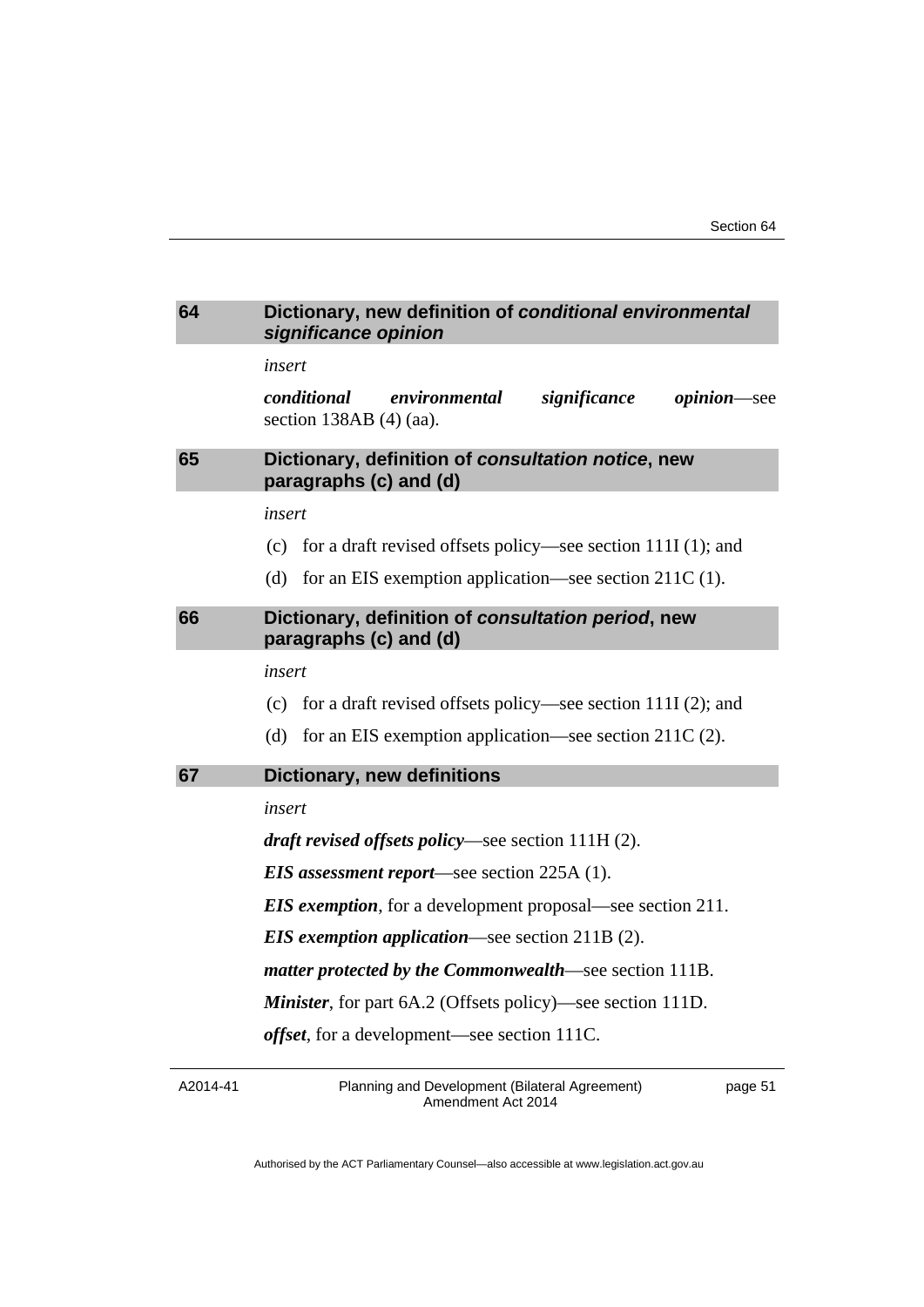<span id="page-54-2"></span><span id="page-54-1"></span><span id="page-54-0"></span>

| 64 | Dictionary, new definition of conditional environmental<br>significance opinion                 |
|----|-------------------------------------------------------------------------------------------------|
|    | insert                                                                                          |
|    | conditional<br>environmental<br>significance<br><i>opinion</i> —see<br>section $138AB(4)$ (aa). |
| 65 | Dictionary, definition of consultation notice, new<br>paragraphs (c) and (d)                    |
|    | insert                                                                                          |
|    | (c) for a draft revised offsets policy—see section $111I(1)$ ; and                              |
|    | (d)<br>for an EIS exemption application—see section $211C(1)$ .                                 |
| 66 | Dictionary, definition of consultation period, new<br>paragraphs (c) and (d)                    |
|    | insert                                                                                          |
|    | for a draft revised offsets policy—see section $111I(2)$ ; and<br>(c)                           |
|    | for an EIS exemption application—see section 211C (2).<br>(d)                                   |
| 67 | <b>Dictionary, new definitions</b>                                                              |
|    | insert                                                                                          |
|    | <i>draft revised offsets policy</i> —see section $111H(2)$ .                                    |
|    | <b>EIS</b> assessment report—see section 225A (1).                                              |
|    | <b>EIS exemption</b> , for a development proposal—see section 211.                              |
|    | <b>EIS</b> exemption application—see section $211B(2)$ .                                        |
|    | matter protected by the Commonwealth—see section 111B.                                          |
|    | <b>Minister</b> , for part 6A.2 (Offsets policy)—see section 111D.                              |
|    | <i>offset</i> , for a development—see section 111C.                                             |
|    |                                                                                                 |

<span id="page-54-3"></span>A2014-41

Planning and Development (Bilateral Agreement) Amendment Act 2014

page 51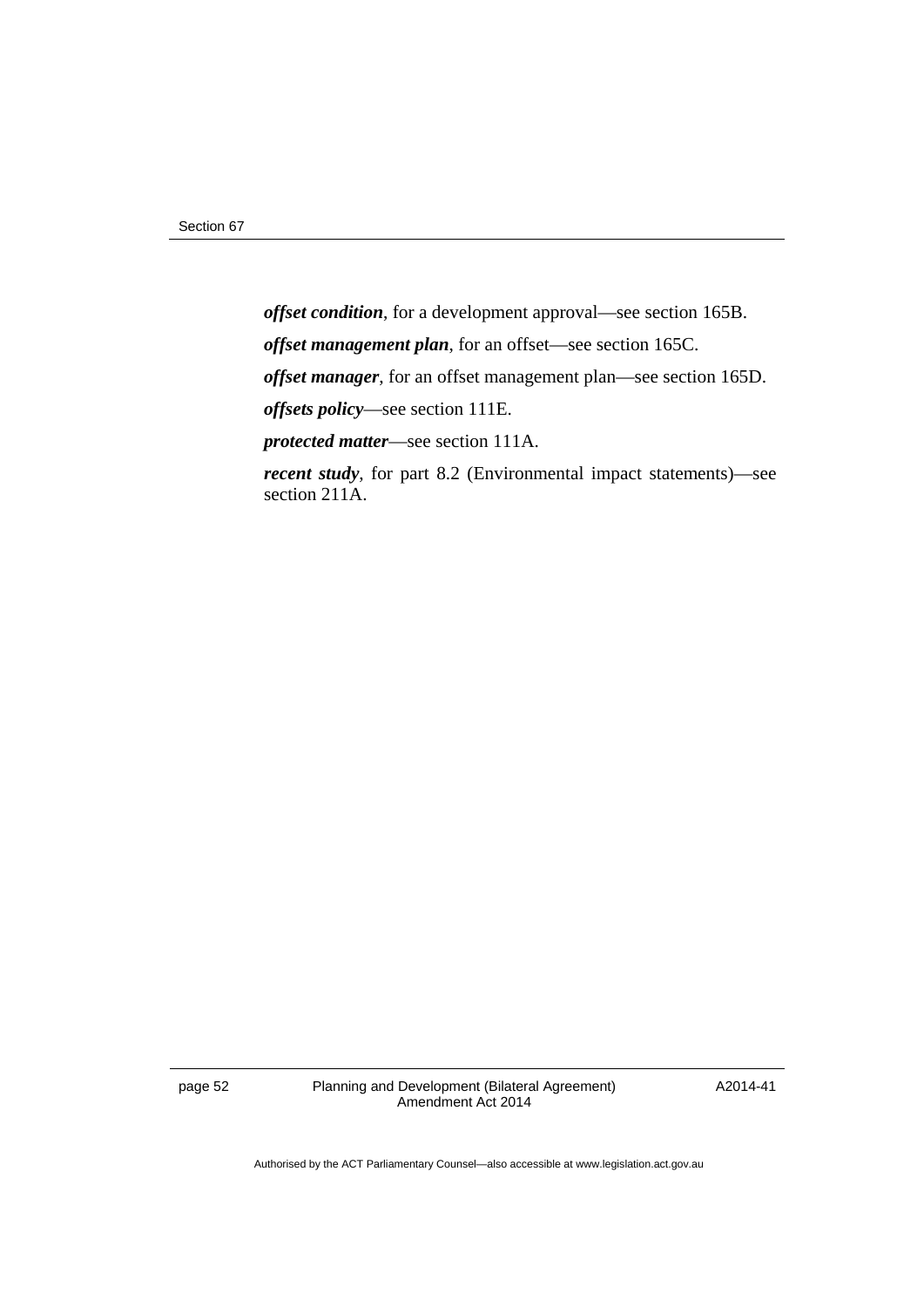*offset condition*, for a development approval—see section 165B. *offset management plan*, for an offset—see section 165C. *offset manager*, for an offset management plan—see section 165D. *offsets policy*—see section 111E. *protected matter*—see section 111A. *recent study*, for part 8.2 (Environmental impact statements)—see section 211A.

page 52 Planning and Development (Bilateral Agreement) Amendment Act 2014

A2014-41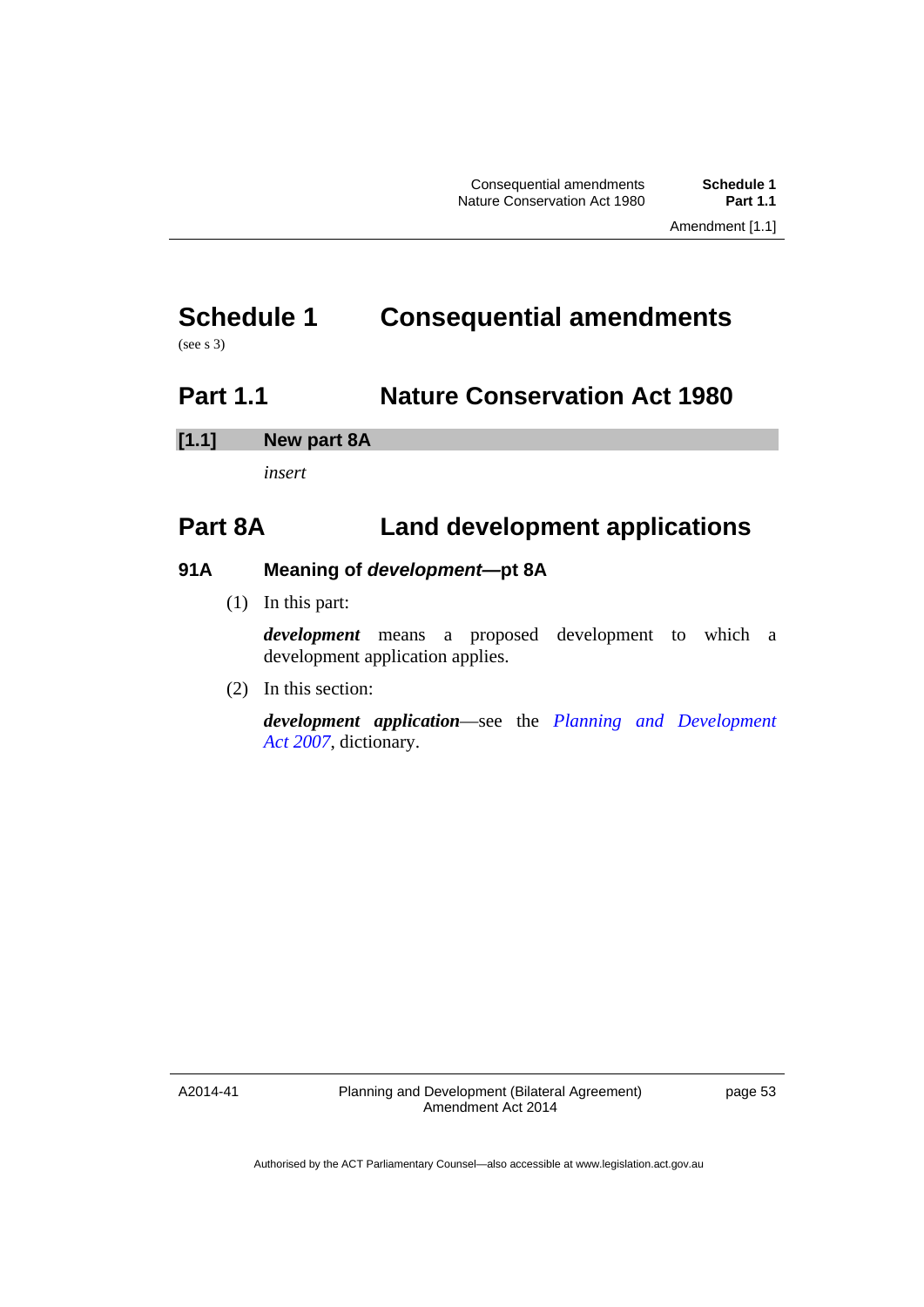# <span id="page-56-0"></span>**Schedule 1 Consequential amendments**

(see s 3)

# <span id="page-56-1"></span>**Part 1.1 Nature Conservation Act 1980**

# **[1.1] New part 8A**

*insert* 

# **Part 8A Land development applications**

# **91A Meaning of** *development—***pt 8A**

(1) In this part:

*development* means a proposed development to which a development application applies.

(2) In this section:

*development application*—see the *[Planning and Development](http://www.legislation.act.gov.au/a/2007-24)  [Act 2007](http://www.legislation.act.gov.au/a/2007-24)*, dictionary.

A2014-41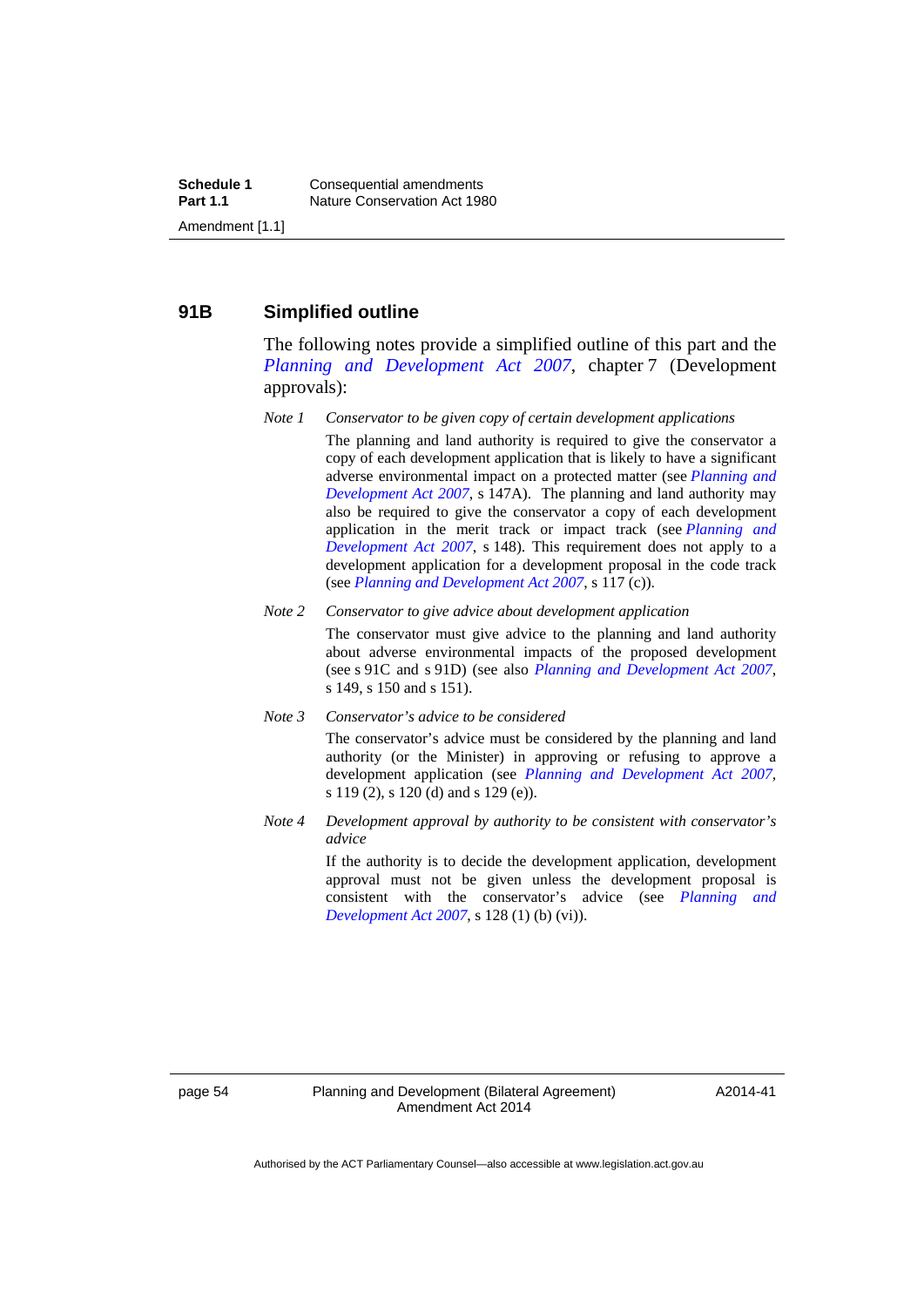#### **91B Simplified outline**

The following notes provide a simplified outline of this part and the *[Planning and Development Act 2007](http://www.legislation.act.gov.au/a/2007-24)*, chapter 7 (Development approvals):

*Note 1 Conservator to be given copy of certain development applications* 

The planning and land authority is required to give the conservator a copy of each development application that is likely to have a significant adverse environmental impact on a protected matter (see *[Planning and](http://www.legislation.act.gov.au/a/2007-24)  [Development Act 2007](http://www.legislation.act.gov.au/a/2007-24)*, s 147A). The planning and land authority may also be required to give the conservator a copy of each development application in the merit track or impact track (see *[Planning and](http://www.legislation.act.gov.au/a/2007-24)  [Development Act 2007](http://www.legislation.act.gov.au/a/2007-24)*, s 148). This requirement does not apply to a development application for a development proposal in the code track (see *[Planning and Development Act 2007](http://www.legislation.act.gov.au/a/2007-24)*, s 117 (c)).

#### *Note 2 Conservator to give advice about development application*

The conservator must give advice to the planning and land authority about adverse environmental impacts of the proposed development (see s 91C and s 91D) (see also *[Planning and Development Act 2007](http://www.legislation.act.gov.au/a/2007-24)*, s 149, s 150 and s 151).

*Note 3 Conservator's advice to be considered* 

The conservator's advice must be considered by the planning and land authority (or the Minister) in approving or refusing to approve a development application (see *[Planning and Development Act 2007](http://www.legislation.act.gov.au/a/2007-24)*, s 119 (2), s 120 (d) and s 129 (e)).

*Note 4 Development approval by authority to be consistent with conservator's advice* 

> If the authority is to decide the development application, development approval must not be given unless the development proposal is consistent with the conservator's advice (see *[Planning and](http://www.legislation.act.gov.au/a/2007-24)  [Development Act 2007](http://www.legislation.act.gov.au/a/2007-24)*, s 128 (1) (b) (vi)).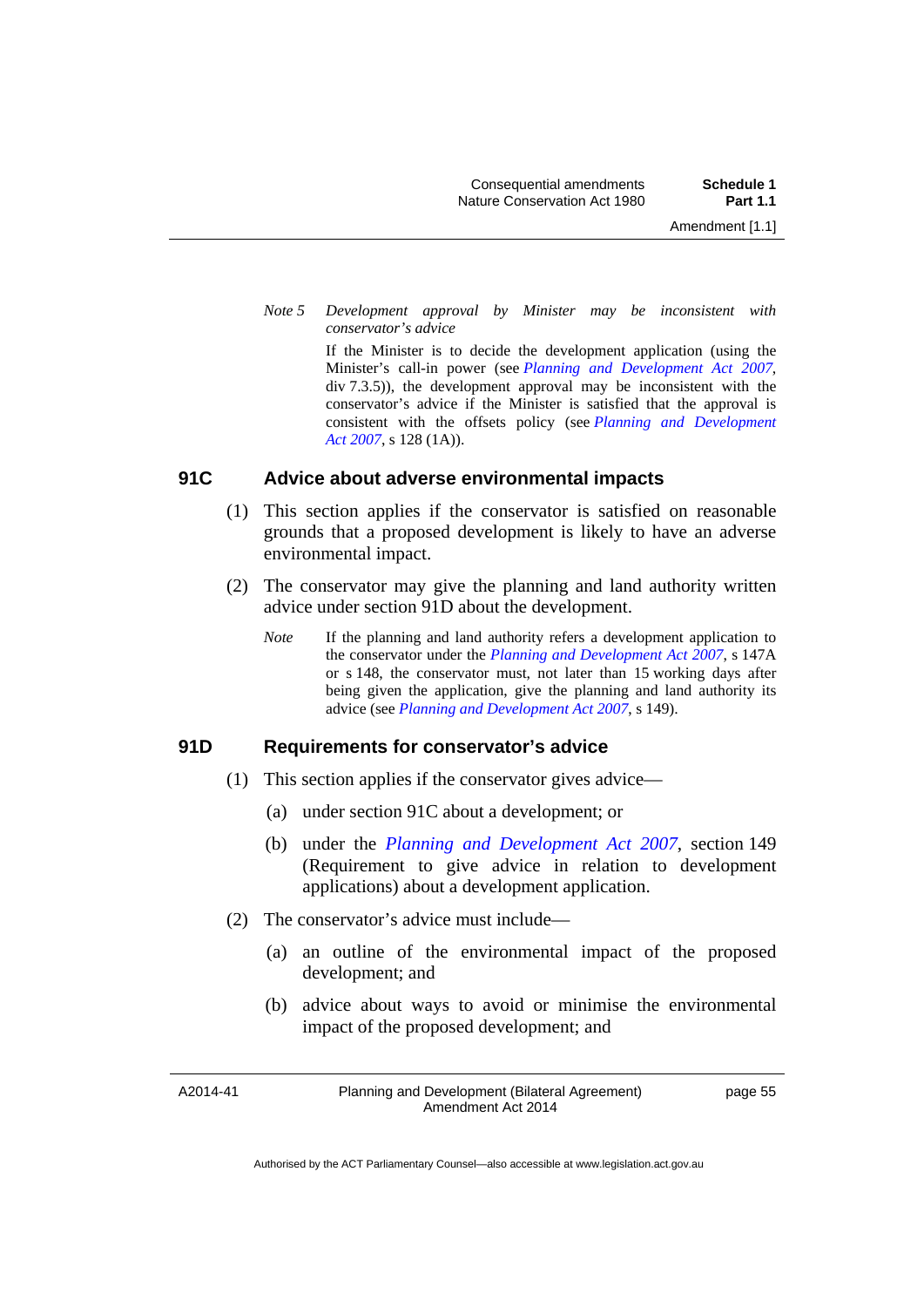*Note 5 Development approval by Minister may be inconsistent with conservator's advice* 

> If the Minister is to decide the development application (using the Minister's call-in power (see *[Planning and Development Act 2007](http://www.legislation.act.gov.au/a/2007-24)*, div 7.3.5)), the development approval may be inconsistent with the conservator's advice if the Minister is satisfied that the approval is consistent with the offsets policy (see *[Planning and Development](http://www.legislation.act.gov.au/a/2007-24)  [Act 2007](http://www.legislation.act.gov.au/a/2007-24)*, s 128 (1A)).

#### **91C Advice about adverse environmental impacts**

- (1) This section applies if the conservator is satisfied on reasonable grounds that a proposed development is likely to have an adverse environmental impact.
- (2) The conservator may give the planning and land authority written advice under section 91D about the development.
	- *Note* If the planning and land authority refers a development application to the conservator under the *[Planning and Development Act 2007](http://www.legislation.act.gov.au/a/2007-24)*, s 147A or s 148, the conservator must, not later than 15 working days after being given the application, give the planning and land authority its advice (see *[Planning and Development Act 2007](http://www.legislation.act.gov.au/a/2007-24)*, s 149).

## **91D Requirements for conservator's advice**

- (1) This section applies if the conservator gives advice—
	- (a) under section 91C about a development; or
	- (b) under the *[Planning and Development Act 2007](http://www.legislation.act.gov.au/a/2007-24)*, section 149 (Requirement to give advice in relation to development applications) about a development application.
- (2) The conservator's advice must include—
	- (a) an outline of the environmental impact of the proposed development; and
	- (b) advice about ways to avoid or minimise the environmental impact of the proposed development; and

A2014-41

Planning and Development (Bilateral Agreement) Amendment Act 2014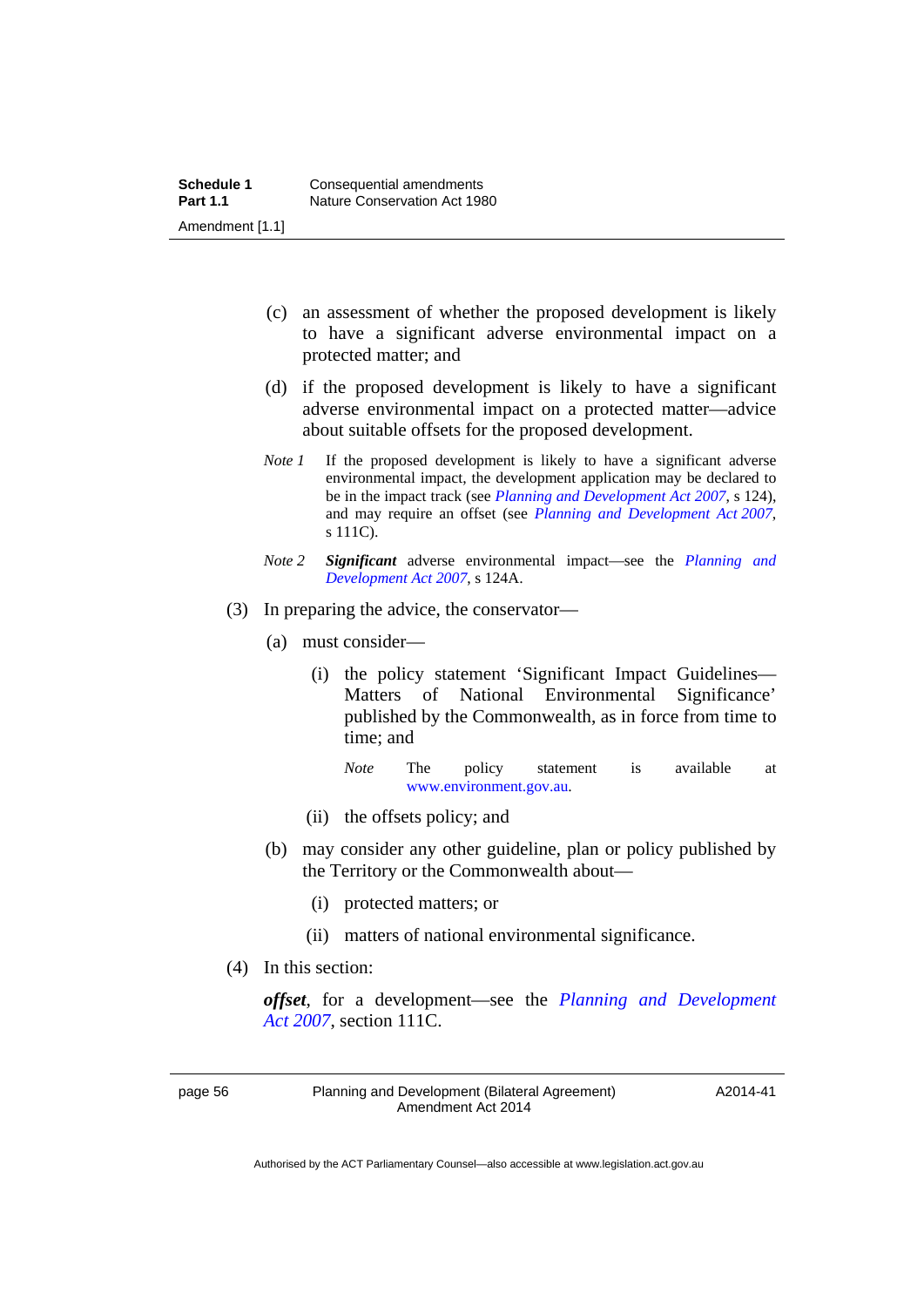- (c) an assessment of whether the proposed development is likely to have a significant adverse environmental impact on a protected matter; and
- (d) if the proposed development is likely to have a significant adverse environmental impact on a protected matter—advice about suitable offsets for the proposed development.
- *Note 1* If the proposed development is likely to have a significant adverse environmental impact, the development application may be declared to be in the impact track (see *[Planning and Development Act 2007](http://www.legislation.act.gov.au/a/2007-24)*, s 124), and may require an offset (see *[Planning and Development Act 2007](http://www.legislation.act.gov.au/a/2007-24)*, s 111C).
- *Note 2 Significant* adverse environmental impact—see the *[Planning and](http://www.legislation.act.gov.au/a/2007-24)  [Development Act 2007](http://www.legislation.act.gov.au/a/2007-24)*, s 124A.
- (3) In preparing the advice, the conservator—
	- (a) must consider—
		- (i) the policy statement 'Significant Impact Guidelines— Matters of National Environmental Significance' published by the Commonwealth, as in force from time to time; and

*Note* The policy statement is available at [www.environment.gov.au](http://www.environment.gov.au/).

- (ii) the offsets policy; and
- (b) may consider any other guideline, plan or policy published by the Territory or the Commonwealth about—
	- (i) protected matters; or
	- (ii) matters of national environmental significance.
- (4) In this section:

*offset*, for a development—see the *[Planning and Development](http://www.legislation.act.gov.au/a/2007-24)  [Act 2007](http://www.legislation.act.gov.au/a/2007-24)*, section 111C.

page 56 Planning and Development (Bilateral Agreement) Amendment Act 2014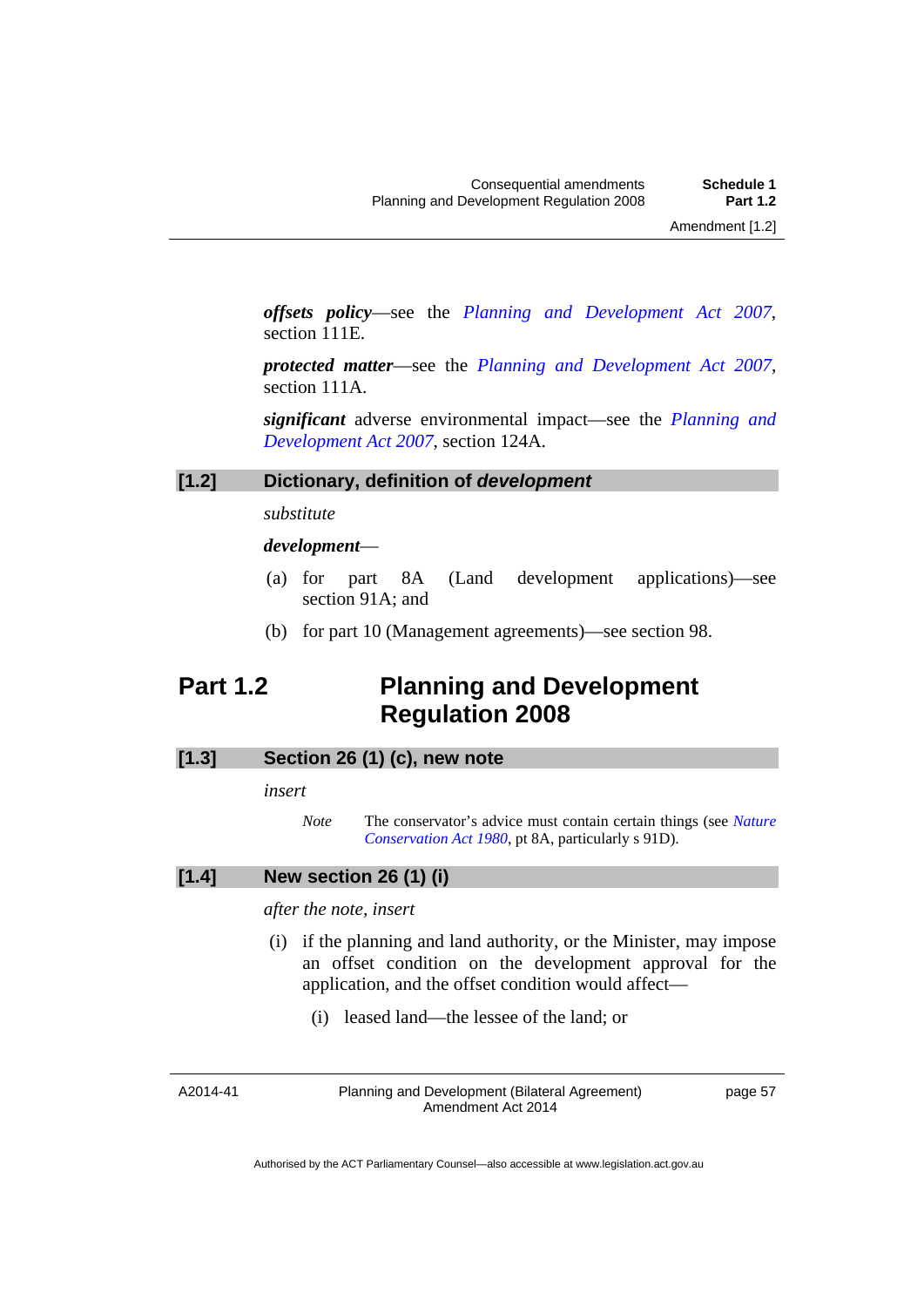*offsets policy*—see the *[Planning and Development Act 2007](http://www.legislation.act.gov.au/a/2007-24)*, section 111E.

*protected matter*—see the *[Planning and Development Act 2007](http://www.legislation.act.gov.au/a/2007-24)*, section 111A.

*significant* adverse environmental impact—see the *[Planning and](http://www.legislation.act.gov.au/a/2007-24)  [Development Act 2007](http://www.legislation.act.gov.au/a/2007-24)*, section 124A.

#### **[1.2] Dictionary, definition of** *development*

*substitute* 

#### *development*—

- (a) for part 8A (Land development applications)—see section 91A; and
- (b) for part 10 (Management agreements)—see section 98.

# <span id="page-60-0"></span>**Part 1.2 Planning and Development Regulation 2008**

## **[1.3] Section 26 (1) (c), new note**

*insert* 

*Note* The conservator's advice must contain certain things (see *[Nature](http://www.legislation.act.gov.au/a/1980-20)  [Conservation Act 1980](http://www.legislation.act.gov.au/a/1980-20)*, pt 8A, particularly s 91D).

#### **[1.4] New section 26 (1) (i)**

*after the note, insert* 

- (i) if the planning and land authority, or the Minister, may impose an offset condition on the development approval for the application, and the offset condition would affect—
	- (i) leased land—the lessee of the land; or

A2014-41

Planning and Development (Bilateral Agreement) Amendment Act 2014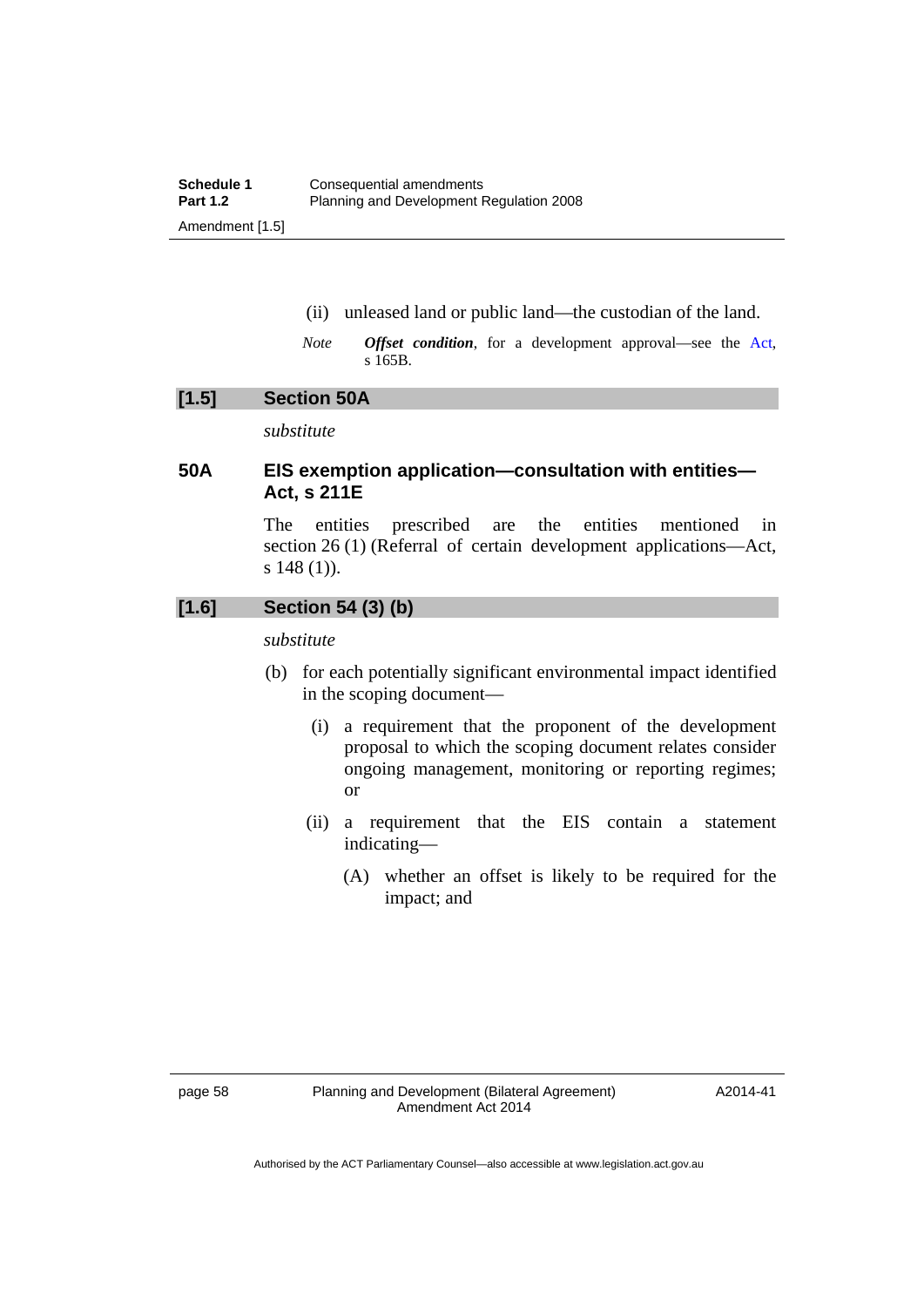- (ii) unleased land or public land—the custodian of the land.
- *Note Offset condition*, for a development approval—see the [Act,](http://www.legislation.act.gov.au/a/2007-24/default.asp) s 165B.

#### **[1.5] Section 50A**

*substitute* 

# **50A EIS exemption application—consultation with entities— Act, s 211E**

The entities prescribed are the entities mentioned in section 26 (1) (Referral of certain development applications—Act, s 148 (1)).

# **[1.6] Section 54 (3) (b)**

*substitute* 

- (b) for each potentially significant environmental impact identified in the scoping document—
	- (i) a requirement that the proponent of the development proposal to which the scoping document relates consider ongoing management, monitoring or reporting regimes; or
	- (ii) a requirement that the EIS contain a statement indicating—
		- (A) whether an offset is likely to be required for the impact; and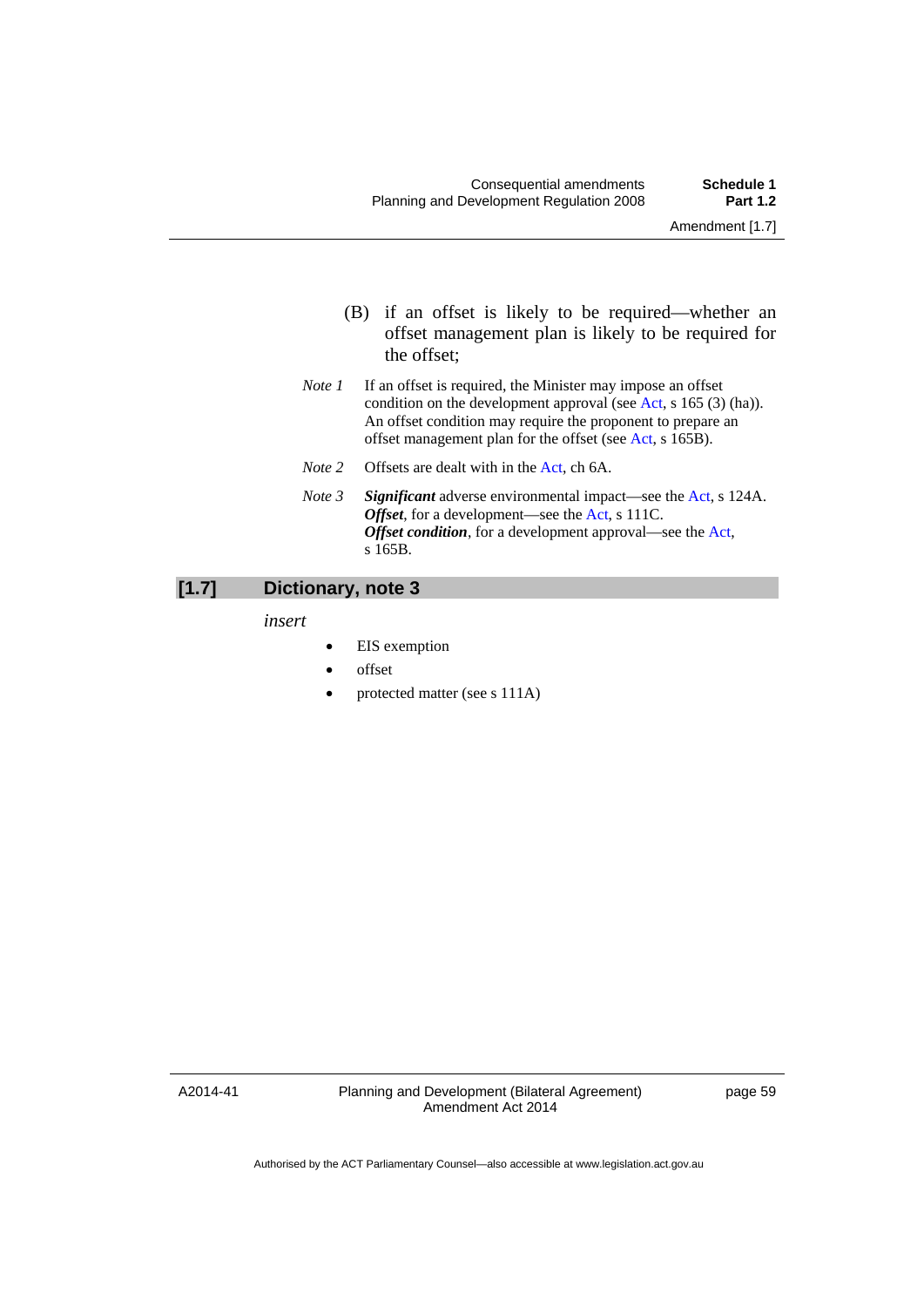- (B) if an offset is likely to be required—whether an offset management plan is likely to be required for the offset;
- *Note 1* If an offset is required, the Minister may impose an offset condition on the development approval (see [Act](http://www.legislation.act.gov.au/a/2007-24/default.asp), s 165 (3) (ha)). An offset condition may require the proponent to prepare an offset management plan for the offset (see [Act,](http://www.legislation.act.gov.au/a/2007-24/default.asp) s 165B).
- *Note 2* Offsets are dealt with in the [Act,](http://www.legislation.act.gov.au/a/2007-24/default.asp) ch 6A.
- *Note 3 Significant* adverse environmental impact—see the [Act,](http://www.legislation.act.gov.au/a/2007-24/default.asp) s 124A. *Offset*, for a development—see the [Act](http://www.legislation.act.gov.au/a/2007-24/default.asp), s 111C. *Offset condition*, for a development approval—see the [Act](http://www.legislation.act.gov.au/a/2007-24/default.asp), s 165B.

## **[1.7] Dictionary, note 3**

*insert* 

- EIS exemption
- offset
- protected matter (see s 111A)

A2014-41